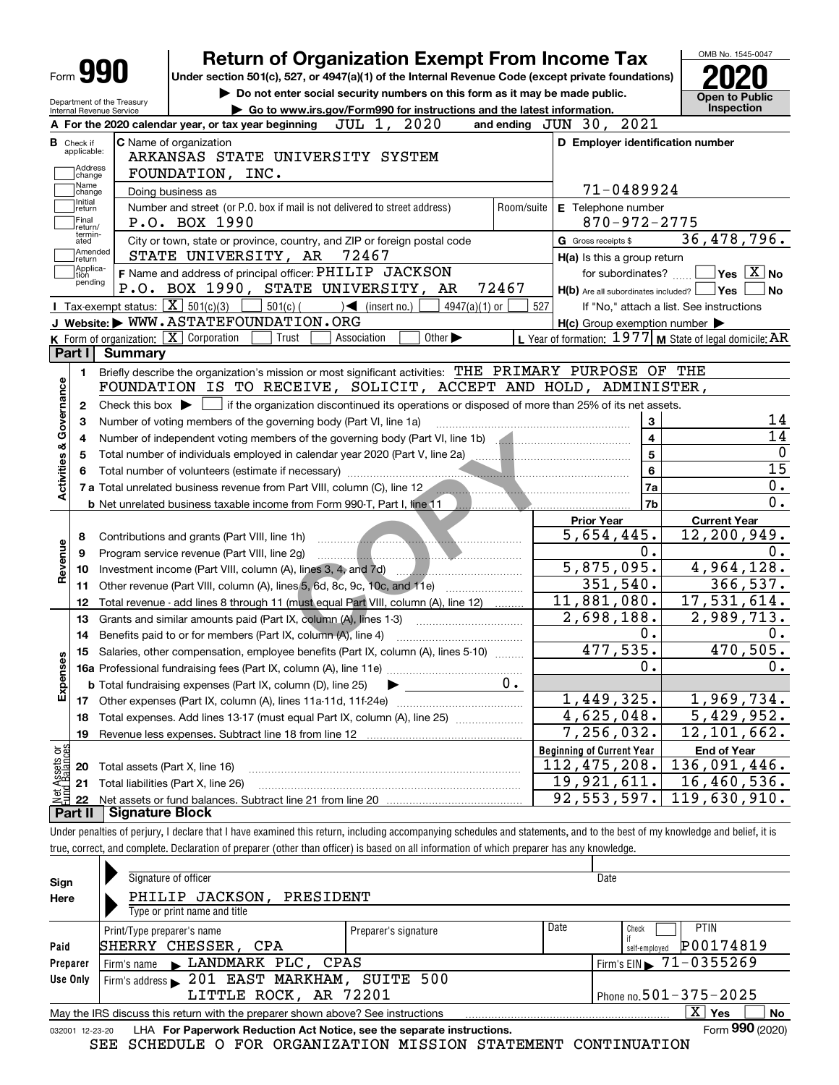|                           |                                                        |                                                                   | <b>Return of Organization Exempt From Income Tax</b>                                                                                                                       |                                                           | OMB No. 1545-0047                        |  |  |  |
|---------------------------|--------------------------------------------------------|-------------------------------------------------------------------|----------------------------------------------------------------------------------------------------------------------------------------------------------------------------|-----------------------------------------------------------|------------------------------------------|--|--|--|
|                           | Form YYU                                               |                                                                   | Under section 501(c), 527, or 4947(a)(1) of the Internal Revenue Code (except private foundations)                                                                         |                                                           |                                          |  |  |  |
|                           |                                                        |                                                                   | <b>Open to Public</b>                                                                                                                                                      |                                                           |                                          |  |  |  |
|                           | Department of the Treasury<br>Internal Revenue Service |                                                                   | Go to www.irs.gov/Form990 for instructions and the latest information.                                                                                                     |                                                           | Inspection                               |  |  |  |
|                           |                                                        |                                                                   | JUL 1, 2020<br>A For the 2020 calendar year, or tax year beginning                                                                                                         | and ending JUN 30, 2021                                   |                                          |  |  |  |
| <b>B</b> Check if         | applicable:                                            | D Employer identification number<br><b>C</b> Name of organization |                                                                                                                                                                            |                                                           |                                          |  |  |  |
|                           | Address                                                |                                                                   | ARKANSAS STATE UNIVERSITY SYSTEM                                                                                                                                           |                                                           |                                          |  |  |  |
|                           | change<br>Name                                         |                                                                   | FOUNDATION, INC.                                                                                                                                                           | 71-0489924                                                |                                          |  |  |  |
|                           | change<br>Initial                                      | Doing business as                                                 |                                                                                                                                                                            |                                                           |                                          |  |  |  |
|                           | return<br> Final                                       |                                                                   | Number and street (or P.O. box if mail is not delivered to street address)<br>Room/suite<br>P.O. BOX 1990                                                                  | E Telephone number<br>870-972-2775                        |                                          |  |  |  |
|                           | return/<br>termin-<br>ated                             |                                                                   | City or town, state or province, country, and ZIP or foreign postal code                                                                                                   | G Gross receipts \$                                       | 36,478,796.                              |  |  |  |
|                           | Amended<br>return]                                     |                                                                   | STATE UNIVERSITY, AR<br>72467                                                                                                                                              | H(a) Is this a group return                               |                                          |  |  |  |
|                           | Applica-<br>tion                                       |                                                                   | F Name and address of principal officer: PHILIP JACKSON                                                                                                                    | for subordinates?                                         | $\sqrt{}$ Yes $\sqrt{}$ X $\sqrt{}$ No   |  |  |  |
|                           | pending                                                |                                                                   | P.O. BOX 1990, STATE UNIVERSITY, AR<br>72467                                                                                                                               | $H(b)$ Are all subordinates included? $\Box$ Yes $\Box$   | ∣No                                      |  |  |  |
|                           |                                                        |                                                                   | Tax-exempt status: $\boxed{\mathbf{X}}$ 501(c)(3)<br>$501(c)$ (<br>$\sqrt{\frac{1}{1}}$ (insert no.)<br>4947(a)(1) or                                                      | 527                                                       | If "No," attach a list. See instructions |  |  |  |
|                           |                                                        |                                                                   | J Website: WWW.ASTATEFOUNDATION.ORG                                                                                                                                        | $H(c)$ Group exemption number $\blacktriangleright$       |                                          |  |  |  |
|                           |                                                        |                                                                   | <b>K</b> Form of organization: $\boxed{\mathbf{X}}$ Corporation<br>Other $\blacktriangleright$<br>Trust<br>Association                                                     | L Year of formation: $1977$ M State of legal domicile: AR |                                          |  |  |  |
| Part I                    |                                                        | <b>Summary</b>                                                    |                                                                                                                                                                            |                                                           |                                          |  |  |  |
|                           | 1.                                                     |                                                                   | Briefly describe the organization's mission or most significant activities: THE PRIMARY PURPOSE OF THE                                                                     |                                                           |                                          |  |  |  |
| Activities & Governance   |                                                        |                                                                   | FOUNDATION IS TO RECEIVE, SOLICIT, ACCEPT AND HOLD, ADMINISTER,                                                                                                            |                                                           |                                          |  |  |  |
|                           | 2                                                      |                                                                   | Check this box $\blacktriangleright$ $\Box$ if the organization discontinued its operations or disposed of more than 25% of its net assets.                                |                                                           |                                          |  |  |  |
|                           | з                                                      |                                                                   | Number of voting members of the governing body (Part VI, line 1a)                                                                                                          | 3                                                         | 14                                       |  |  |  |
|                           | 4                                                      |                                                                   |                                                                                                                                                                            | $\overline{4}$                                            | 14                                       |  |  |  |
|                           | 5                                                      |                                                                   | Total number of individuals employed in calendar year 2020 (Part V, line 2a) _________________________________                                                             | $5\overline{5}$                                           | $\mathbf 0$                              |  |  |  |
|                           | 6                                                      |                                                                   |                                                                                                                                                                            | 6                                                         | $\overline{15}$                          |  |  |  |
|                           |                                                        |                                                                   | 7 a Total unrelated business revenue from Part VIII, column (C), line 12                                                                                                   | 7a                                                        | $\mathbf 0$ .                            |  |  |  |
|                           |                                                        |                                                                   | <b>b</b> Net unrelated business taxable income from Form 990-T, Part I, line 11                                                                                            | 7b                                                        | $\overline{0}$ .                         |  |  |  |
|                           |                                                        |                                                                   |                                                                                                                                                                            | <b>Prior Year</b>                                         | <b>Current Year</b>                      |  |  |  |
|                           | 8                                                      |                                                                   | <u> Estados de Santo de Santo de Santo de Santo de Santo de Santo de Santo de Santo de Santo de Santo de Santo de S</u><br>Contributions and grants (Part VIII, line 1h)   | 5,654,445.                                                | 12,200,949.                              |  |  |  |
|                           | 9                                                      |                                                                   |                                                                                                                                                                            | $0$ .                                                     | 0.                                       |  |  |  |
| Revenue                   | 10                                                     |                                                                   |                                                                                                                                                                            | 5,875,095.                                                | 4,964,128.                               |  |  |  |
|                           | 11                                                     |                                                                   |                                                                                                                                                                            | 351,540.                                                  | 366, 537.                                |  |  |  |
|                           | 12                                                     |                                                                   | Total revenue - add lines 8 through 11 (must equal Part VIII, column (A), line 12)                                                                                         | $\overline{11,}881,080.$                                  | 17,531,614.                              |  |  |  |
|                           | 13                                                     |                                                                   | Grants and similar amounts paid (Part IX, column (A), lines 1-3)                                                                                                           | 2,698,188.                                                | 2,989,713.                               |  |  |  |
|                           | 14                                                     |                                                                   | Benefits paid to or for members (Part IX, column (A), line 4)                                                                                                              | 0.                                                        | 0.                                       |  |  |  |
| w                         |                                                        |                                                                   | 15 Salaries, other compensation, employee benefits (Part IX, column (A), lines 5-10)                                                                                       | 477,535.                                                  | 470,505.                                 |  |  |  |
|                           |                                                        |                                                                   |                                                                                                                                                                            | 0.                                                        | 0.                                       |  |  |  |
| Expense                   |                                                        |                                                                   | $0$ .<br><b>b</b> Total fundraising expenses (Part IX, column (D), line 25)                                                                                                |                                                           |                                          |  |  |  |
|                           | 17                                                     |                                                                   |                                                                                                                                                                            | 1,449,325.                                                | 1,969,734.                               |  |  |  |
|                           | 18                                                     |                                                                   | Total expenses. Add lines 13-17 (must equal Part IX, column (A), line 25)                                                                                                  | 4,625,048.                                                | 5,429,952.                               |  |  |  |
|                           | 19                                                     |                                                                   |                                                                                                                                                                            | 7,256,032.                                                | 12, 101, 662.                            |  |  |  |
|                           |                                                        |                                                                   |                                                                                                                                                                            | <b>Beginning of Current Year</b>                          | <b>End of Year</b>                       |  |  |  |
| t Assets or<br>d Balances | 20                                                     |                                                                   | Total assets (Part X, line 16)                                                                                                                                             | 112, 475, 208.                                            | 136,091,446.                             |  |  |  |
|                           | 21                                                     |                                                                   | Total liabilities (Part X, line 26)                                                                                                                                        | 19,921,611.                                               | 16, 460, 536.                            |  |  |  |
|                           | 22                                                     |                                                                   |                                                                                                                                                                            | 92,553,597.                                               | 119,630,910.                             |  |  |  |
| Part II                   |                                                        |                                                                   | <b>Signature Block</b>                                                                                                                                                     |                                                           |                                          |  |  |  |
|                           |                                                        |                                                                   | Under penalties of perjury, I declare that I have examined this return, including accompanying schedules and statements, and to the best of my knowledge and belief, it is |                                                           |                                          |  |  |  |
|                           |                                                        |                                                                   | true, correct, and complete. Declaration of preparer (other than officer) is based on all information of which preparer has any knowledge.                                 |                                                           |                                          |  |  |  |
|                           |                                                        |                                                                   |                                                                                                                                                                            |                                                           |                                          |  |  |  |

| Sign                                                         | Signature of officer                                                                                         | Date                 |      |                                              |  |  |  |  |  |
|--------------------------------------------------------------|--------------------------------------------------------------------------------------------------------------|----------------------|------|----------------------------------------------|--|--|--|--|--|
| Here                                                         | PHILIP JACKSON,<br>PRESIDENT                                                                                 |                      |      |                                              |  |  |  |  |  |
|                                                              | Type or print name and title                                                                                 |                      |      |                                              |  |  |  |  |  |
|                                                              | Print/Type preparer's name                                                                                   | Preparer's signature | Date | <b>PTIN</b><br>Check                         |  |  |  |  |  |
| P00174819<br>SHERRY CHESSER,<br>CPA<br>Paid<br>self-emploved |                                                                                                              |                      |      |                                              |  |  |  |  |  |
| Preparer                                                     | Firm's name LANDMARK PLC, CPAS                                                                               |                      |      | $1$ Firm's EIN $\triangleright$ 71 - 0355269 |  |  |  |  |  |
| Use Only                                                     | 201 EAST MARKHAM, SUITE 500<br>Firm's address                                                                |                      |      |                                              |  |  |  |  |  |
|                                                              | Phone no. $501 - 375 - 2025$<br>LITTLE ROCK, AR 72201                                                        |                      |      |                                              |  |  |  |  |  |
|                                                              | х<br>Yes<br>No<br>May the IRS discuss this return with the preparer shown above? See instructions            |                      |      |                                              |  |  |  |  |  |
|                                                              | Form 990 (2020)<br>LHA For Paperwork Reduction Act Notice, see the separate instructions.<br>032001 12-23-20 |                      |      |                                              |  |  |  |  |  |

032001 12-23-20 LHA For Paperwork Reduction Act Notice, see the separate instructions.<br>SEE SCHEDULE O FOR ORGANIZATION MISSION STATEMENT CONTINUATION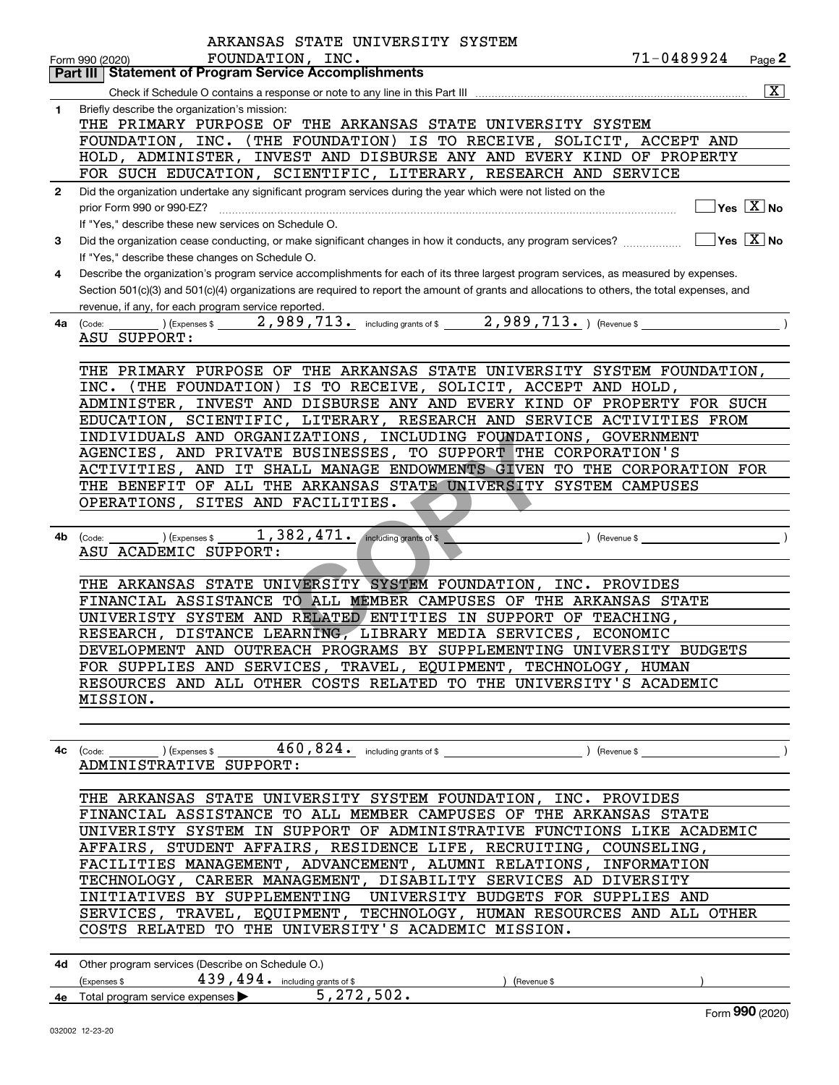|              | ARKANSAS STATE UNIVERSITY SYSTEM                                                                                                             |  |
|--------------|----------------------------------------------------------------------------------------------------------------------------------------------|--|
|              | 71-0489924<br>FOUNDATION, INC.<br>Page $2$<br>Form 990 (2020)                                                                                |  |
|              | <b>Statement of Program Service Accomplishments</b><br>Part III                                                                              |  |
|              | $\boxed{\textbf{X}}$                                                                                                                         |  |
| 1            | Briefly describe the organization's mission:                                                                                                 |  |
|              | THE PRIMARY PURPOSE OF THE ARKANSAS STATE UNIVERSITY SYSTEM                                                                                  |  |
|              | FOUNDATION, INC. (THE FOUNDATION) IS TO RECEIVE, SOLICIT, ACCEPT AND                                                                         |  |
|              | HOLD, ADMINISTER, INVEST AND DISBURSE ANY AND EVERY KIND OF PROPERTY                                                                         |  |
|              | FOR SUCH EDUCATION, SCIENTIFIC, LITERARY, RESEARCH AND SERVICE                                                                               |  |
| $\mathbf{2}$ | Did the organization undertake any significant program services during the year which were not listed on the                                 |  |
|              | $\boxed{\phantom{1}}$ Yes $\boxed{\text{X}}$ No<br>prior Form 990 or 990-EZ?                                                                 |  |
|              | If "Yes," describe these new services on Schedule O.                                                                                         |  |
| 3            |                                                                                                                                              |  |
|              | If "Yes," describe these changes on Schedule O.                                                                                              |  |
| 4            | Describe the organization's program service accomplishments for each of its three largest program services, as measured by expenses.         |  |
|              | Section 501(c)(3) and 501(c)(4) organizations are required to report the amount of grants and allocations to others, the total expenses, and |  |
|              | revenue, if any, for each program service reported.                                                                                          |  |
| 4a           | (Code:                                                                                                                                       |  |
|              | ASU SUPPORT:                                                                                                                                 |  |
|              |                                                                                                                                              |  |
|              | THE PRIMARY PURPOSE OF THE ARKANSAS STATE UNIVERSITY SYSTEM FOUNDATION,                                                                      |  |
|              | INC. (THE FOUNDATION) IS TO RECEIVE, SOLICIT, ACCEPT AND HOLD,                                                                               |  |
|              | ADMINISTER, INVEST AND DISBURSE ANY AND EVERY KIND OF PROPERTY FOR SUCH                                                                      |  |
|              | EDUCATION, SCIENTIFIC, LITERARY, RESEARCH AND SERVICE ACTIVITIES FROM                                                                        |  |
|              | INDIVIDUALS AND ORGANIZATIONS, INCLUDING FOUNDATIONS, GOVERNMENT                                                                             |  |
|              | AGENCIES, AND PRIVATE BUSINESSES, TO SUPPORT THE CORPORATION'S                                                                               |  |
|              | ACTIVITIES, AND IT SHALL MANAGE ENDOWMENTS GIVEN TO THE CORPORATION FOR                                                                      |  |
|              | THE BENEFIT OF ALL THE ARKANSAS STATE UNIVERSITY SYSTEM CAMPUSES                                                                             |  |
|              | OPERATIONS, SITES AND FACILITIES.                                                                                                            |  |
| 4b           | $(1, 382, 471)$ including grants of \$<br>$($ Revenue \$                                                                                     |  |
|              | (Code:<br>ASU ACADEMIC SUPPORT:                                                                                                              |  |
|              |                                                                                                                                              |  |
|              | THE ARKANSAS STATE UNIVERSITY SYSTEM FOUNDATION, INC. PROVIDES                                                                               |  |
|              | FINANCIAL ASSISTANCE TO ALL MEMBER CAMPUSES OF THE ARKANSAS STATE                                                                            |  |
|              | UNIVERISTY SYSTEM AND RELATED ENTITIES IN SUPPORT OF TEACHING,                                                                               |  |
|              | RESEARCH, DISTANCE LEARNING, LIBRARY MEDIA SERVICES, ECONOMIC                                                                                |  |
|              | DEVELOPMENT AND OUTREACH PROGRAMS BY SUPPLEMENTING UNIVERSITY BUDGETS                                                                        |  |
|              | FOR SUPPLIES AND SERVICES, TRAVEL, EQUIPMENT, TECHNOLOGY, HUMAN                                                                              |  |
|              | RESOURCES AND ALL OTHER COSTS RELATED TO THE UNIVERSITY'S ACADEMIC                                                                           |  |
|              | MISSION.                                                                                                                                     |  |
|              |                                                                                                                                              |  |
|              |                                                                                                                                              |  |
|              | <b>4C</b> (Code: ) (Expenses \$ 460, 824 · including grants of \$<br>) (Revenue \$                                                           |  |
|              | ADMINISTRATIVE SUPPORT:                                                                                                                      |  |
|              |                                                                                                                                              |  |
|              | THE ARKANSAS STATE UNIVERSITY SYSTEM FOUNDATION, INC. PROVIDES                                                                               |  |
|              | FINANCIAL ASSISTANCE TO ALL MEMBER CAMPUSES OF THE ARKANSAS STATE                                                                            |  |
|              | UNIVERISTY SYSTEM IN SUPPORT OF ADMINISTRATIVE FUNCTIONS LIKE ACADEMIC                                                                       |  |
|              | AFFAIRS, STUDENT AFFAIRS, RESIDENCE LIFE, RECRUITING, COUNSELING,                                                                            |  |
|              | FACILITIES MANAGEMENT, ADVANCEMENT, ALUMNI RELATIONS, INFORMATION                                                                            |  |
|              | TECHNOLOGY, CAREER MANAGEMENT, DISABILITY SERVICES AD DIVERSITY                                                                              |  |
|              | INITIATIVES BY SUPPLEMENTING UNIVERSITY BUDGETS FOR SUPPLIES AND                                                                             |  |
|              | SERVICES, TRAVEL, EQUIPMENT, TECHNOLOGY, HUMAN RESOURCES AND ALL OTHER                                                                       |  |
|              | COSTS RELATED TO THE UNIVERSITY'S ACADEMIC MISSION.                                                                                          |  |
|              |                                                                                                                                              |  |
|              | 4d Other program services (Describe on Schedule O.)<br>$439$ , $494$ $\cdot$ including grants of \$                                          |  |
|              | (Expenses \$<br>(Revenue \$<br>4e Total program service expenses > 5, 272, 502.                                                              |  |
|              |                                                                                                                                              |  |

Form (2020) **990**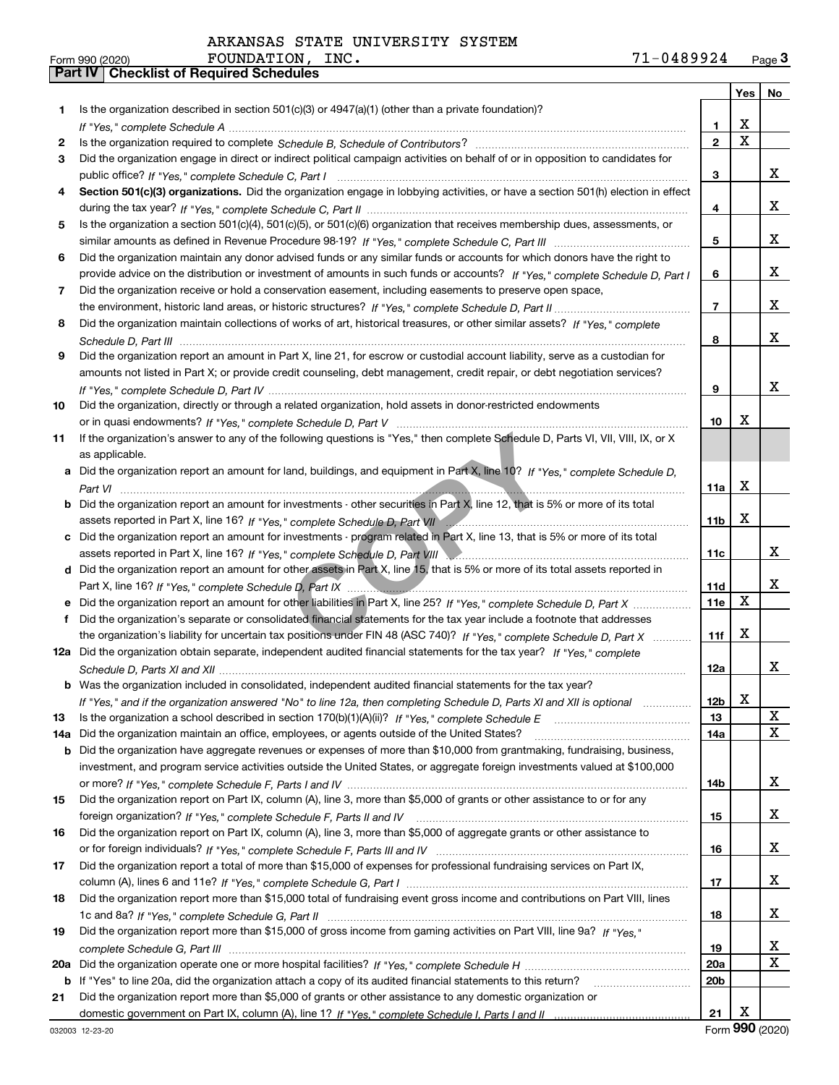|     |                                                                                                                                                                                                                                                   |                 | Yes                     | No |
|-----|---------------------------------------------------------------------------------------------------------------------------------------------------------------------------------------------------------------------------------------------------|-----------------|-------------------------|----|
| 1   | Is the organization described in section $501(c)(3)$ or $4947(a)(1)$ (other than a private foundation)?                                                                                                                                           |                 |                         |    |
|     |                                                                                                                                                                                                                                                   | 1.              | X                       |    |
| 2   |                                                                                                                                                                                                                                                   | $\overline{2}$  | $\overline{\mathbf{x}}$ |    |
| 3   | Did the organization engage in direct or indirect political campaign activities on behalf of or in opposition to candidates for                                                                                                                   |                 |                         |    |
|     |                                                                                                                                                                                                                                                   | 3               |                         | x  |
| 4   | Section 501(c)(3) organizations. Did the organization engage in lobbying activities, or have a section 501(h) election in effect                                                                                                                  |                 |                         |    |
|     |                                                                                                                                                                                                                                                   | 4               |                         | x  |
| 5   | Is the organization a section 501(c)(4), 501(c)(5), or 501(c)(6) organization that receives membership dues, assessments, or                                                                                                                      |                 |                         |    |
|     |                                                                                                                                                                                                                                                   | 5               |                         | x  |
| 6   | Did the organization maintain any donor advised funds or any similar funds or accounts for which donors have the right to                                                                                                                         |                 |                         |    |
|     | provide advice on the distribution or investment of amounts in such funds or accounts? If "Yes," complete Schedule D, Part I                                                                                                                      | 6               |                         | x  |
| 7   | Did the organization receive or hold a conservation easement, including easements to preserve open space,                                                                                                                                         |                 |                         |    |
|     |                                                                                                                                                                                                                                                   | $\overline{7}$  |                         | x  |
| 8   | Did the organization maintain collections of works of art, historical treasures, or other similar assets? If "Yes," complete                                                                                                                      |                 |                         |    |
|     |                                                                                                                                                                                                                                                   | 8               |                         | X. |
| 9   | Did the organization report an amount in Part X, line 21, for escrow or custodial account liability, serve as a custodian for                                                                                                                     |                 |                         |    |
|     | amounts not listed in Part X; or provide credit counseling, debt management, credit repair, or debt negotiation services?                                                                                                                         |                 |                         |    |
|     |                                                                                                                                                                                                                                                   | 9               |                         | x  |
| 10  | Did the organization, directly or through a related organization, hold assets in donor-restricted endowments                                                                                                                                      |                 |                         |    |
|     |                                                                                                                                                                                                                                                   | 10              | x                       |    |
| 11  | If the organization's answer to any of the following questions is "Yes," then complete Schedule D, Parts VI, VII, VIII, IX, or X                                                                                                                  |                 |                         |    |
|     | as applicable.                                                                                                                                                                                                                                    |                 |                         |    |
|     | a Did the organization report an amount for land, buildings, and equipment in Part X, line 10? If "Yes," complete Schedule D.                                                                                                                     |                 |                         |    |
|     |                                                                                                                                                                                                                                                   | 11a             | X                       |    |
| b   | Did the organization report an amount for investments - other securities in Part X, line 12, that is 5% or more of its total                                                                                                                      |                 |                         |    |
|     | assets reported in Part X, line 16? If "Yes," complete Schedule D, Part VII [1999] [1999] [1999] [1999] [1999] [1999] [1999] [1999] [1999] [1999] [1999] [1999] [1999] [1999] [1999] [1999] [1999] [1999] [1999] [1999] [1999]                    | 11b             | Х                       |    |
| c   | Did the organization report an amount for investments - program related in Part X, line 13, that is 5% or more of its total                                                                                                                       |                 |                         | x  |
|     | assets reported in Part X, line 16? If "Yes," complete Schedule D, Part VIII [2000] [2000] [2000] [2000] [2000                                                                                                                                    | 11c             |                         |    |
|     | d Did the organization report an amount for other assets in Part X, line 15, that is 5% or more of its total assets reported in                                                                                                                   |                 |                         | x  |
|     |                                                                                                                                                                                                                                                   | 11d             | X                       |    |
|     |                                                                                                                                                                                                                                                   | 11e             |                         |    |
| f   | Did the organization's separate or consolidated financial statements for the tax year include a footnote that addresses<br>the organization's liability for uncertain tax positions under FIN 48 (ASC 740)? If "Yes," complete Schedule D, Part X | 11f             | Х                       |    |
|     | 12a Did the organization obtain separate, independent audited financial statements for the tax year? If "Yes," complete                                                                                                                           |                 |                         |    |
|     |                                                                                                                                                                                                                                                   | 12a             |                         | X. |
|     |                                                                                                                                                                                                                                                   |                 |                         |    |
|     | <b>b</b> Was the organization included in consolidated, independent audited financial statements for the tax year?                                                                                                                                | 12b             | X                       |    |
| 13  | If "Yes," and if the organization answered "No" to line 12a, then completing Schedule D, Parts XI and XII is optional                                                                                                                             | 13              |                         | X  |
| 14a | Did the organization maintain an office, employees, or agents outside of the United States?                                                                                                                                                       | 14a             |                         | X  |
| b   | Did the organization have aggregate revenues or expenses of more than \$10,000 from grantmaking, fundraising, business,                                                                                                                           |                 |                         |    |
|     | investment, and program service activities outside the United States, or aggregate foreign investments valued at \$100,000                                                                                                                        |                 |                         |    |
|     |                                                                                                                                                                                                                                                   | 14b             |                         | x  |
| 15  | Did the organization report on Part IX, column (A), line 3, more than \$5,000 of grants or other assistance to or for any                                                                                                                         |                 |                         |    |
|     |                                                                                                                                                                                                                                                   | 15              |                         | x  |
| 16  | Did the organization report on Part IX, column (A), line 3, more than \$5,000 of aggregate grants or other assistance to                                                                                                                          |                 |                         |    |
|     |                                                                                                                                                                                                                                                   | 16              |                         | x  |
| 17  | Did the organization report a total of more than \$15,000 of expenses for professional fundraising services on Part IX,                                                                                                                           |                 |                         |    |
|     |                                                                                                                                                                                                                                                   | 17              |                         | x  |
| 18  | Did the organization report more than \$15,000 total of fundraising event gross income and contributions on Part VIII, lines                                                                                                                      |                 |                         |    |
|     |                                                                                                                                                                                                                                                   | 18              |                         | x  |
| 19  | Did the organization report more than \$15,000 of gross income from gaming activities on Part VIII, line 9a? If "Yes."                                                                                                                            |                 |                         |    |
|     |                                                                                                                                                                                                                                                   | 19              |                         | x  |
| 20a |                                                                                                                                                                                                                                                   | 20a             |                         | X  |
| b   | If "Yes" to line 20a, did the organization attach a copy of its audited financial statements to this return?                                                                                                                                      | 20 <sub>b</sub> |                         |    |
| 21  | Did the organization report more than \$5,000 of grants or other assistance to any domestic organization or                                                                                                                                       |                 |                         |    |
|     |                                                                                                                                                                                                                                                   | 21              | Х                       |    |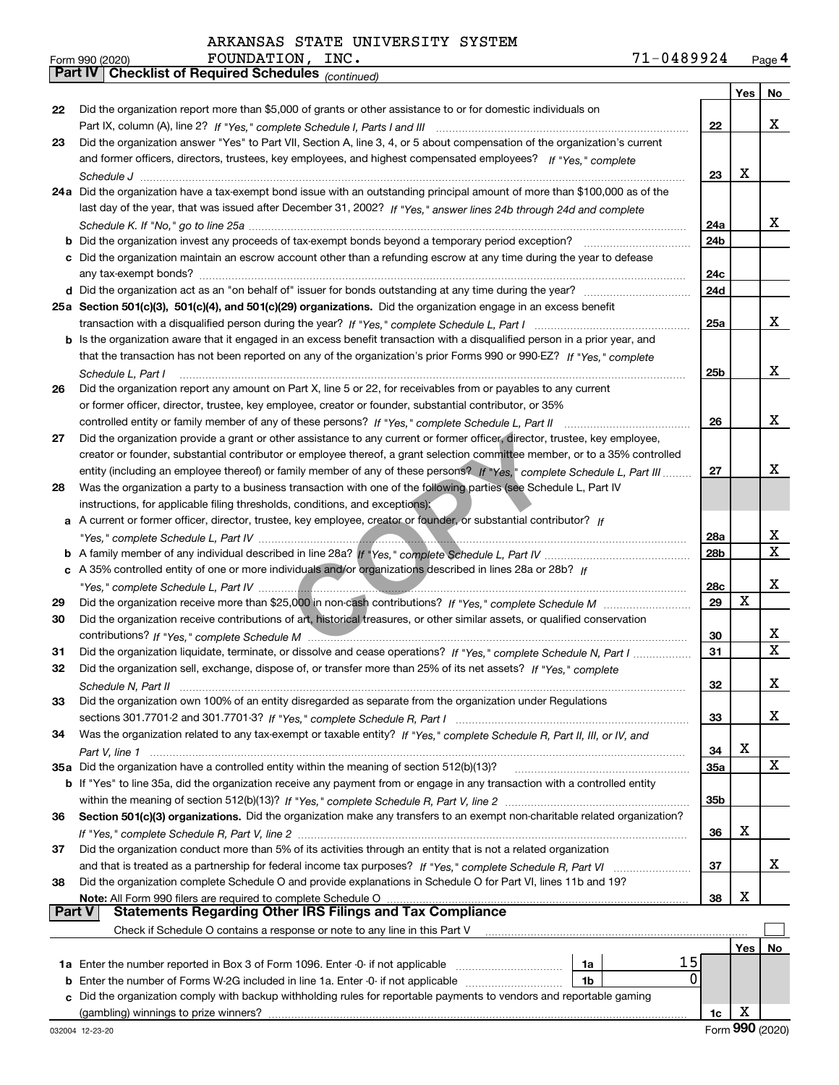*(continued)*

|               |                                                                                                                              |                 | Yes         | No               |
|---------------|------------------------------------------------------------------------------------------------------------------------------|-----------------|-------------|------------------|
| 22            | Did the organization report more than \$5,000 of grants or other assistance to or for domestic individuals on                |                 |             |                  |
|               |                                                                                                                              | 22              |             | x                |
| 23            | Did the organization answer "Yes" to Part VII, Section A, line 3, 4, or 5 about compensation of the organization's current   |                 |             |                  |
|               | and former officers, directors, trustees, key employees, and highest compensated employees? If "Yes," complete               |                 |             |                  |
|               |                                                                                                                              | 23              | X           |                  |
|               | 24a Did the organization have a tax-exempt bond issue with an outstanding principal amount of more than \$100,000 as of the  |                 |             |                  |
|               | last day of the year, that was issued after December 31, 2002? If "Yes," answer lines 24b through 24d and complete           |                 |             |                  |
|               |                                                                                                                              | 24a             |             | x                |
|               | <b>b</b> Did the organization invest any proceeds of tax-exempt bonds beyond a temporary period exception?                   | 24 <sub>b</sub> |             |                  |
|               | c Did the organization maintain an escrow account other than a refunding escrow at any time during the year to defease       |                 |             |                  |
|               | any tax-exempt bonds?                                                                                                        | 24c             |             |                  |
|               |                                                                                                                              | 24d             |             |                  |
|               | 25a Section 501(c)(3), 501(c)(4), and 501(c)(29) organizations. Did the organization engage in an excess benefit             |                 |             |                  |
|               |                                                                                                                              | 25a             |             | x                |
|               | b Is the organization aware that it engaged in an excess benefit transaction with a disqualified person in a prior year, and |                 |             |                  |
|               | that the transaction has not been reported on any of the organization's prior Forms 990 or 990-EZ? If "Yes," complete        |                 |             |                  |
|               | Schedule L, Part I                                                                                                           | 25b             |             | X                |
| 26            | Did the organization report any amount on Part X, line 5 or 22, for receivables from or payables to any current              |                 |             |                  |
|               | or former officer, director, trustee, key employee, creator or founder, substantial contributor, or 35%                      |                 |             |                  |
|               | controlled entity or family member of any of these persons? If "Yes," complete Schedule L, Part II                           | 26              |             | х                |
| 27            | Did the organization provide a grant or other assistance to any current or former officer, director, trustee, key employee,  |                 |             |                  |
|               | creator or founder, substantial contributor or employee thereof, a grant selection committee member, or to a 35% controlled  |                 |             |                  |
|               | entity (including an employee thereof) or family member of any of these persons? If "Yes," complete Schedule L, Part III     | 27              |             | х                |
| 28            | Was the organization a party to a business transaction with one of the following parties (see Schedule L, Part IV            |                 |             |                  |
|               | instructions, for applicable filing thresholds, conditions, and exceptions);                                                 |                 |             |                  |
|               | a A current or former officer, director, trustee, key employee, creator or founder, or substantial contributor? If           |                 |             |                  |
|               |                                                                                                                              | 28a             |             | х<br>$\mathbf X$ |
|               |                                                                                                                              | 28 <sub>b</sub> |             |                  |
|               | c A 35% controlled entity of one or more individuals and/or organizations described in lines 28a or 28b? If                  |                 |             | x                |
|               |                                                                                                                              | 28c<br>29       | $\mathbf X$ |                  |
| 29<br>30      | Did the organization receive contributions of art, historical treasures, or other similar assets, or qualified conservation  |                 |             |                  |
|               |                                                                                                                              | 30              |             | x                |
| 31            | Did the organization liquidate, terminate, or dissolve and cease operations? If "Yes," complete Schedule N, Part I           | 31              |             | $\mathbf X$      |
| 32            | Did the organization sell, exchange, dispose of, or transfer more than 25% of its net assets? If "Yes," complete             |                 |             |                  |
|               |                                                                                                                              | 32              |             | х                |
| 33            | Did the organization own 100% of an entity disregarded as separate from the organization under Regulations                   |                 |             |                  |
|               |                                                                                                                              | 33              |             | x                |
| 34            | Was the organization related to any tax-exempt or taxable entity? If "Yes," complete Schedule R, Part II, III, or IV, and    |                 |             |                  |
|               |                                                                                                                              | 34              | х           |                  |
|               | 35a Did the organization have a controlled entity within the meaning of section 512(b)(13)?                                  | <b>35a</b>      |             | X                |
|               | b If "Yes" to line 35a, did the organization receive any payment from or engage in any transaction with a controlled entity  |                 |             |                  |
|               |                                                                                                                              | 35 <sub>b</sub> |             |                  |
| 36            | Section 501(c)(3) organizations. Did the organization make any transfers to an exempt non-charitable related organization?   |                 |             |                  |
|               |                                                                                                                              | 36              | x           |                  |
| 37            | Did the organization conduct more than 5% of its activities through an entity that is not a related organization             |                 |             |                  |
|               |                                                                                                                              | 37              |             | x                |
| 38            | Did the organization complete Schedule O and provide explanations in Schedule O for Part VI, lines 11b and 19?               |                 |             |                  |
|               | Note: All Form 990 filers are required to complete Schedule O                                                                | 38              | x           |                  |
| <b>Part V</b> | <b>Statements Regarding Other IRS Filings and Tax Compliance</b>                                                             |                 |             |                  |
|               | Check if Schedule O contains a response or note to any line in this Part V                                                   |                 |             |                  |
|               |                                                                                                                              |                 | Yes         | No               |
|               | 15<br>1a                                                                                                                     |                 |             |                  |
|               | 0<br><b>b</b> Enter the number of Forms W-2G included in line 1a. Enter -0- if not applicable<br>1b                          |                 |             |                  |
|               | c Did the organization comply with backup withholding rules for reportable payments to vendors and reportable gaming         |                 |             |                  |
|               |                                                                                                                              | 1c              | х           |                  |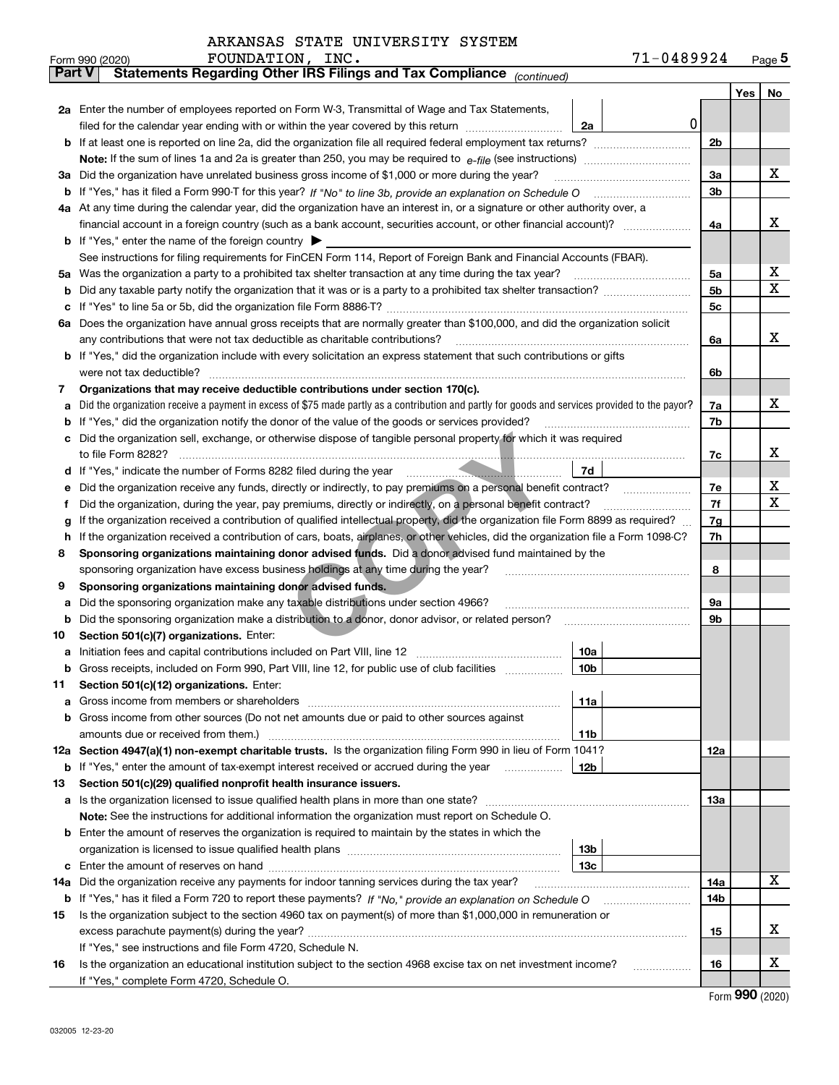| ARKANSAS STATE UNIVERSITY SYSTEM |
|----------------------------------|
|                                  |
|                                  |
|                                  |
|                                  |
|                                  |
|                                  |
|                                  |
|                                  |

|               | 71-0489924<br>FOUNDATION, INC.<br>Form 990 (2020)                                                                                               |          |     | $Page$ <sup>5</sup> |  |  |  |
|---------------|-------------------------------------------------------------------------------------------------------------------------------------------------|----------|-----|---------------------|--|--|--|
| <b>Part V</b> | Statements Regarding Other IRS Filings and Tax Compliance (continued)                                                                           |          |     |                     |  |  |  |
|               |                                                                                                                                                 |          | Yes | No                  |  |  |  |
|               | 2a Enter the number of employees reported on Form W-3, Transmittal of Wage and Tax Statements,                                                  |          |     |                     |  |  |  |
|               | filed for the calendar year ending with or within the year covered by this return<br>2a                                                         | 0        |     |                     |  |  |  |
| b             |                                                                                                                                                 | 2b       |     |                     |  |  |  |
|               |                                                                                                                                                 |          |     |                     |  |  |  |
| За            | Did the organization have unrelated business gross income of \$1,000 or more during the year?                                                   | 3a       |     | х                   |  |  |  |
| b             |                                                                                                                                                 | 3b       |     |                     |  |  |  |
|               | 4a At any time during the calendar year, did the organization have an interest in, or a signature or other authority over, a                    |          |     |                     |  |  |  |
|               |                                                                                                                                                 | 4a       |     | х                   |  |  |  |
|               | <b>b</b> If "Yes," enter the name of the foreign country $\blacktriangleright$                                                                  |          |     |                     |  |  |  |
|               | See instructions for filing requirements for FinCEN Form 114, Report of Foreign Bank and Financial Accounts (FBAR).                             |          |     |                     |  |  |  |
| 5a            | Was the organization a party to a prohibited tax shelter transaction at any time during the tax year?                                           | 5a       |     | х                   |  |  |  |
| b             |                                                                                                                                                 | 5b       |     | х                   |  |  |  |
| с             |                                                                                                                                                 | 5c       |     |                     |  |  |  |
|               | 6a Does the organization have annual gross receipts that are normally greater than \$100,000, and did the organization solicit                  |          |     |                     |  |  |  |
|               | any contributions that were not tax deductible as charitable contributions?                                                                     | 6a       |     | x                   |  |  |  |
|               | If "Yes," did the organization include with every solicitation an express statement that such contributions or gifts                            |          |     |                     |  |  |  |
|               | were not tax deductible?                                                                                                                        | 6b       |     |                     |  |  |  |
| 7             | Organizations that may receive deductible contributions under section 170(c).                                                                   |          |     |                     |  |  |  |
| а             | Did the organization receive a payment in excess of \$75 made partly as a contribution and partly for goods and services provided to the payor? | 7a       |     | х                   |  |  |  |
| b             | If "Yes," did the organization notify the donor of the value of the goods or services provided?                                                 | 7b       |     |                     |  |  |  |
| c             | Did the organization sell, exchange, or otherwise dispose of tangible personal property for which it was required                               |          |     | х                   |  |  |  |
|               |                                                                                                                                                 | 7c       |     |                     |  |  |  |
| d             | 7d                                                                                                                                              |          |     |                     |  |  |  |
| е<br>f        | Did the organization, during the year, pay premiums, directly or indirectly, on a personal benefit contract?                                    | 7e<br>7f |     | х<br>х              |  |  |  |
|               | If the organization received a contribution of qualified intellectual property, did the organization file Form 8899 as required?                | 7g       |     |                     |  |  |  |
| g<br>h        | If the organization received a contribution of cars, boats, airplanes, or other vehicles, did the organization file a Form 1098-C?              | 7h       |     |                     |  |  |  |
| 8             | Sponsoring organizations maintaining donor advised funds. Did a donor advised fund maintained by the                                            |          |     |                     |  |  |  |
|               | sponsoring organization have excess business holdings at any time during the year?                                                              | 8        |     |                     |  |  |  |
| 9             | Sponsoring organizations maintaining donor advised funds.                                                                                       |          |     |                     |  |  |  |
| а             | Did the sponsoring organization make any taxable distributions under section 4966?                                                              | 9а       |     |                     |  |  |  |
| b             | Did the sponsoring organization make a distribution to a donor, donor advisor, or related person?                                               | 9b       |     |                     |  |  |  |
| 10            | Section 501(c)(7) organizations. Enter:                                                                                                         |          |     |                     |  |  |  |
| а             | 10a                                                                                                                                             |          |     |                     |  |  |  |
|               |                                                                                                                                                 |          |     |                     |  |  |  |
| 11            | Section 501(c)(12) organizations. Enter:                                                                                                        |          |     |                     |  |  |  |
| a             | Gross income from members or shareholders<br>11a                                                                                                |          |     |                     |  |  |  |
| b             | Gross income from other sources (Do not net amounts due or paid to other sources against                                                        |          |     |                     |  |  |  |
|               | amounts due or received from them.)<br>11b                                                                                                      |          |     |                     |  |  |  |
|               | 12a Section 4947(a)(1) non-exempt charitable trusts. Is the organization filing Form 990 in lieu of Form 1041?                                  | 12a      |     |                     |  |  |  |
|               | 12 <sub>b</sub><br><b>b</b> If "Yes," enter the amount of tax-exempt interest received or accrued during the year <i>manument</i>               |          |     |                     |  |  |  |
| 13            | Section 501(c)(29) qualified nonprofit health insurance issuers.                                                                                |          |     |                     |  |  |  |
| a             | Is the organization licensed to issue qualified health plans in more than one state?                                                            | 13a      |     |                     |  |  |  |
|               | Note: See the instructions for additional information the organization must report on Schedule O.                                               |          |     |                     |  |  |  |
| b             | Enter the amount of reserves the organization is required to maintain by the states in which the                                                |          |     |                     |  |  |  |
|               | 13 <sub>b</sub>                                                                                                                                 |          |     |                     |  |  |  |
| c             | 13 <sub>c</sub>                                                                                                                                 |          |     | х                   |  |  |  |
| 14a           | Did the organization receive any payments for indoor tanning services during the tax year?                                                      |          |     |                     |  |  |  |
|               | <b>b</b> If "Yes," has it filed a Form 720 to report these payments? If "No," provide an explanation on Schedule O                              | 14b      |     |                     |  |  |  |
| 15            | Is the organization subject to the section 4960 tax on payment(s) of more than \$1,000,000 in remuneration or                                   |          |     |                     |  |  |  |
|               |                                                                                                                                                 | 15       |     | X                   |  |  |  |
|               | If "Yes," see instructions and file Form 4720, Schedule N.                                                                                      |          |     |                     |  |  |  |
| 16            | Is the organization an educational institution subject to the section 4968 excise tax on net investment income?                                 | 16       |     | X                   |  |  |  |
|               | If "Yes," complete Form 4720, Schedule O.                                                                                                       |          |     |                     |  |  |  |

Form (2020) **990**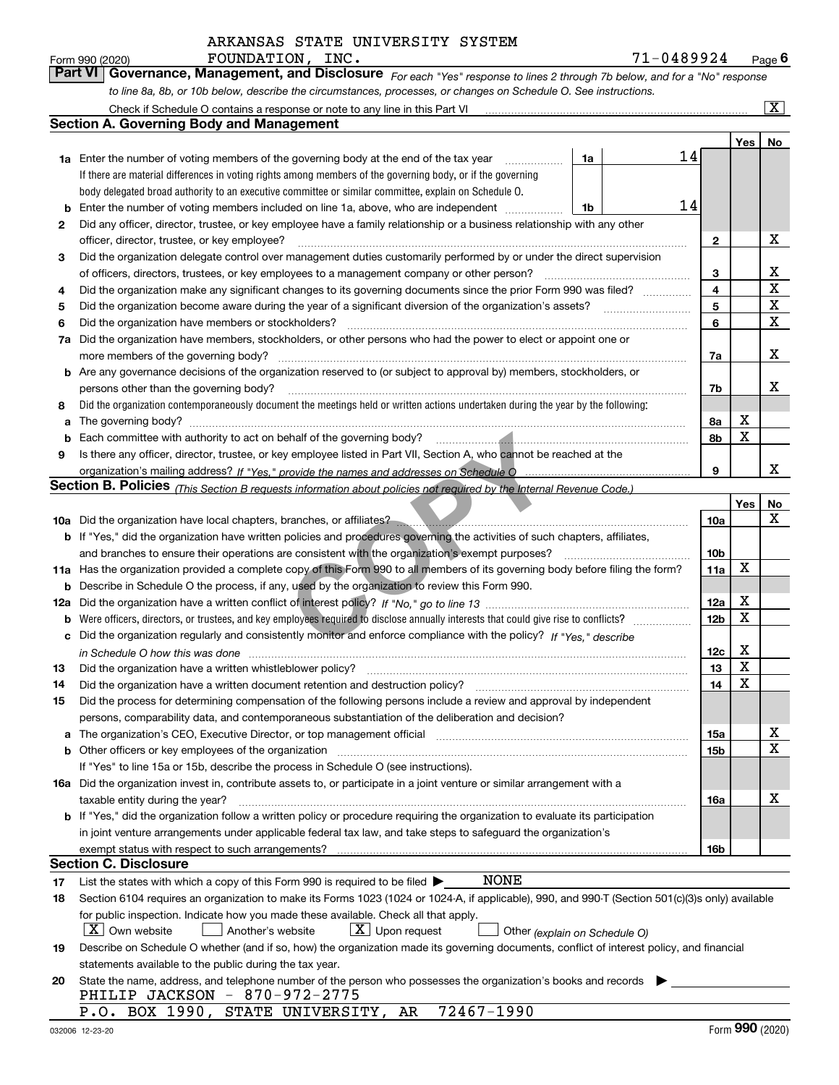#### FOUNDATION, INC. 71-0489924 ARKANSAS STATE UNIVERSITY SYSTEM

|    | FOUNDATION, INC.<br>71-0489924<br>Form 990 (2020)                                                                                                                                                                              |                 |                              | Page $6$                |
|----|--------------------------------------------------------------------------------------------------------------------------------------------------------------------------------------------------------------------------------|-----------------|------------------------------|-------------------------|
|    | <b>Part VI</b> Governance, Management, and Disclosure For each "Yes" response to lines 2 through 7b below, and for a "No" response                                                                                             |                 |                              |                         |
|    | to line 8a, 8b, or 10b below, describe the circumstances, processes, or changes on Schedule O. See instructions.                                                                                                               |                 |                              |                         |
|    | Check if Schedule O contains a response or note to any line in this Part VI                                                                                                                                                    |                 |                              | $\overline{\mathbf{x}}$ |
|    | <b>Section A. Governing Body and Management</b>                                                                                                                                                                                |                 |                              |                         |
|    |                                                                                                                                                                                                                                |                 | Yes                          | No                      |
|    | 14<br>1a Enter the number of voting members of the governing body at the end of the tax year<br>1a                                                                                                                             |                 |                              |                         |
|    | If there are material differences in voting rights among members of the governing body, or if the governing                                                                                                                    |                 |                              |                         |
|    | body delegated broad authority to an executive committee or similar committee, explain on Schedule O.                                                                                                                          |                 |                              |                         |
| b  | 14<br>Enter the number of voting members included on line 1a, above, who are independent<br>1b                                                                                                                                 |                 |                              |                         |
| 2  | Did any officer, director, trustee, or key employee have a family relationship or a business relationship with any other                                                                                                       |                 |                              |                         |
|    | officer, director, trustee, or key employee?<br>.                                                                                                                                                                              | 2               |                              | x                       |
| 3  | Did the organization delegate control over management duties customarily performed by or under the direct supervision                                                                                                          |                 |                              |                         |
|    | of officers, directors, trustees, or key employees to a management company or other person?                                                                                                                                    | 3               |                              | x                       |
| 4  | Did the organization make any significant changes to its governing documents since the prior Form 990 was filed?                                                                                                               | 4               |                              | X                       |
| 5  |                                                                                                                                                                                                                                | 5               |                              | X                       |
| 6  | Did the organization have members or stockholders?                                                                                                                                                                             | 6               |                              | X                       |
| 7a | Did the organization have members, stockholders, or other persons who had the power to elect or appoint one or                                                                                                                 |                 |                              |                         |
|    | more members of the governing body?                                                                                                                                                                                            | 7a              |                              | х                       |
| b  | Are any governance decisions of the organization reserved to (or subject to approval by) members, stockholders, or                                                                                                             |                 |                              |                         |
|    | persons other than the governing body?                                                                                                                                                                                         | 7b              |                              | X                       |
| 8  | Did the organization contemporaneously document the meetings held or written actions undertaken during the year by the following:                                                                                              |                 |                              |                         |
| a  |                                                                                                                                                                                                                                | 8a              | x                            |                         |
| b  | Each committee with authority to act on behalf of the governing body?                                                                                                                                                          | 8b              | X                            |                         |
| 9  | Is there any officer, director, trustee, or key employee listed in Part VII, Section A, who cannot be reached at the                                                                                                           |                 |                              |                         |
|    |                                                                                                                                                                                                                                | 9               |                              | x                       |
|    | Section B. Policies (This Section B requests information about policies not required by the Internal Revenue Code.)                                                                                                            |                 |                              |                         |
|    |                                                                                                                                                                                                                                |                 | Yes                          | No                      |
|    | 10a Did the organization have local chapters, branches, or affiliates?<br>10a Did the organization have local chapters, branches, or affiliates?                                                                               | 10a             |                              | х                       |
|    | <b>b</b> If "Yes," did the organization have written policies and procedures governing the activities of such chapters, affiliates,                                                                                            |                 |                              |                         |
|    | and branches to ensure their operations are consistent with the organization's exempt purposes?                                                                                                                                | 10 <sub>b</sub> |                              |                         |
|    | 11a Has the organization provided a complete copy of this Form 990 to all members of its governing body before filing the form?                                                                                                | 11a             | х                            |                         |
| b  | Describe in Schedule O the process, if any, used by the organization to review this Form 990.                                                                                                                                  |                 |                              |                         |
|    |                                                                                                                                                                                                                                | 12a             | x                            |                         |
| b  |                                                                                                                                                                                                                                | 12 <sub>b</sub> | X                            |                         |
| c  | Did the organization regularly and consistently monitor and enforce compliance with the policy? If "Yes." describe                                                                                                             |                 |                              |                         |
|    | in Schedule O how this was done measurement control to the state of the state of the state of the state of the                                                                                                                 | <u>12c</u>      | x<br>$\overline{\mathbf{x}}$ |                         |
|    |                                                                                                                                                                                                                                | 13              | X                            |                         |
| 14 | Did the organization have a written document retention and destruction policy?                                                                                                                                                 | 14              |                              |                         |
| 15 | Did the process for determining compensation of the following persons include a review and approval by independent                                                                                                             |                 |                              |                         |
|    | persons, comparability data, and contemporaneous substantiation of the deliberation and decision?                                                                                                                              |                 |                              |                         |
| a  | The organization's CEO, Executive Director, or top management official manufactured contains and contained a manufactured with the organization's CEO, Executive Director, or top management official manufactured with the st | 15a             |                              | x<br>X                  |
| b  | Other officers or key employees of the organization                                                                                                                                                                            | 15b             |                              |                         |
|    | If "Yes" to line 15a or 15b, describe the process in Schedule O (see instructions).                                                                                                                                            |                 |                              |                         |
|    | 16a Did the organization invest in, contribute assets to, or participate in a joint venture or similar arrangement with a                                                                                                      |                 |                              | x                       |
|    | taxable entity during the year?<br>b If "Yes," did the organization follow a written policy or procedure requiring the organization to evaluate its participation                                                              | 16a             |                              |                         |
|    | in joint venture arrangements under applicable federal tax law, and take steps to safeguard the organization's                                                                                                                 |                 |                              |                         |
|    |                                                                                                                                                                                                                                |                 |                              |                         |
|    | exempt status with respect to such arrangements?<br><b>Section C. Disclosure</b>                                                                                                                                               | 16b             |                              |                         |
| 17 | NONE<br>List the states with which a copy of this Form 990 is required to be filed $\blacktriangleright$                                                                                                                       |                 |                              |                         |
| 18 | Section 6104 requires an organization to make its Forms 1023 (1024 or 1024-A, if applicable), 990, and 990-T (Section 501(c)(3)s only) available                                                                               |                 |                              |                         |
|    | for public inspection. Indicate how you made these available. Check all that apply.                                                                                                                                            |                 |                              |                         |
|    | $X$ Own website<br>$X$ Upon request<br>Another's website<br>Other (explain on Schedule O)                                                                                                                                      |                 |                              |                         |
| 19 | Describe on Schedule O whether (and if so, how) the organization made its governing documents, conflict of interest policy, and financial                                                                                      |                 |                              |                         |
|    | statements available to the public during the tax year.                                                                                                                                                                        |                 |                              |                         |
|    |                                                                                                                                                                                                                                |                 |                              |                         |

| 20 State the name, address, and telephone number of the person who possesses the organization's books and records |  |
|-------------------------------------------------------------------------------------------------------------------|--|
| PHILIP JACKSON - 870-972-2775                                                                                     |  |
| P.O. BOX 1990, STATE UNIVERSITY, AR 72467-1990                                                                    |  |

Ī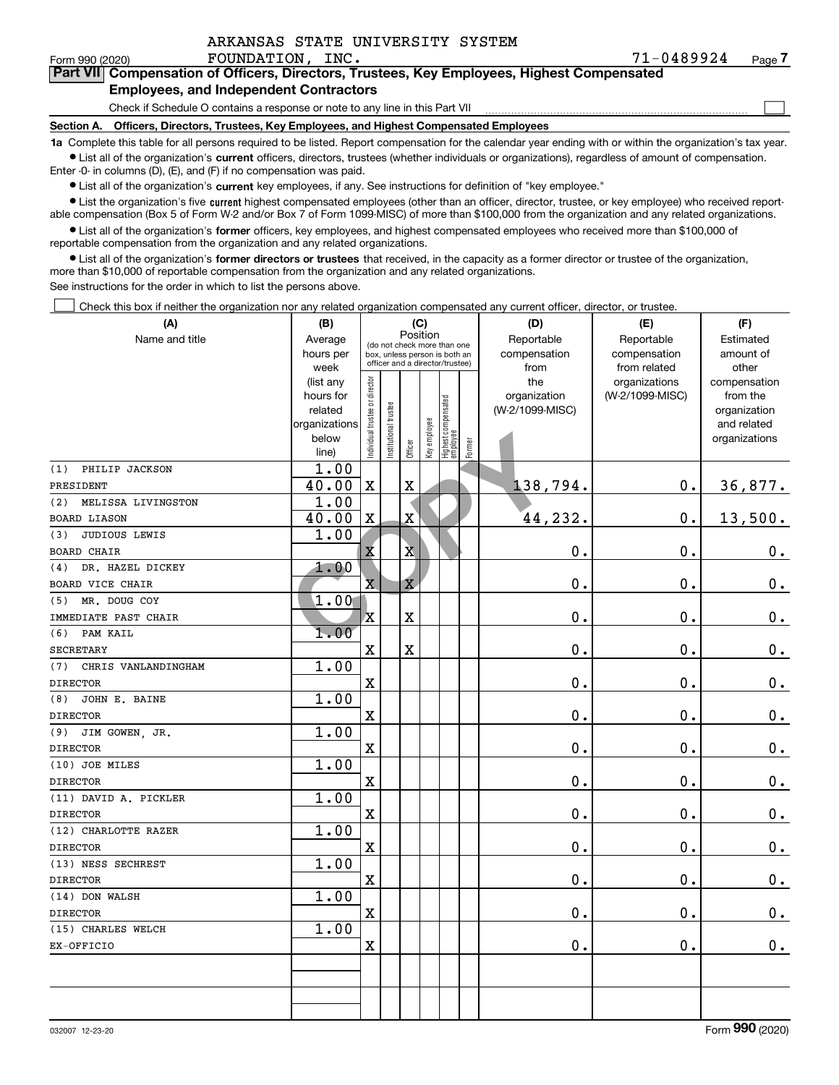|  | ARKANSAS STATE UNIVERSITY SYSTEM |  |
|--|----------------------------------|--|
|  |                                  |  |

 $\mathcal{L}^{\text{max}}$ 

| Form 990 (2020) | FOUNDATION, INC.                                                                           | 71-0489924 | Page 7 |
|-----------------|--------------------------------------------------------------------------------------------|------------|--------|
|                 | Part VII Compensation of Officers, Directors, Trustees, Key Employees, Highest Compensated |            |        |
|                 | Employees and Independent Contractors                                                      |            |        |

#### **Employees, and Independent Contractors**

Check if Schedule O contains a response or note to any line in this Part VII

**Section A. Officers, Directors, Trustees, Key Employees, and Highest Compensated Employees**

**1a**  Complete this table for all persons required to be listed. Report compensation for the calendar year ending with or within the organization's tax year. **•** List all of the organization's current officers, directors, trustees (whether individuals or organizations), regardless of amount of compensation.

Enter -0- in columns (D), (E), and (F) if no compensation was paid.

 $\bullet$  List all of the organization's  $\,$ current key employees, if any. See instructions for definition of "key employee."

• List the organization's five current highest compensated employees (other than an officer, director, trustee, or key employee) who received report-■ List the organization's five current highest compensated employees (other than an officer, director, trustee, or key employee) who received report-<br>able compensation (Box 5 of Form W-2 and/or Box 7 of Form 1099-MISC) of

**•** List all of the organization's former officers, key employees, and highest compensated employees who received more than \$100,000 of reportable compensation from the organization and any related organizations.

**former directors or trustees**  ¥ List all of the organization's that received, in the capacity as a former director or trustee of the organization, more than \$10,000 of reportable compensation from the organization and any related organizations.

See instructions for the order in which to list the persons above.

Check this box if neither the organization nor any related organization compensated any current officer, director, or trustee.  $\mathcal{L}^{\text{max}}$ 

| (A)                         | (B)                    |                                         |                               | (C)                             |              |                                   |        | (D)             | (E)             | (F)                          |
|-----------------------------|------------------------|-----------------------------------------|-------------------------------|---------------------------------|--------------|-----------------------------------|--------|-----------------|-----------------|------------------------------|
| Name and title              | Average                | Position<br>(do not check more than one |                               |                                 |              |                                   |        | Reportable      | Reportable      | Estimated                    |
|                             | hours per              |                                         | box, unless person is both an |                                 |              |                                   |        | compensation    | compensation    | amount of                    |
|                             | week                   |                                         |                               | officer and a director/trustee) |              |                                   |        | from            | from related    | other                        |
|                             | (list any              |                                         |                               |                                 |              |                                   |        | the             | organizations   | compensation                 |
|                             | hours for              |                                         |                               |                                 |              |                                   |        | organization    | (W-2/1099-MISC) | from the                     |
|                             | related                |                                         |                               |                                 |              |                                   |        | (W-2/1099-MISC) |                 | organization                 |
|                             | organizations<br>below |                                         |                               |                                 |              |                                   |        |                 |                 | and related<br>organizations |
|                             | line)                  | ndividual trustee or director           | nstitutional trustee          | Officer                         | Key employee | Highest compensated<br>  employee | Former |                 |                 |                              |
| PHILIP JACKSON<br>(1)       | 1.00                   |                                         |                               |                                 |              |                                   |        |                 |                 |                              |
| PRESIDENT                   | 40.00                  | $\mathbf x$                             |                               | X                               |              |                                   |        | 138,794.        | 0.              | 36,877.                      |
| MELISSA LIVINGSTON<br>(2)   | 1.00                   |                                         |                               |                                 |              |                                   |        |                 |                 |                              |
| <b>BOARD LIASON</b>         | 40.00                  | $\mathbf X$                             |                               | X                               |              |                                   |        | 44,232.         | 0.              | 13,500.                      |
| <b>JUDIOUS LEWIS</b><br>(3) | 1.00                   |                                         |                               |                                 |              |                                   |        |                 |                 |                              |
| <b>BOARD CHAIR</b>          |                        | X                                       |                               | $\overline{\mathbf{X}}$         |              |                                   |        | 0.              | $\mathbf 0$ .   | $0_{.}$                      |
| DR. HAZEL DICKEY<br>(4)     | 1.00                   |                                         |                               |                                 |              |                                   |        |                 |                 |                              |
| BOARD VICE CHAIR            |                        | $\overline{\mathbf{X}}$                 |                               | $\mathbf x$                     |              |                                   |        | 0.              | 0.              | $0_{.}$                      |
| MR. DOUG COY<br>(5)         | 1.00                   |                                         |                               |                                 |              |                                   |        |                 |                 |                              |
| IMMEDIATE PAST CHAIR        |                        | х                                       |                               | X                               |              |                                   |        | $\mathbf 0$ .   | 0.              | $0_{.}$                      |
| PAM KAIL<br>(6)             | 1.00                   |                                         |                               |                                 |              |                                   |        |                 |                 |                              |
| <b>SECRETARY</b>            |                        | $\mathbf X$                             |                               | X                               |              |                                   |        | $\mathbf 0$ .   | $\mathbf 0$ .   | $\mathbf 0$ .                |
| CHRIS VANLANDINGHAM<br>(7)  | 1.00                   |                                         |                               |                                 |              |                                   |        |                 |                 |                              |
| <b>DIRECTOR</b>             |                        | $\mathbf x$                             |                               |                                 |              |                                   |        | $\mathbf 0$ .   | $\mathbf 0$ .   | $\mathbf 0$ .                |
| JOHN E. BAINE<br>(8)        | 1.00                   |                                         |                               |                                 |              |                                   |        |                 |                 |                              |
| <b>DIRECTOR</b>             |                        | $\mathbf X$                             |                               |                                 |              |                                   |        | $\mathbf 0$ .   | $\mathbf 0$ .   | $\mathbf 0$ .                |
| (9)<br>JIM GOWEN, JR.       | 1.00                   |                                         |                               |                                 |              |                                   |        |                 |                 |                              |
| <b>DIRECTOR</b>             |                        | $\mathbf x$                             |                               |                                 |              |                                   |        | $\mathbf 0$ .   | $\mathbf 0$ .   | $0_{\cdot}$                  |
| (10) JOE MILES              | 1.00                   |                                         |                               |                                 |              |                                   |        |                 |                 |                              |
| <b>DIRECTOR</b>             |                        | $\mathbf X$                             |                               |                                 |              |                                   |        | $\mathbf 0$ .   | 0.              | $0_{.}$                      |
| (11) DAVID A. PICKLER       | 1.00                   |                                         |                               |                                 |              |                                   |        |                 |                 |                              |
| <b>DIRECTOR</b>             |                        | $\mathbf x$                             |                               |                                 |              |                                   |        | $\mathbf 0$ .   | $\mathbf 0$ .   | $\mathbf 0$ .                |
| (12) CHARLOTTE RAZER        | 1.00                   |                                         |                               |                                 |              |                                   |        |                 |                 |                              |
| <b>DIRECTOR</b>             |                        | $\mathbf X$                             |                               |                                 |              |                                   |        | $\mathbf 0$ .   | $\mathbf 0$ .   | $0_{.}$                      |
| (13) NESS SECHREST          | 1.00                   |                                         |                               |                                 |              |                                   |        |                 |                 |                              |
| <b>DIRECTOR</b>             |                        | $\mathbf X$                             |                               |                                 |              |                                   |        | $\mathbf 0$ .   | $\mathbf 0$ .   | $\mathbf 0$ .                |
| (14) DON WALSH              | 1.00                   |                                         |                               |                                 |              |                                   |        |                 |                 |                              |
| <b>DIRECTOR</b>             |                        | $\mathbf X$                             |                               |                                 |              |                                   |        | $\mathbf 0$ .   | 0.              | $0_{.}$                      |
| (15) CHARLES WELCH          | 1.00                   |                                         |                               |                                 |              |                                   |        |                 |                 |                              |
| EX-OFFICIO                  |                        | $\mathbf X$                             |                               |                                 |              |                                   |        | $\mathbf 0$ .   | 0.              | $\mathbf 0$ .                |
|                             |                        |                                         |                               |                                 |              |                                   |        |                 |                 |                              |
|                             |                        |                                         |                               |                                 |              |                                   |        |                 |                 |                              |
|                             |                        |                                         |                               |                                 |              |                                   |        |                 |                 |                              |
|                             |                        |                                         |                               |                                 |              |                                   |        |                 |                 |                              |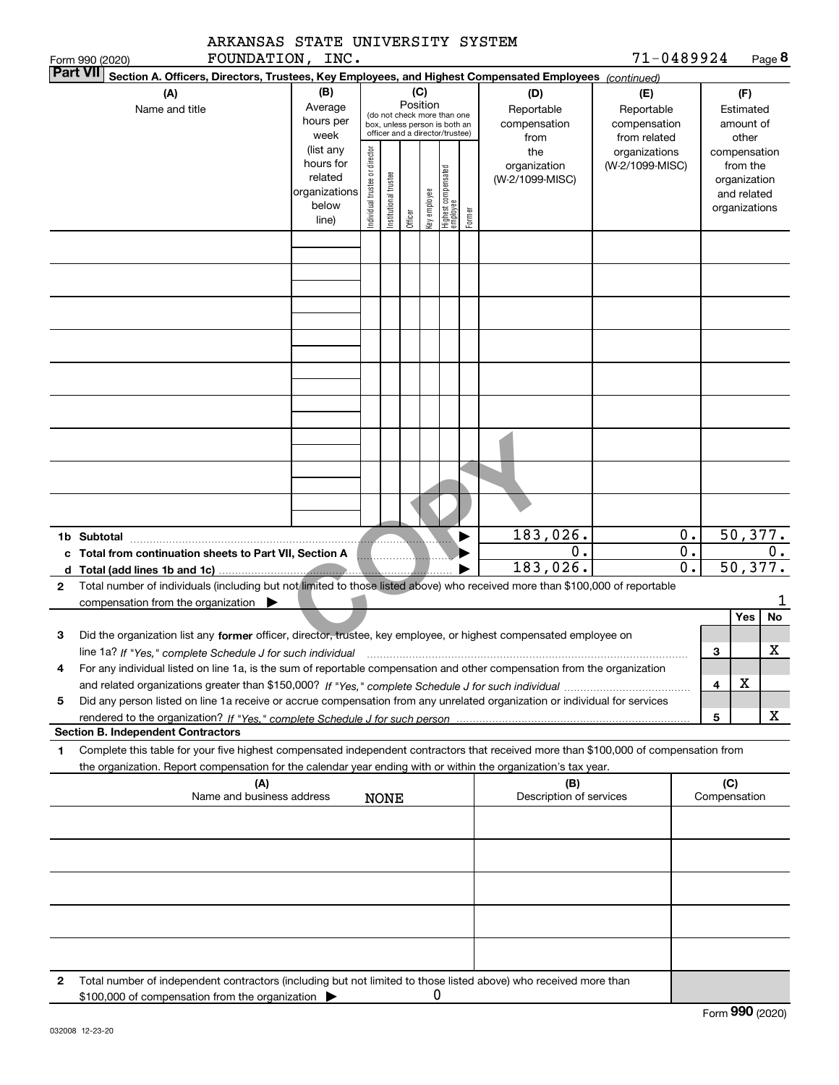|   | ARKANSAS STATE UNIVERSITY SYSTEM                                                                                                                                                                                                                                     |                                                                      |                                |                        |                                                                                                                    |              |                                   |        |                                                |                                                  |                                                                  |     |                                                                                   |                  |
|---|----------------------------------------------------------------------------------------------------------------------------------------------------------------------------------------------------------------------------------------------------------------------|----------------------------------------------------------------------|--------------------------------|------------------------|--------------------------------------------------------------------------------------------------------------------|--------------|-----------------------------------|--------|------------------------------------------------|--------------------------------------------------|------------------------------------------------------------------|-----|-----------------------------------------------------------------------------------|------------------|
|   | FOUNDATION, INC.<br>Form 990 (2020)<br><b>Part VII</b>                                                                                                                                                                                                               |                                                                      |                                |                        |                                                                                                                    |              |                                   |        |                                                | 71-0489924                                       |                                                                  |     |                                                                                   | Page 8           |
|   | Section A. Officers, Directors, Trustees, Key Employees, and Highest Compensated Employees (continued)<br>(A)<br>Name and title                                                                                                                                      | (B)<br>Average<br>hours per<br>week                                  |                                |                        | (C)<br>Position<br>(do not check more than one<br>box, unless person is both an<br>officer and a director/trustee) |              |                                   |        | (D)<br>Reportable<br>compensation              | (E)<br>Reportable<br>compensation                |                                                                  |     | (F)<br>Estimated<br>amount of                                                     |                  |
|   |                                                                                                                                                                                                                                                                      | (list any<br>hours for<br>related<br>organizations<br>below<br>line) | Individual trustee or director | In stitutional trustee | Officer                                                                                                            | Key employee | Highest compensated<br>  employee | Former | from<br>the<br>organization<br>(W-2/1099-MISC) | from related<br>organizations<br>(W-2/1099-MISC) |                                                                  |     | other<br>compensation<br>from the<br>organization<br>and related<br>organizations |                  |
|   |                                                                                                                                                                                                                                                                      |                                                                      |                                |                        |                                                                                                                    |              |                                   |        |                                                |                                                  |                                                                  |     |                                                                                   |                  |
|   |                                                                                                                                                                                                                                                                      |                                                                      |                                |                        |                                                                                                                    |              |                                   |        |                                                |                                                  |                                                                  |     |                                                                                   |                  |
|   |                                                                                                                                                                                                                                                                      |                                                                      |                                |                        |                                                                                                                    |              |                                   |        |                                                |                                                  |                                                                  |     |                                                                                   |                  |
|   |                                                                                                                                                                                                                                                                      |                                                                      |                                |                        |                                                                                                                    |              |                                   |        |                                                |                                                  |                                                                  |     |                                                                                   |                  |
|   |                                                                                                                                                                                                                                                                      |                                                                      |                                |                        |                                                                                                                    |              |                                   |        |                                                |                                                  |                                                                  |     |                                                                                   |                  |
|   | 1b Subtotal<br>c Total from continuation sheets to Part VII, Section A                                                                                                                                                                                               |                                                                      |                                |                        |                                                                                                                    |              |                                   |        | 183,026.<br>О.<br>183,026.                     |                                                  | 0.<br>$\overline{\mathfrak{0}}$ .<br>$\overline{\mathfrak{o}}$ . |     | 50, 377.<br>50,377.                                                               | $\overline{0}$ . |
| 2 | d Total (add lines 1b and 1c)<br>Total number of individuals (including but not limited to those listed above) who received more than \$100,000 of reportable                                                                                                        |                                                                      |                                |                        |                                                                                                                    |              |                                   |        |                                                |                                                  |                                                                  |     |                                                                                   |                  |
|   | compensation from the organization                                                                                                                                                                                                                                   |                                                                      |                                |                        |                                                                                                                    |              |                                   |        |                                                |                                                  |                                                                  |     | Yes                                                                               | <b>No</b>        |
| з | Did the organization list any former officer, director, trustee, key employee, or highest compensated employee on<br>line 1a? If "Yes," complete Schedule J for such individual manufactured contained and the 1a? If "Yes," complete Schedule J for such individual |                                                                      |                                |                        |                                                                                                                    |              |                                   |        |                                                |                                                  |                                                                  | з   |                                                                                   | X                |
| 4 | For any individual listed on line 1a, is the sum of reportable compensation and other compensation from the organization                                                                                                                                             |                                                                      |                                |                        |                                                                                                                    |              |                                   |        |                                                |                                                  |                                                                  |     | х                                                                                 |                  |
| 5 | Did any person listed on line 1a receive or accrue compensation from any unrelated organization or individual for services                                                                                                                                           |                                                                      |                                |                        |                                                                                                                    |              |                                   |        |                                                |                                                  |                                                                  | 4   |                                                                                   |                  |
|   | <b>Section B. Independent Contractors</b>                                                                                                                                                                                                                            |                                                                      |                                |                        |                                                                                                                    |              |                                   |        |                                                |                                                  |                                                                  | 5   |                                                                                   | x                |
| 1 | Complete this table for your five highest compensated independent contractors that received more than \$100,000 of compensation from                                                                                                                                 |                                                                      |                                |                        |                                                                                                                    |              |                                   |        |                                                |                                                  |                                                                  |     |                                                                                   |                  |
|   | the organization. Report compensation for the calendar year ending with or within the organization's tax year.<br>(A)<br>Name and business address                                                                                                                   |                                                                      |                                | <b>NONE</b>            |                                                                                                                    |              |                                   |        | (B)<br>Description of services                 |                                                  |                                                                  | (C) | Compensation                                                                      |                  |
|   |                                                                                                                                                                                                                                                                      |                                                                      |                                |                        |                                                                                                                    |              |                                   |        |                                                |                                                  |                                                                  |     |                                                                                   |                  |
|   |                                                                                                                                                                                                                                                                      |                                                                      |                                |                        |                                                                                                                    |              |                                   |        |                                                |                                                  |                                                                  |     |                                                                                   |                  |
|   |                                                                                                                                                                                                                                                                      |                                                                      |                                |                        |                                                                                                                    |              |                                   |        |                                                |                                                  |                                                                  |     |                                                                                   |                  |
|   |                                                                                                                                                                                                                                                                      |                                                                      |                                |                        |                                                                                                                    |              |                                   |        |                                                |                                                  |                                                                  |     |                                                                                   |                  |
|   |                                                                                                                                                                                                                                                                      |                                                                      |                                |                        |                                                                                                                    |              |                                   |        |                                                |                                                  |                                                                  |     |                                                                                   |                  |
| 2 | Total number of independent contractors (including but not limited to those listed above) who received more than<br>\$100,000 of compensation from the organization                                                                                                  |                                                                      |                                |                        |                                                                                                                    | 0            |                                   |        |                                                |                                                  |                                                                  |     | $F_{\text{arm}}$ 990 (2020)                                                       |                  |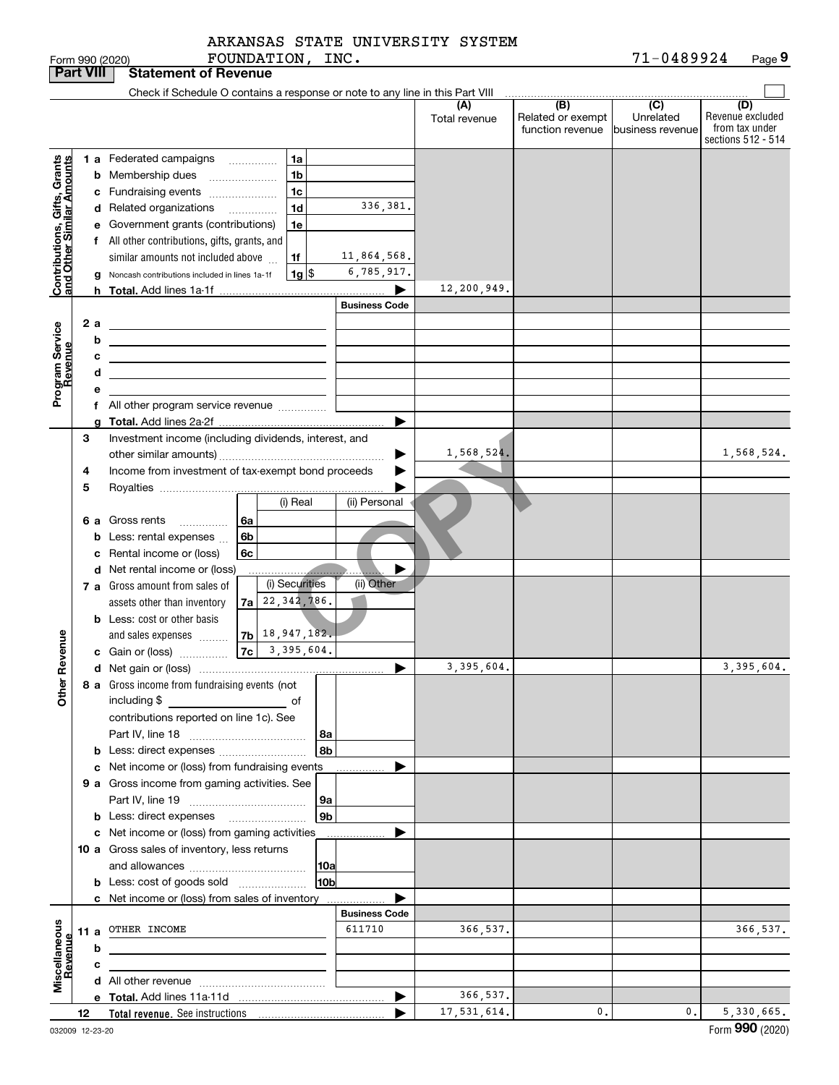|  | ARKANSAS STATE UNIVERSITY SYSTEM |  |
|--|----------------------------------|--|
|  |                                  |  |

|                                                           |    |        | FOUNDATION, INC.<br>Form 990 (2020)                                                                                   |                      |                      |                                       | 71-0489924                                      | Page 9                                                          |
|-----------------------------------------------------------|----|--------|-----------------------------------------------------------------------------------------------------------------------|----------------------|----------------------|---------------------------------------|-------------------------------------------------|-----------------------------------------------------------------|
| <b>Part VIII</b>                                          |    |        | <b>Statement of Revenue</b>                                                                                           |                      |                      |                                       |                                                 |                                                                 |
|                                                           |    |        | Check if Schedule O contains a response or note to any line in this Part VIII                                         |                      |                      | (B)                                   |                                                 |                                                                 |
|                                                           |    |        |                                                                                                                       |                      | (A)<br>Total revenue | Related or exempt<br>function revenue | $\overline{C}$<br>Unrelated<br>business revenue | (D)<br>Revenue excluded<br>from tax under<br>sections 512 - 514 |
|                                                           |    |        | 1a<br>1 a Federated campaigns                                                                                         |                      |                      |                                       |                                                 |                                                                 |
| Contributions, Gifts, Grants<br>and Other Similar Amounts |    |        | 1 <sub>b</sub><br><b>b</b> Membership dues<br>$\ldots \ldots \ldots \ldots \ldots$                                    |                      |                      |                                       |                                                 |                                                                 |
|                                                           |    |        | 1 <sub>c</sub><br>c Fundraising events                                                                                |                      |                      |                                       |                                                 |                                                                 |
|                                                           |    |        | 1 <sub>d</sub><br>d Related organizations                                                                             | 336,381.             |                      |                                       |                                                 |                                                                 |
|                                                           |    |        | 1e<br>e Government grants (contributions)                                                                             |                      |                      |                                       |                                                 |                                                                 |
|                                                           |    |        | f All other contributions, gifts, grants, and                                                                         |                      |                      |                                       |                                                 |                                                                 |
|                                                           |    |        | similar amounts not included above<br>1f                                                                              | 11,864,568.          |                      |                                       |                                                 |                                                                 |
|                                                           |    |        | 1g <br>Noncash contributions included in lines 1a-1f                                                                  | 6,785,917.           |                      |                                       |                                                 |                                                                 |
|                                                           |    |        |                                                                                                                       |                      | 12,200,949.          |                                       |                                                 |                                                                 |
|                                                           |    |        |                                                                                                                       | <b>Business Code</b> |                      |                                       |                                                 |                                                                 |
|                                                           |    | 2 a    | <u> 1989 - Johann Barn, mars ann an t-Amhain Aonaich an t-Aonaich an t-Aonaich an t-Aonaich an t-Aonaich an t-Aon</u> |                      |                      |                                       |                                                 |                                                                 |
| Program Service<br>Revenue                                |    | b      | <u> 1989 - Johann Barn, mars eta bainar eta industrial eta baina eta baina eta baina eta baina eta baina eta bain</u> |                      |                      |                                       |                                                 |                                                                 |
|                                                           |    | с      |                                                                                                                       |                      |                      |                                       |                                                 |                                                                 |
|                                                           |    | d      |                                                                                                                       |                      |                      |                                       |                                                 |                                                                 |
|                                                           |    | е      |                                                                                                                       |                      |                      |                                       |                                                 |                                                                 |
|                                                           |    |        | f All other program service revenue                                                                                   |                      |                      |                                       |                                                 |                                                                 |
|                                                           |    | g      |                                                                                                                       | ▶                    |                      |                                       |                                                 |                                                                 |
|                                                           | 3  |        | Investment income (including dividends, interest, and                                                                 |                      |                      |                                       |                                                 |                                                                 |
|                                                           |    |        |                                                                                                                       | ▶                    | 1,568,524.           |                                       |                                                 | 1,568,524.                                                      |
|                                                           | 4  |        | Income from investment of tax-exempt bond proceeds                                                                    |                      |                      |                                       |                                                 |                                                                 |
|                                                           | 5  |        | (i) Real                                                                                                              | (ii) Personal        |                      |                                       |                                                 |                                                                 |
|                                                           |    |        |                                                                                                                       |                      |                      |                                       |                                                 |                                                                 |
|                                                           |    | 6а     | Gross rents<br><b>6a</b><br>Less: rental expenses<br>6b                                                               |                      |                      |                                       |                                                 |                                                                 |
|                                                           |    | b<br>с | 6c<br>Rental income or (loss)                                                                                         |                      |                      |                                       |                                                 |                                                                 |
|                                                           |    |        | d Net rental income or (loss)                                                                                         | ▶                    |                      |                                       |                                                 |                                                                 |
|                                                           |    |        | (i) Securities<br>7 a Gross amount from sales of                                                                      | (ii) Other           |                      |                                       |                                                 |                                                                 |
|                                                           |    |        | 22, 342, 786.<br>7a<br>assets other than inventory                                                                    |                      |                      |                                       |                                                 |                                                                 |
|                                                           |    |        | <b>b</b> Less: cost or other basis                                                                                    |                      |                      |                                       |                                                 |                                                                 |
|                                                           |    |        | 7b   18, 947, 182.<br>and sales expenses                                                                              |                      |                      |                                       |                                                 |                                                                 |
| evenue                                                    |    |        | 7c<br>3,395,604.<br>c Gain or (loss)                                                                                  |                      |                      |                                       |                                                 |                                                                 |
| Ĕ.                                                        |    |        |                                                                                                                       |                      | 3,395,604.           |                                       |                                                 | 3,395,604.                                                      |
| Other                                                     |    |        | 8 a Gross income from fundraising events (not                                                                         |                      |                      |                                       |                                                 |                                                                 |
|                                                           |    |        | including \$<br>and the contract of the contract of                                                                   |                      |                      |                                       |                                                 |                                                                 |
|                                                           |    |        | contributions reported on line 1c). See                                                                               |                      |                      |                                       |                                                 |                                                                 |
|                                                           |    |        | 8а                                                                                                                    |                      |                      |                                       |                                                 |                                                                 |
|                                                           |    |        | 8b                                                                                                                    |                      |                      |                                       |                                                 |                                                                 |
|                                                           |    |        | c Net income or (loss) from fundraising events                                                                        |                      |                      |                                       |                                                 |                                                                 |
|                                                           |    |        | 9 a Gross income from gaming activities. See                                                                          |                      |                      |                                       |                                                 |                                                                 |
|                                                           |    |        | 9а                                                                                                                    |                      |                      |                                       |                                                 |                                                                 |
|                                                           |    |        | 9 <sub>b</sub>                                                                                                        |                      |                      |                                       |                                                 |                                                                 |
|                                                           |    |        | c Net income or (loss) from gaming activities                                                                         |                      |                      |                                       |                                                 |                                                                 |
|                                                           |    |        | 10 a Gross sales of inventory, less returns                                                                           |                      |                      |                                       |                                                 |                                                                 |
|                                                           |    |        | 10a<br>10 <sub>b</sub><br><b>b</b> Less: cost of goods sold                                                           |                      |                      |                                       |                                                 |                                                                 |
|                                                           |    |        | c Net income or (loss) from sales of inventory                                                                        |                      |                      |                                       |                                                 |                                                                 |
|                                                           |    |        |                                                                                                                       | <b>Business Code</b> |                      |                                       |                                                 |                                                                 |
|                                                           |    |        | 11 a OTHER INCOME                                                                                                     | 611710               | 366,537.             |                                       |                                                 | 366,537.                                                        |
| Miscellaneous<br>Revenue                                  |    | b      |                                                                                                                       |                      |                      |                                       |                                                 |                                                                 |
|                                                           |    | с      |                                                                                                                       |                      |                      |                                       |                                                 |                                                                 |
|                                                           |    |        |                                                                                                                       |                      |                      |                                       |                                                 |                                                                 |
|                                                           |    |        |                                                                                                                       | ▶                    | 366,537.             |                                       |                                                 |                                                                 |
|                                                           | 12 |        |                                                                                                                       |                      | 17,531,614.          | 0.                                    | 0.                                              | 5,330,665.                                                      |
| 032009 12-23-20                                           |    |        |                                                                                                                       |                      |                      |                                       |                                                 | Form 990 (2020)                                                 |
|                                                           |    |        |                                                                                                                       |                      |                      |                                       |                                                 |                                                                 |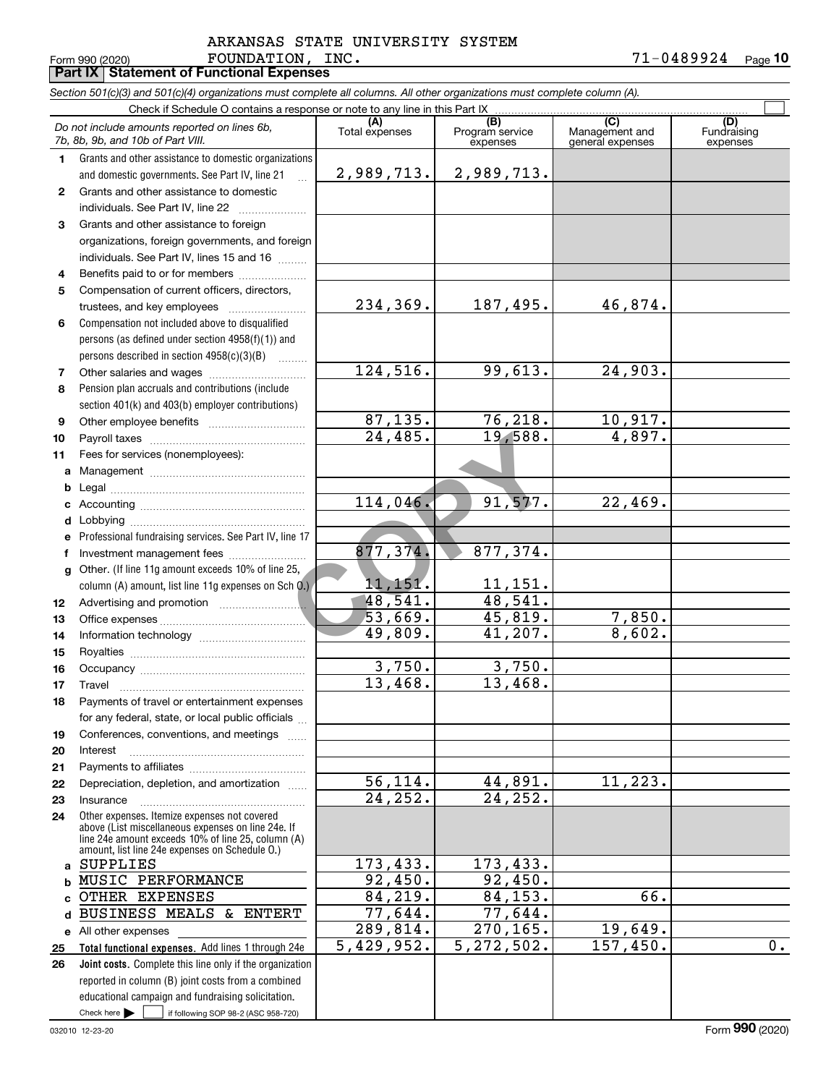#### Form 990 (2020) Page **Part IX Statement of Functional Expenses**  ${\tt FOUNDATION}$ ,  ${\tt INC.}$   ${\tt 71-0489924}$ ARKANSAS STATE UNIVERSITY SYSTEM

| Section 501(c)(3) and 501(c)(4) organizations must complete all columns. All other organizations must complete column (A). |                                                                                                                                                                                                            |                       |                                    |                                           |                                |  |  |  |
|----------------------------------------------------------------------------------------------------------------------------|------------------------------------------------------------------------------------------------------------------------------------------------------------------------------------------------------------|-----------------------|------------------------------------|-------------------------------------------|--------------------------------|--|--|--|
|                                                                                                                            | Check if Schedule O contains a response or note to any line in this Part IX                                                                                                                                |                       |                                    |                                           |                                |  |  |  |
|                                                                                                                            | Do not include amounts reported on lines 6b,<br>7b, 8b, 9b, and 10b of Part VIII.                                                                                                                          | (A)<br>Total expenses | (B)<br>Program service<br>expenses | (C)<br>Management and<br>general expenses | (D)<br>Fundraising<br>expenses |  |  |  |
| 1                                                                                                                          | Grants and other assistance to domestic organizations                                                                                                                                                      |                       |                                    |                                           |                                |  |  |  |
|                                                                                                                            | and domestic governments. See Part IV, line 21                                                                                                                                                             | 2,989,713.            | 2,989,713.                         |                                           |                                |  |  |  |
| $\mathbf{2}$                                                                                                               | Grants and other assistance to domestic                                                                                                                                                                    |                       |                                    |                                           |                                |  |  |  |
|                                                                                                                            | individuals. See Part IV, line 22                                                                                                                                                                          |                       |                                    |                                           |                                |  |  |  |
| 3                                                                                                                          | Grants and other assistance to foreign                                                                                                                                                                     |                       |                                    |                                           |                                |  |  |  |
|                                                                                                                            | organizations, foreign governments, and foreign                                                                                                                                                            |                       |                                    |                                           |                                |  |  |  |
|                                                                                                                            | individuals. See Part IV, lines 15 and 16                                                                                                                                                                  |                       |                                    |                                           |                                |  |  |  |
| 4                                                                                                                          | Benefits paid to or for members                                                                                                                                                                            |                       |                                    |                                           |                                |  |  |  |
| 5                                                                                                                          | Compensation of current officers, directors,                                                                                                                                                               |                       |                                    |                                           |                                |  |  |  |
|                                                                                                                            | trustees, and key employees                                                                                                                                                                                | 234,369.              | 187,495.                           | 46,874.                                   |                                |  |  |  |
| 6                                                                                                                          | Compensation not included above to disqualified                                                                                                                                                            |                       |                                    |                                           |                                |  |  |  |
|                                                                                                                            | persons (as defined under section 4958(f)(1)) and                                                                                                                                                          |                       |                                    |                                           |                                |  |  |  |
|                                                                                                                            | persons described in section $4958(c)(3)(B)$                                                                                                                                                               |                       |                                    |                                           |                                |  |  |  |
| 7                                                                                                                          |                                                                                                                                                                                                            | 124,516.              | 99,613.                            | 24,903.                                   |                                |  |  |  |
| 8                                                                                                                          | Pension plan accruals and contributions (include                                                                                                                                                           |                       |                                    |                                           |                                |  |  |  |
|                                                                                                                            | section 401(k) and 403(b) employer contributions)                                                                                                                                                          |                       |                                    |                                           |                                |  |  |  |
| 9                                                                                                                          |                                                                                                                                                                                                            | 87,135.               | 76, 218.                           | <u> 10,917.</u>                           |                                |  |  |  |
| 10                                                                                                                         |                                                                                                                                                                                                            | $\overline{24,485}$ . | 19,588.                            | $\overline{4,897}$ .                      |                                |  |  |  |
| 11                                                                                                                         | Fees for services (nonemployees):                                                                                                                                                                          |                       |                                    |                                           |                                |  |  |  |
| a                                                                                                                          |                                                                                                                                                                                                            |                       |                                    |                                           |                                |  |  |  |
| b                                                                                                                          |                                                                                                                                                                                                            |                       |                                    |                                           |                                |  |  |  |
| c                                                                                                                          |                                                                                                                                                                                                            | 114,046.              | 91,577.                            | 22,469.                                   |                                |  |  |  |
| d                                                                                                                          |                                                                                                                                                                                                            |                       |                                    |                                           |                                |  |  |  |
| е                                                                                                                          | Professional fundraising services. See Part IV, line 17                                                                                                                                                    | 877,374.              | 877,374.                           |                                           |                                |  |  |  |
| f                                                                                                                          | Investment management fees                                                                                                                                                                                 |                       |                                    |                                           |                                |  |  |  |
| g                                                                                                                          | Other. (If line 11g amount exceeds 10% of line 25,                                                                                                                                                         | <u>11,151.</u>        | <u>11,151.</u>                     |                                           |                                |  |  |  |
| 12                                                                                                                         | column (A) amount, list line 11g expenses on Sch 0.)                                                                                                                                                       | 48,541.               | 48,541.                            |                                           |                                |  |  |  |
| 13                                                                                                                         |                                                                                                                                                                                                            | 53,669.               | 45,819.                            | 7,850.                                    |                                |  |  |  |
| 14                                                                                                                         |                                                                                                                                                                                                            | 49,809.               | 41,207.                            | 8,602.                                    |                                |  |  |  |
| 15                                                                                                                         |                                                                                                                                                                                                            |                       |                                    |                                           |                                |  |  |  |
| 16                                                                                                                         |                                                                                                                                                                                                            | 3,750.                | 3,750.                             |                                           |                                |  |  |  |
| 17                                                                                                                         |                                                                                                                                                                                                            | 13,468.               | 13,468.                            |                                           |                                |  |  |  |
| 18                                                                                                                         | Payments of travel or entertainment expenses                                                                                                                                                               |                       |                                    |                                           |                                |  |  |  |
|                                                                                                                            | for any federal, state, or local public officials                                                                                                                                                          |                       |                                    |                                           |                                |  |  |  |
| 19                                                                                                                         | Conferences, conventions, and meetings                                                                                                                                                                     |                       |                                    |                                           |                                |  |  |  |
| 20                                                                                                                         | Interest                                                                                                                                                                                                   |                       |                                    |                                           |                                |  |  |  |
| 21                                                                                                                         |                                                                                                                                                                                                            |                       |                                    |                                           |                                |  |  |  |
| 22                                                                                                                         | Depreciation, depletion, and amortization                                                                                                                                                                  | 56, 114.              | 44,891.                            | 11,223.                                   |                                |  |  |  |
| 23                                                                                                                         | Insurance                                                                                                                                                                                                  | $\overline{24,252}$ . | 24,252.                            |                                           |                                |  |  |  |
| 24                                                                                                                         | Other expenses. Itemize expenses not covered<br>above (List miscellaneous expenses on line 24e. If<br>line 24e amount exceeds 10% of line 25, column (A)<br>amount, list line 24e expenses on Schedule O.) |                       |                                    |                                           |                                |  |  |  |
| a                                                                                                                          | SUPPLIES                                                                                                                                                                                                   | 173,433.              | 173,433.                           |                                           |                                |  |  |  |
| b                                                                                                                          | MUSIC PERFORMANCE                                                                                                                                                                                          | 92,450.               | 92,450.                            |                                           |                                |  |  |  |
| C                                                                                                                          | OTHER EXPENSES                                                                                                                                                                                             | 84,219.               | 84, 153.                           | 66.                                       |                                |  |  |  |
| d                                                                                                                          | BUSINESS MEALS & ENTERT                                                                                                                                                                                    | 77,644.               | 77,644.                            |                                           |                                |  |  |  |
|                                                                                                                            | e All other expenses                                                                                                                                                                                       | 289,814.              | 270, 165.                          | 19,649.                                   |                                |  |  |  |
| 25                                                                                                                         | Total functional expenses. Add lines 1 through 24e                                                                                                                                                         | 5,429,952.            | 5,272,502.                         | 157,450.                                  | 0.                             |  |  |  |
| 26                                                                                                                         | Joint costs. Complete this line only if the organization                                                                                                                                                   |                       |                                    |                                           |                                |  |  |  |
|                                                                                                                            | reported in column (B) joint costs from a combined                                                                                                                                                         |                       |                                    |                                           |                                |  |  |  |
|                                                                                                                            | educational campaign and fundraising solicitation.<br>Check here $\blacktriangleright$                                                                                                                     |                       |                                    |                                           |                                |  |  |  |
|                                                                                                                            | if following SOP 98-2 (ASC 958-720)                                                                                                                                                                        |                       |                                    |                                           |                                |  |  |  |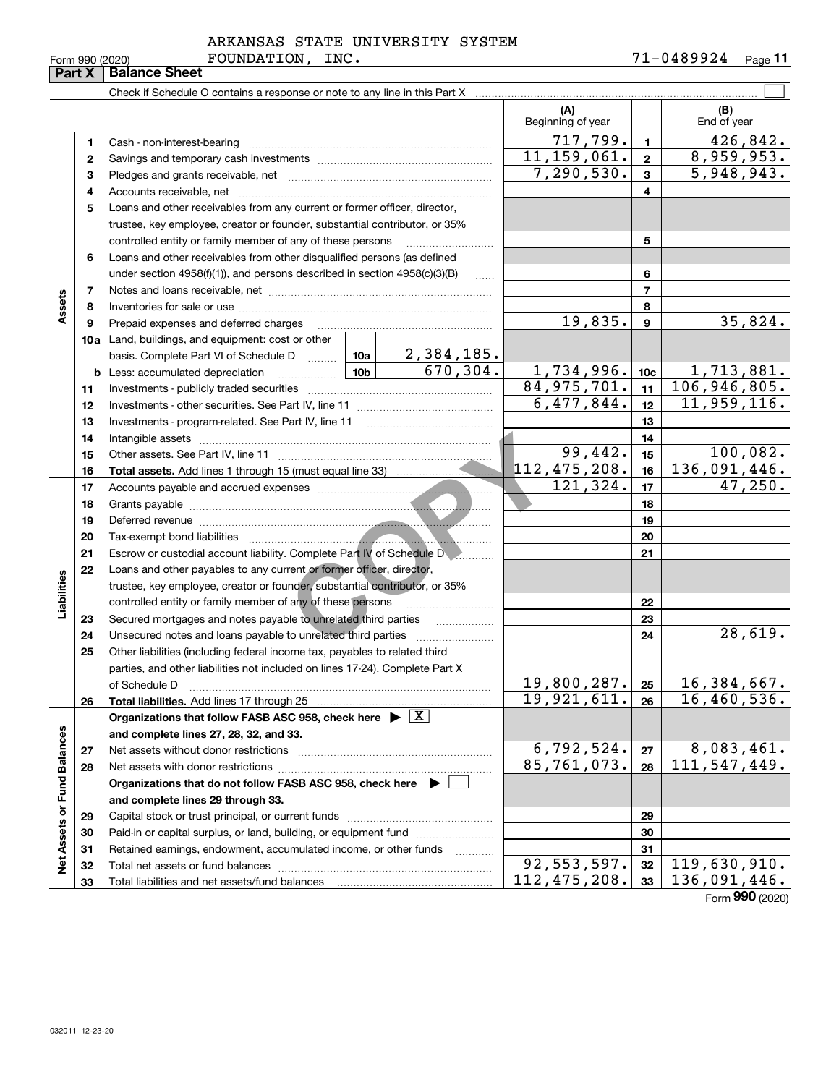|  | Form 990 (2020) |
|--|-----------------|
|  |                 |

|                             | Form 990 (2020) | FUUNDATION,<br>TMC.                                                                                                                                                                                                                  |                             |                 | 71-0489924<br>Page II |
|-----------------------------|-----------------|--------------------------------------------------------------------------------------------------------------------------------------------------------------------------------------------------------------------------------------|-----------------------------|-----------------|-----------------------|
|                             | Part X          | <b>Balance Sheet</b>                                                                                                                                                                                                                 |                             |                 |                       |
|                             |                 | Check if Schedule O contains a response or note to any line in this Part X [11] manuscription contains a response or note to any line in this Part X [11] manuscription of the Schedule O contains a response or note to any l       |                             |                 |                       |
|                             |                 |                                                                                                                                                                                                                                      | (A)<br>Beginning of year    |                 | (B)<br>End of year    |
|                             | 1               |                                                                                                                                                                                                                                      | 717,799.                    | $\mathbf{1}$    | 426,842.              |
|                             | 2               |                                                                                                                                                                                                                                      | 11, 159, 061.               | $\mathbf{2}$    | 8,959,953.            |
|                             | 3               |                                                                                                                                                                                                                                      | 7,290,530.                  | 3               | 5,948,943.            |
|                             | 4               |                                                                                                                                                                                                                                      |                             | 4               |                       |
|                             | 5               | Loans and other receivables from any current or former officer, director,                                                                                                                                                            |                             |                 |                       |
|                             |                 | trustee, key employee, creator or founder, substantial contributor, or 35%                                                                                                                                                           |                             |                 |                       |
|                             |                 | controlled entity or family member of any of these persons [                                                                                                                                                                         |                             | 5               |                       |
|                             | 6               | Loans and other receivables from other disqualified persons (as defined                                                                                                                                                              |                             |                 |                       |
|                             |                 | under section $4958(f)(1)$ , and persons described in section $4958(c)(3)(B)$<br>$\ldots$                                                                                                                                            |                             | 6               |                       |
|                             | 7               |                                                                                                                                                                                                                                      |                             | $\overline{7}$  |                       |
| Assets                      | 8               |                                                                                                                                                                                                                                      |                             | 8               |                       |
|                             | 9               | Prepaid expenses and deferred charges                                                                                                                                                                                                | 19,835.                     | 9               | 35,824.               |
|                             |                 | 10a Land, buildings, and equipment: cost or other                                                                                                                                                                                    |                             |                 |                       |
|                             |                 | basis. Complete Part VI of Schedule D    10a   2, 384, 185.                                                                                                                                                                          |                             |                 |                       |
|                             |                 | 670, 304.                                                                                                                                                                                                                            | 1,734,996.                  | 10 <sub>c</sub> | 1,713,881.            |
|                             | 11              |                                                                                                                                                                                                                                      | 84,975,701.                 | 11              | 106,946,805.          |
|                             | 12              |                                                                                                                                                                                                                                      | 6,477,844.                  | 12 <sup>2</sup> | 11,959,116.           |
|                             | 13              |                                                                                                                                                                                                                                      |                             | 13              |                       |
|                             | 14              |                                                                                                                                                                                                                                      |                             | 14              |                       |
|                             | 15              |                                                                                                                                                                                                                                      | 99,442.                     | 15              | 100,082.              |
|                             | 16              |                                                                                                                                                                                                                                      | 112, 475, 208.              | 16              | 136,091,446.          |
|                             | 17              |                                                                                                                                                                                                                                      | $\overline{121}$ , 324.     | 17              | 47,250.               |
|                             | 18              |                                                                                                                                                                                                                                      |                             | 18              |                       |
|                             | 19              | Deferred revenue <b>contract and the contract of the contract of the contract of the contract of the contract of the contract of the contract of the contract of the contract of the contract of the contract of the contract of</b> |                             | 19              |                       |
|                             | 20              |                                                                                                                                                                                                                                      |                             | 20              |                       |
|                             | 21              | Escrow or custodial account liability. Complete Part IV of Schedule Domession                                                                                                                                                        |                             | 21              |                       |
|                             | 22              | Loans and other payables to any current or former officer, director,                                                                                                                                                                 |                             |                 |                       |
|                             |                 | trustee, key employee, creator or founder, substantial contributor, or 35%                                                                                                                                                           |                             |                 |                       |
| Liabilities                 |                 | controlled entity or family member of any of these persons                                                                                                                                                                           |                             | 22              |                       |
|                             | 23              |                                                                                                                                                                                                                                      |                             | 23              |                       |
|                             | 24              |                                                                                                                                                                                                                                      |                             | 24              | 28,619.               |
|                             | 25              | Other liabilities (including federal income tax, payables to related third                                                                                                                                                           |                             |                 |                       |
|                             |                 | parties, and other liabilities not included on lines 17-24). Complete Part X                                                                                                                                                         |                             |                 |                       |
|                             |                 | of Schedule D                                                                                                                                                                                                                        | 19,800,287.                 | 25              | 16, 384, 667.         |
|                             | 26              | Total liabilities. Add lines 17 through 25                                                                                                                                                                                           | 19,921,611.                 | 26              | 16, 460, 536.         |
|                             |                 | Organizations that follow FASB ASC 958, check here $\triangleright \lfloor X \rfloor$                                                                                                                                                |                             |                 |                       |
|                             |                 | and complete lines 27, 28, 32, and 33.                                                                                                                                                                                               |                             |                 |                       |
|                             | 27              | Net assets without donor restrictions                                                                                                                                                                                                | 6,792,524.                  | 27              | 8,083,461.            |
|                             | 28              |                                                                                                                                                                                                                                      | 85,761,073.                 | 28              | 111,547,449.          |
|                             |                 | Organizations that do not follow FASB ASC 958, check here $\blacktriangleright$                                                                                                                                                      |                             |                 |                       |
|                             |                 | and complete lines 29 through 33.                                                                                                                                                                                                    |                             |                 |                       |
|                             | 29              |                                                                                                                                                                                                                                      |                             | 29              |                       |
|                             | 30              | Paid-in or capital surplus, or land, building, or equipment fund                                                                                                                                                                     |                             | 30              |                       |
| Net Assets or Fund Balances | 31              | Retained earnings, endowment, accumulated income, or other funds                                                                                                                                                                     |                             | 31              |                       |
|                             | 32              |                                                                                                                                                                                                                                      | $\overline{92}$ , 553, 597. | 32              | 119,630,910.          |
|                             | 33              |                                                                                                                                                                                                                                      | 112,475,208.                | 33              | 136,091,446.          |
|                             |                 |                                                                                                                                                                                                                                      |                             |                 | Form 990 (2020)       |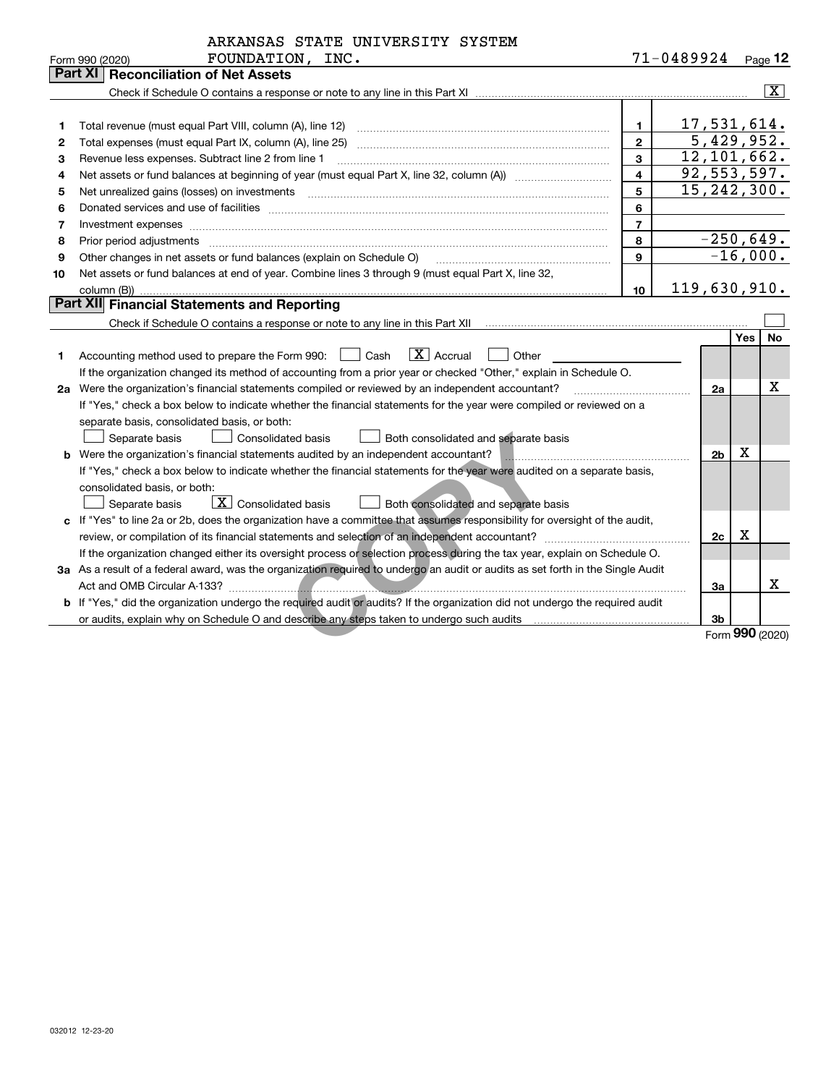|              | ARKANSAS STATE UNIVERSITY SYSTEM                                                                                                                                                                                               |                         |            |                             |     |                       |
|--------------|--------------------------------------------------------------------------------------------------------------------------------------------------------------------------------------------------------------------------------|-------------------------|------------|-----------------------------|-----|-----------------------|
|              | FOUNDATION, INC.<br>Form 990 (2020)                                                                                                                                                                                            |                         | 71-0489924 |                             |     | $_{\text{Page}}$ 12   |
|              | <b>Part XI   Reconciliation of Net Assets</b>                                                                                                                                                                                  |                         |            |                             |     |                       |
|              |                                                                                                                                                                                                                                |                         |            |                             |     | $\overline{\text{X}}$ |
|              |                                                                                                                                                                                                                                |                         |            |                             |     |                       |
| 1            |                                                                                                                                                                                                                                | $\blacksquare$          |            | 17,531,614.                 |     |                       |
| $\mathbf{2}$ |                                                                                                                                                                                                                                | $\mathbf{2}$            |            | 5,429,952.                  |     |                       |
| з            | Revenue less expenses. Subtract line 2 from line 1                                                                                                                                                                             | 3                       |            | 12, 101, 662.               |     |                       |
| 4            |                                                                                                                                                                                                                                | $\overline{\mathbf{4}}$ |            | $\overline{92, 553, 597}$ . |     |                       |
| 5            | Net unrealized gains (losses) on investments [11] matter continuum matter is a set of the set of the set of the                                                                                                                | 5                       |            | 15, 242, 300.               |     |                       |
| 6            | Donated services and use of facilities [111] matter contracts and the facilities in the matter of facilities [11] matter contracts and use of facilities [11] matter contracts and the service of the service of the service o | 6                       |            |                             |     |                       |
| 7            | Investment expenses www.communication.communication.com/interaction.com/interaction.com/interaction.com/interaction.com/interaction.com/interaction.com/interaction.com/interaction.com/interaction.com/interaction.com/intera | $\overline{7}$          |            |                             |     |                       |
| 8            | Prior period adjustments with the continuum contract of the contract of the contract of the contract of the contract of the contract of the contract of the contract of the contract of the contract of the contract of the co | 8                       |            | $-250,649.$                 |     |                       |
| 9            | Other changes in net assets or fund balances (explain on Schedule O)                                                                                                                                                           | 9                       |            |                             |     | $-16,000.$            |
| 10           | Net assets or fund balances at end of year. Combine lines 3 through 9 (must equal Part X, line 32,                                                                                                                             |                         |            |                             |     |                       |
|              | column (B))                                                                                                                                                                                                                    | 10                      |            | 119,630,910.                |     |                       |
|              | Part XII Financial Statements and Reporting                                                                                                                                                                                    |                         |            |                             |     |                       |
|              |                                                                                                                                                                                                                                |                         |            |                             |     |                       |
|              |                                                                                                                                                                                                                                |                         |            |                             | Yes | No                    |
| 1            | $\boxed{\mathbf{X}}$ Accrual<br>Accounting method used to prepare the Form 990: [16] Cash<br>$\Box$ Other                                                                                                                      |                         |            |                             |     |                       |
|              | If the organization changed its method of accounting from a prior year or checked "Other," explain in Schedule O.                                                                                                              |                         |            |                             |     |                       |
|              | 2a Were the organization's financial statements compiled or reviewed by an independent accountant?                                                                                                                             |                         |            | 2a                          |     | х                     |
|              | If "Yes," check a box below to indicate whether the financial statements for the year were compiled or reviewed on a                                                                                                           |                         |            |                             |     |                       |
|              | separate basis, consolidated basis, or both:                                                                                                                                                                                   |                         |            |                             |     |                       |
|              | Consolidated basis<br>Separate basis<br>Both consolidated and separate basis                                                                                                                                                   |                         |            |                             |     |                       |
|              | <b>b</b> Were the organization's financial statements audited by an independent accountant?                                                                                                                                    |                         |            | 2 <sub>b</sub>              | Х   |                       |
|              | If "Yes," check a box below to indicate whether the financial statements for the year were audited on a separate basis,                                                                                                        |                         |            |                             |     |                       |
|              | consolidated basis, or both:                                                                                                                                                                                                   |                         |            |                             |     |                       |
|              | $\boxed{\textbf{X}}$ Consolidated basis<br>Separate basis<br>Both consolidated and separate basis                                                                                                                              |                         |            |                             |     |                       |
|              | c If "Yes" to line 2a or 2b, does the organization have a committee that assumes responsibility for oversight of the audit,                                                                                                    |                         |            |                             |     |                       |
|              |                                                                                                                                                                                                                                |                         |            | 2c                          | Х   |                       |
|              | If the organization changed either its oversight process or selection process during the tax year, explain on Schedule O.                                                                                                      |                         |            |                             |     |                       |
|              | 3a As a result of a federal award, was the organization required to undergo an audit or audits as set forth in the Single Audit                                                                                                |                         |            |                             |     |                       |
|              |                                                                                                                                                                                                                                |                         |            | За                          |     | X                     |
|              | b If "Yes," did the organization undergo the required audit or audits? If the organization did not undergo the required audit                                                                                                  |                         |            |                             |     |                       |
|              | or audits, explain why on Schedule O and describe any steps taken to undergo such audits                                                                                                                                       |                         |            | 3b                          |     |                       |
|              |                                                                                                                                                                                                                                |                         |            | Form 990 (2020)             |     |                       |
|              |                                                                                                                                                                                                                                |                         |            |                             |     |                       |

Form (2020) **990**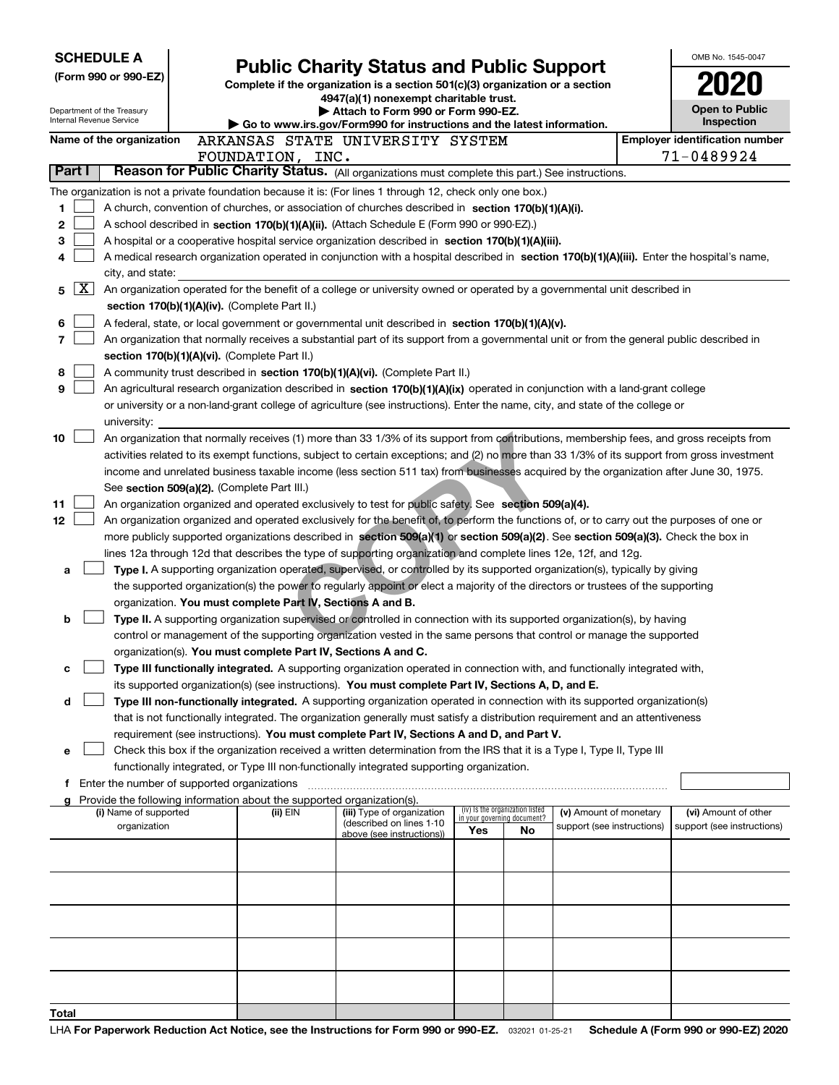| <b>SCHEDULE A</b><br><b>Public Charity Status and Public Support</b> |                                               |  |                                                                               |                                                                                                                                                                                                                                               |                                                                | OMB No. 1545-0047 |                            |  |                                       |
|----------------------------------------------------------------------|-----------------------------------------------|--|-------------------------------------------------------------------------------|-----------------------------------------------------------------------------------------------------------------------------------------------------------------------------------------------------------------------------------------------|----------------------------------------------------------------|-------------------|----------------------------|--|---------------------------------------|
| (Form 990 or 990-EZ)                                                 |                                               |  | Complete if the organization is a section 501(c)(3) organization or a section |                                                                                                                                                                                                                                               |                                                                |                   |                            |  |                                       |
|                                                                      |                                               |  | 4947(a)(1) nonexempt charitable trust.                                        |                                                                                                                                                                                                                                               |                                                                |                   |                            |  |                                       |
|                                                                      | Department of the Treasury                    |  | Attach to Form 990 or Form 990-EZ.                                            |                                                                                                                                                                                                                                               | <b>Open to Public</b>                                          |                   |                            |  |                                       |
|                                                                      | Internal Revenue Service                      |  |                                                                               | Go to www.irs.gov/Form990 for instructions and the latest information.                                                                                                                                                                        |                                                                |                   |                            |  | Inspection                            |
|                                                                      | Name of the organization                      |  |                                                                               | ARKANSAS STATE UNIVERSITY SYSTEM                                                                                                                                                                                                              |                                                                |                   |                            |  | <b>Employer identification number</b> |
|                                                                      |                                               |  | FOUNDATION, INC.                                                              |                                                                                                                                                                                                                                               |                                                                |                   |                            |  | 71-0489924                            |
| Part I                                                               |                                               |  |                                                                               | Reason for Public Charity Status. (All organizations must complete this part.) See instructions.                                                                                                                                              |                                                                |                   |                            |  |                                       |
|                                                                      |                                               |  |                                                                               | The organization is not a private foundation because it is: (For lines 1 through 12, check only one box.)                                                                                                                                     |                                                                |                   |                            |  |                                       |
| 1                                                                    |                                               |  |                                                                               | A church, convention of churches, or association of churches described in section 170(b)(1)(A)(i).                                                                                                                                            |                                                                |                   |                            |  |                                       |
| 2                                                                    |                                               |  |                                                                               | A school described in section 170(b)(1)(A)(ii). (Attach Schedule E (Form 990 or 990-EZ).)                                                                                                                                                     |                                                                |                   |                            |  |                                       |
| 3                                                                    |                                               |  |                                                                               | A hospital or a cooperative hospital service organization described in section 170(b)(1)(A)(iii).                                                                                                                                             |                                                                |                   |                            |  |                                       |
|                                                                      |                                               |  |                                                                               | A medical research organization operated in conjunction with a hospital described in section 170(b)(1)(A)(iii). Enter the hospital's name,                                                                                                    |                                                                |                   |                            |  |                                       |
|                                                                      | city, and state:<br>ΧI                        |  |                                                                               | An organization operated for the benefit of a college or university owned or operated by a governmental unit described in                                                                                                                     |                                                                |                   |                            |  |                                       |
| 5                                                                    |                                               |  | section 170(b)(1)(A)(iv). (Complete Part II.)                                 |                                                                                                                                                                                                                                               |                                                                |                   |                            |  |                                       |
| 6                                                                    |                                               |  |                                                                               | A federal, state, or local government or governmental unit described in section 170(b)(1)(A)(v).                                                                                                                                              |                                                                |                   |                            |  |                                       |
| 7                                                                    |                                               |  |                                                                               | An organization that normally receives a substantial part of its support from a governmental unit or from the general public described in                                                                                                     |                                                                |                   |                            |  |                                       |
|                                                                      |                                               |  | section 170(b)(1)(A)(vi). (Complete Part II.)                                 |                                                                                                                                                                                                                                               |                                                                |                   |                            |  |                                       |
| 8                                                                    |                                               |  |                                                                               | A community trust described in section 170(b)(1)(A)(vi). (Complete Part II.)                                                                                                                                                                  |                                                                |                   |                            |  |                                       |
| 9                                                                    |                                               |  |                                                                               | An agricultural research organization described in section 170(b)(1)(A)(ix) operated in conjunction with a land-grant college                                                                                                                 |                                                                |                   |                            |  |                                       |
|                                                                      |                                               |  |                                                                               | or university or a non-land-grant college of agriculture (see instructions). Enter the name, city, and state of the college or                                                                                                                |                                                                |                   |                            |  |                                       |
|                                                                      | university:                                   |  |                                                                               |                                                                                                                                                                                                                                               |                                                                |                   |                            |  |                                       |
| 10                                                                   |                                               |  |                                                                               | An organization that normally receives (1) more than 33 1/3% of its support from contributions, membership fees, and gross receipts from                                                                                                      |                                                                |                   |                            |  |                                       |
|                                                                      |                                               |  |                                                                               | activities related to its exempt functions, subject to certain exceptions; and (2) no more than 33 1/3% of its support from gross investment                                                                                                  |                                                                |                   |                            |  |                                       |
|                                                                      |                                               |  |                                                                               | income and unrelated business taxable income (less section 511 tax) from businesses acquired by the organization after June 30, 1975.                                                                                                         |                                                                |                   |                            |  |                                       |
|                                                                      |                                               |  | See section 509(a)(2). (Complete Part III.)                                   |                                                                                                                                                                                                                                               |                                                                |                   |                            |  |                                       |
| 11                                                                   |                                               |  |                                                                               | An organization organized and operated exclusively to test for public safety. See section 509(a)(4).                                                                                                                                          |                                                                |                   |                            |  |                                       |
| 12                                                                   |                                               |  |                                                                               | An organization organized and operated exclusively for the benefit of, to perform the functions of, or to carry out the purposes of one or                                                                                                    |                                                                |                   |                            |  |                                       |
|                                                                      |                                               |  |                                                                               | more publicly supported organizations described in section 509(a)(1) or section 509(a)(2). See section 509(a)(3). Check the box in                                                                                                            |                                                                |                   |                            |  |                                       |
| а                                                                    |                                               |  |                                                                               | lines 12a through 12d that describes the type of supporting organization and complete lines 12e, 12f, and 12g.<br>Type I. A supporting organization operated, supervised, or controlled by its supported organization(s), typically by giving |                                                                |                   |                            |  |                                       |
|                                                                      |                                               |  |                                                                               | the supported organization(s) the power to regularly appoint or elect a majority of the directors or trustees of the supporting                                                                                                               |                                                                |                   |                            |  |                                       |
|                                                                      |                                               |  | organization. You must complete Part IV, Sections A and B.                    |                                                                                                                                                                                                                                               |                                                                |                   |                            |  |                                       |
| b                                                                    |                                               |  |                                                                               | Type II. A supporting organization supervised or controlled in connection with its supported organization(s), by having                                                                                                                       |                                                                |                   |                            |  |                                       |
|                                                                      |                                               |  |                                                                               | control or management of the supporting organization vested in the same persons that control or manage the supported                                                                                                                          |                                                                |                   |                            |  |                                       |
|                                                                      |                                               |  | organization(s). You must complete Part IV, Sections A and C.                 |                                                                                                                                                                                                                                               |                                                                |                   |                            |  |                                       |
| с                                                                    |                                               |  |                                                                               | Type III functionally integrated. A supporting organization operated in connection with, and functionally integrated with,                                                                                                                    |                                                                |                   |                            |  |                                       |
|                                                                      |                                               |  |                                                                               | its supported organization(s) (see instructions). You must complete Part IV, Sections A, D, and E.                                                                                                                                            |                                                                |                   |                            |  |                                       |
| d                                                                    |                                               |  |                                                                               | Type III non-functionally integrated. A supporting organization operated in connection with its supported organization(s)                                                                                                                     |                                                                |                   |                            |  |                                       |
|                                                                      |                                               |  |                                                                               | that is not functionally integrated. The organization generally must satisfy a distribution requirement and an attentiveness                                                                                                                  |                                                                |                   |                            |  |                                       |
|                                                                      |                                               |  |                                                                               | requirement (see instructions). You must complete Part IV, Sections A and D, and Part V.                                                                                                                                                      |                                                                |                   |                            |  |                                       |
| е                                                                    |                                               |  |                                                                               | Check this box if the organization received a written determination from the IRS that it is a Type I, Type II, Type III                                                                                                                       |                                                                |                   |                            |  |                                       |
|                                                                      |                                               |  |                                                                               | functionally integrated, or Type III non-functionally integrated supporting organization.                                                                                                                                                     |                                                                |                   |                            |  |                                       |
|                                                                      | f Enter the number of supported organizations |  | Provide the following information about the supported organization(s).        |                                                                                                                                                                                                                                               |                                                                |                   |                            |  |                                       |
|                                                                      | (i) Name of supported                         |  | (ii) EIN                                                                      | (iii) Type of organization                                                                                                                                                                                                                    | (iv) Is the organization listed<br>in your governing document? |                   | (v) Amount of monetary     |  | (vi) Amount of other                  |
|                                                                      | organization                                  |  |                                                                               | (described on lines 1-10<br>above (see instructions))                                                                                                                                                                                         | Yes                                                            | No.               | support (see instructions) |  | support (see instructions)            |
|                                                                      |                                               |  |                                                                               |                                                                                                                                                                                                                                               |                                                                |                   |                            |  |                                       |
|                                                                      |                                               |  |                                                                               |                                                                                                                                                                                                                                               |                                                                |                   |                            |  |                                       |
|                                                                      |                                               |  |                                                                               |                                                                                                                                                                                                                                               |                                                                |                   |                            |  |                                       |
|                                                                      |                                               |  |                                                                               |                                                                                                                                                                                                                                               |                                                                |                   |                            |  |                                       |
|                                                                      |                                               |  |                                                                               |                                                                                                                                                                                                                                               |                                                                |                   |                            |  |                                       |
|                                                                      |                                               |  |                                                                               |                                                                                                                                                                                                                                               |                                                                |                   |                            |  |                                       |
|                                                                      |                                               |  |                                                                               |                                                                                                                                                                                                                                               |                                                                |                   |                            |  |                                       |
|                                                                      |                                               |  |                                                                               |                                                                                                                                                                                                                                               |                                                                |                   |                            |  |                                       |
|                                                                      |                                               |  |                                                                               |                                                                                                                                                                                                                                               |                                                                |                   |                            |  |                                       |
|                                                                      |                                               |  |                                                                               |                                                                                                                                                                                                                                               |                                                                |                   |                            |  |                                       |
| Total                                                                |                                               |  |                                                                               |                                                                                                                                                                                                                                               |                                                                |                   |                            |  |                                       |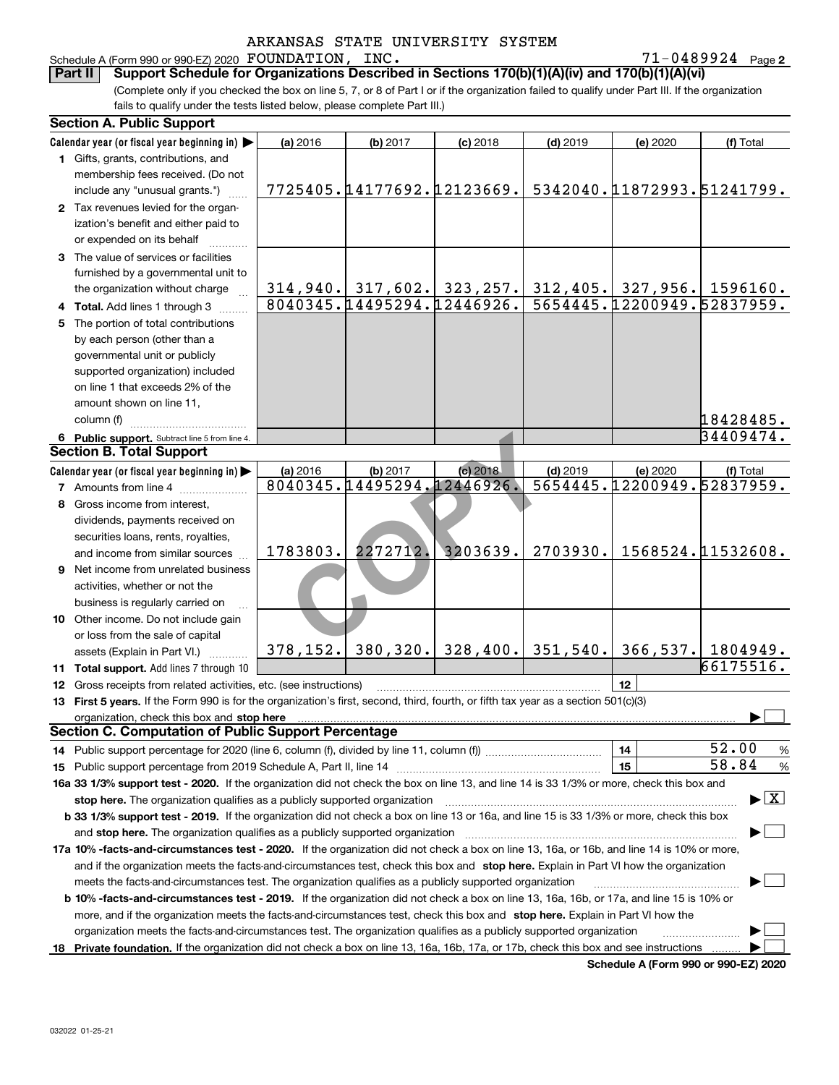#### Schedule A (Form 990 or 990-EZ) 2020 Page FOUNDATION, INC. 71-0489924

**2**

(Complete only if you checked the box on line 5, 7, or 8 of Part I or if the organization failed to qualify under Part III. If the organization fails to qualify under the tests listed below, please complete Part III.) **Part II Support Schedule for Organizations Described in Sections 170(b)(1)(A)(iv) and 170(b)(1)(A)(vi)** 

| Calendar year (or fiscal year beginning in)<br>(f) Total<br>(a) 2016<br>(b) 2017<br>$(c)$ 2018<br>$(d)$ 2019<br>(e) 2020<br>1 Gifts, grants, contributions, and<br>membership fees received. (Do not<br>7725405.14177692.12123669.<br>5342040. 11872993. 51241799.<br>include any "unusual grants.")<br>2 Tax revenues levied for the organ-<br>ization's benefit and either paid to<br>or expended on its behalf<br>3 The value of services or facilities<br>furnished by a governmental unit to<br><u>314,940.   317,602.   323,257.   312,405.   327,956.   1596160.</u><br>the organization without charge<br>8040345.14495294.12446926.<br>5654445.12200949.52837959.<br>4 Total. Add lines 1 through 3<br>The portion of total contributions<br>5<br>by each person (other than a<br>governmental unit or publicly<br>supported organization) included<br>on line 1 that exceeds 2% of the<br>amount shown on line 11,<br>18428485.<br>column (f) |   |  |  |  |  |  |
|---------------------------------------------------------------------------------------------------------------------------------------------------------------------------------------------------------------------------------------------------------------------------------------------------------------------------------------------------------------------------------------------------------------------------------------------------------------------------------------------------------------------------------------------------------------------------------------------------------------------------------------------------------------------------------------------------------------------------------------------------------------------------------------------------------------------------------------------------------------------------------------------------------------------------------------------------------|---|--|--|--|--|--|
|                                                                                                                                                                                                                                                                                                                                                                                                                                                                                                                                                                                                                                                                                                                                                                                                                                                                                                                                                         |   |  |  |  |  |  |
|                                                                                                                                                                                                                                                                                                                                                                                                                                                                                                                                                                                                                                                                                                                                                                                                                                                                                                                                                         |   |  |  |  |  |  |
|                                                                                                                                                                                                                                                                                                                                                                                                                                                                                                                                                                                                                                                                                                                                                                                                                                                                                                                                                         |   |  |  |  |  |  |
|                                                                                                                                                                                                                                                                                                                                                                                                                                                                                                                                                                                                                                                                                                                                                                                                                                                                                                                                                         |   |  |  |  |  |  |
|                                                                                                                                                                                                                                                                                                                                                                                                                                                                                                                                                                                                                                                                                                                                                                                                                                                                                                                                                         |   |  |  |  |  |  |
|                                                                                                                                                                                                                                                                                                                                                                                                                                                                                                                                                                                                                                                                                                                                                                                                                                                                                                                                                         |   |  |  |  |  |  |
|                                                                                                                                                                                                                                                                                                                                                                                                                                                                                                                                                                                                                                                                                                                                                                                                                                                                                                                                                         |   |  |  |  |  |  |
|                                                                                                                                                                                                                                                                                                                                                                                                                                                                                                                                                                                                                                                                                                                                                                                                                                                                                                                                                         |   |  |  |  |  |  |
|                                                                                                                                                                                                                                                                                                                                                                                                                                                                                                                                                                                                                                                                                                                                                                                                                                                                                                                                                         |   |  |  |  |  |  |
|                                                                                                                                                                                                                                                                                                                                                                                                                                                                                                                                                                                                                                                                                                                                                                                                                                                                                                                                                         |   |  |  |  |  |  |
|                                                                                                                                                                                                                                                                                                                                                                                                                                                                                                                                                                                                                                                                                                                                                                                                                                                                                                                                                         |   |  |  |  |  |  |
|                                                                                                                                                                                                                                                                                                                                                                                                                                                                                                                                                                                                                                                                                                                                                                                                                                                                                                                                                         |   |  |  |  |  |  |
|                                                                                                                                                                                                                                                                                                                                                                                                                                                                                                                                                                                                                                                                                                                                                                                                                                                                                                                                                         |   |  |  |  |  |  |
|                                                                                                                                                                                                                                                                                                                                                                                                                                                                                                                                                                                                                                                                                                                                                                                                                                                                                                                                                         |   |  |  |  |  |  |
|                                                                                                                                                                                                                                                                                                                                                                                                                                                                                                                                                                                                                                                                                                                                                                                                                                                                                                                                                         |   |  |  |  |  |  |
|                                                                                                                                                                                                                                                                                                                                                                                                                                                                                                                                                                                                                                                                                                                                                                                                                                                                                                                                                         |   |  |  |  |  |  |
|                                                                                                                                                                                                                                                                                                                                                                                                                                                                                                                                                                                                                                                                                                                                                                                                                                                                                                                                                         |   |  |  |  |  |  |
|                                                                                                                                                                                                                                                                                                                                                                                                                                                                                                                                                                                                                                                                                                                                                                                                                                                                                                                                                         |   |  |  |  |  |  |
|                                                                                                                                                                                                                                                                                                                                                                                                                                                                                                                                                                                                                                                                                                                                                                                                                                                                                                                                                         |   |  |  |  |  |  |
| 34409474.<br>6 Public support. Subtract line 5 from line 4.                                                                                                                                                                                                                                                                                                                                                                                                                                                                                                                                                                                                                                                                                                                                                                                                                                                                                             |   |  |  |  |  |  |
| <b>Section B. Total Support</b>                                                                                                                                                                                                                                                                                                                                                                                                                                                                                                                                                                                                                                                                                                                                                                                                                                                                                                                         |   |  |  |  |  |  |
| Calendar year (or fiscal year beginning in)<br>$(c)$ 2018<br>(a) 2016<br>(b) 2017<br>$(d)$ 2019<br>(e) 2020<br>(f) Total                                                                                                                                                                                                                                                                                                                                                                                                                                                                                                                                                                                                                                                                                                                                                                                                                                |   |  |  |  |  |  |
| 8040345.14495294.12446926.<br>5654445.12200949.52837959.<br><b>7</b> Amounts from line 4                                                                                                                                                                                                                                                                                                                                                                                                                                                                                                                                                                                                                                                                                                                                                                                                                                                                |   |  |  |  |  |  |
| Gross income from interest,<br>8                                                                                                                                                                                                                                                                                                                                                                                                                                                                                                                                                                                                                                                                                                                                                                                                                                                                                                                        |   |  |  |  |  |  |
| dividends, payments received on                                                                                                                                                                                                                                                                                                                                                                                                                                                                                                                                                                                                                                                                                                                                                                                                                                                                                                                         |   |  |  |  |  |  |
| securities loans, rents, royalties,                                                                                                                                                                                                                                                                                                                                                                                                                                                                                                                                                                                                                                                                                                                                                                                                                                                                                                                     |   |  |  |  |  |  |
| 2272712.<br>3203639.<br>1568524.11532608.<br>1783803.<br>2703930.<br>and income from similar sources                                                                                                                                                                                                                                                                                                                                                                                                                                                                                                                                                                                                                                                                                                                                                                                                                                                    |   |  |  |  |  |  |
| <b>9</b> Net income from unrelated business                                                                                                                                                                                                                                                                                                                                                                                                                                                                                                                                                                                                                                                                                                                                                                                                                                                                                                             |   |  |  |  |  |  |
| activities, whether or not the                                                                                                                                                                                                                                                                                                                                                                                                                                                                                                                                                                                                                                                                                                                                                                                                                                                                                                                          |   |  |  |  |  |  |
| business is regularly carried on                                                                                                                                                                                                                                                                                                                                                                                                                                                                                                                                                                                                                                                                                                                                                                                                                                                                                                                        |   |  |  |  |  |  |
| 10 Other income. Do not include gain                                                                                                                                                                                                                                                                                                                                                                                                                                                                                                                                                                                                                                                                                                                                                                                                                                                                                                                    |   |  |  |  |  |  |
| or loss from the sale of capital                                                                                                                                                                                                                                                                                                                                                                                                                                                                                                                                                                                                                                                                                                                                                                                                                                                                                                                        |   |  |  |  |  |  |
| $378, 152.$ 380, 320. 328, 400. 351, 540. 366, 537.<br>1804949.<br>assets (Explain in Part VI.)                                                                                                                                                                                                                                                                                                                                                                                                                                                                                                                                                                                                                                                                                                                                                                                                                                                         |   |  |  |  |  |  |
| 66175516.<br>11 Total support. Add lines 7 through 10                                                                                                                                                                                                                                                                                                                                                                                                                                                                                                                                                                                                                                                                                                                                                                                                                                                                                                   |   |  |  |  |  |  |
| 12<br><b>12</b> Gross receipts from related activities, etc. (see instructions)                                                                                                                                                                                                                                                                                                                                                                                                                                                                                                                                                                                                                                                                                                                                                                                                                                                                         |   |  |  |  |  |  |
| 13 First 5 years. If the Form 990 is for the organization's first, second, third, fourth, or fifth tax year as a section 501(c)(3)                                                                                                                                                                                                                                                                                                                                                                                                                                                                                                                                                                                                                                                                                                                                                                                                                      |   |  |  |  |  |  |
| organization, check this box and stop here manufactured and according to the state of the state of the state of the state of the state of the state of the state of the state of the state of the state of the state of the st                                                                                                                                                                                                                                                                                                                                                                                                                                                                                                                                                                                                                                                                                                                          |   |  |  |  |  |  |
| <b>Section C. Computation of Public Support Percentage</b>                                                                                                                                                                                                                                                                                                                                                                                                                                                                                                                                                                                                                                                                                                                                                                                                                                                                                              |   |  |  |  |  |  |
| 52.00<br>14                                                                                                                                                                                                                                                                                                                                                                                                                                                                                                                                                                                                                                                                                                                                                                                                                                                                                                                                             | % |  |  |  |  |  |
| 58.84<br>15                                                                                                                                                                                                                                                                                                                                                                                                                                                                                                                                                                                                                                                                                                                                                                                                                                                                                                                                             | % |  |  |  |  |  |
|                                                                                                                                                                                                                                                                                                                                                                                                                                                                                                                                                                                                                                                                                                                                                                                                                                                                                                                                                         |   |  |  |  |  |  |
| 16a 33 1/3% support test - 2020. If the organization did not check the box on line 13, and line 14 is 33 1/3% or more, check this box and                                                                                                                                                                                                                                                                                                                                                                                                                                                                                                                                                                                                                                                                                                                                                                                                               |   |  |  |  |  |  |
| $\blacktriangleright$ $\boxed{\text{X}}$<br>stop here. The organization qualifies as a publicly supported organization                                                                                                                                                                                                                                                                                                                                                                                                                                                                                                                                                                                                                                                                                                                                                                                                                                  |   |  |  |  |  |  |
| b 33 1/3% support test - 2019. If the organization did not check a box on line 13 or 16a, and line 15 is 33 1/3% or more, check this box                                                                                                                                                                                                                                                                                                                                                                                                                                                                                                                                                                                                                                                                                                                                                                                                                |   |  |  |  |  |  |
| and stop here. The organization qualifies as a publicly supported organization                                                                                                                                                                                                                                                                                                                                                                                                                                                                                                                                                                                                                                                                                                                                                                                                                                                                          |   |  |  |  |  |  |
| 17a 10% -facts-and-circumstances test - 2020. If the organization did not check a box on line 13, 16a, or 16b, and line 14 is 10% or more,                                                                                                                                                                                                                                                                                                                                                                                                                                                                                                                                                                                                                                                                                                                                                                                                              |   |  |  |  |  |  |
| and if the organization meets the facts-and-circumstances test, check this box and stop here. Explain in Part VI how the organization                                                                                                                                                                                                                                                                                                                                                                                                                                                                                                                                                                                                                                                                                                                                                                                                                   |   |  |  |  |  |  |
| meets the facts-and-circumstances test. The organization qualifies as a publicly supported organization                                                                                                                                                                                                                                                                                                                                                                                                                                                                                                                                                                                                                                                                                                                                                                                                                                                 |   |  |  |  |  |  |
| <b>b 10% -facts-and-circumstances test - 2019.</b> If the organization did not check a box on line 13, 16a, 16b, or 17a, and line 15 is 10% or                                                                                                                                                                                                                                                                                                                                                                                                                                                                                                                                                                                                                                                                                                                                                                                                          |   |  |  |  |  |  |
| more, and if the organization meets the facts-and-circumstances test, check this box and stop here. Explain in Part VI how the                                                                                                                                                                                                                                                                                                                                                                                                                                                                                                                                                                                                                                                                                                                                                                                                                          |   |  |  |  |  |  |
| organization meets the facts-and-circumstances test. The organization qualifies as a publicly supported organization                                                                                                                                                                                                                                                                                                                                                                                                                                                                                                                                                                                                                                                                                                                                                                                                                                    |   |  |  |  |  |  |
| Private foundation. If the organization did not check a box on line 13, 16a, 16b, 17a, or 17b, check this box and see instructions<br>18<br><b>Cohodulo A (Form 000 or 000 EZ) 2020</b>                                                                                                                                                                                                                                                                                                                                                                                                                                                                                                                                                                                                                                                                                                                                                                 |   |  |  |  |  |  |

**Schedule A (Form 990 or 990-EZ) 2020**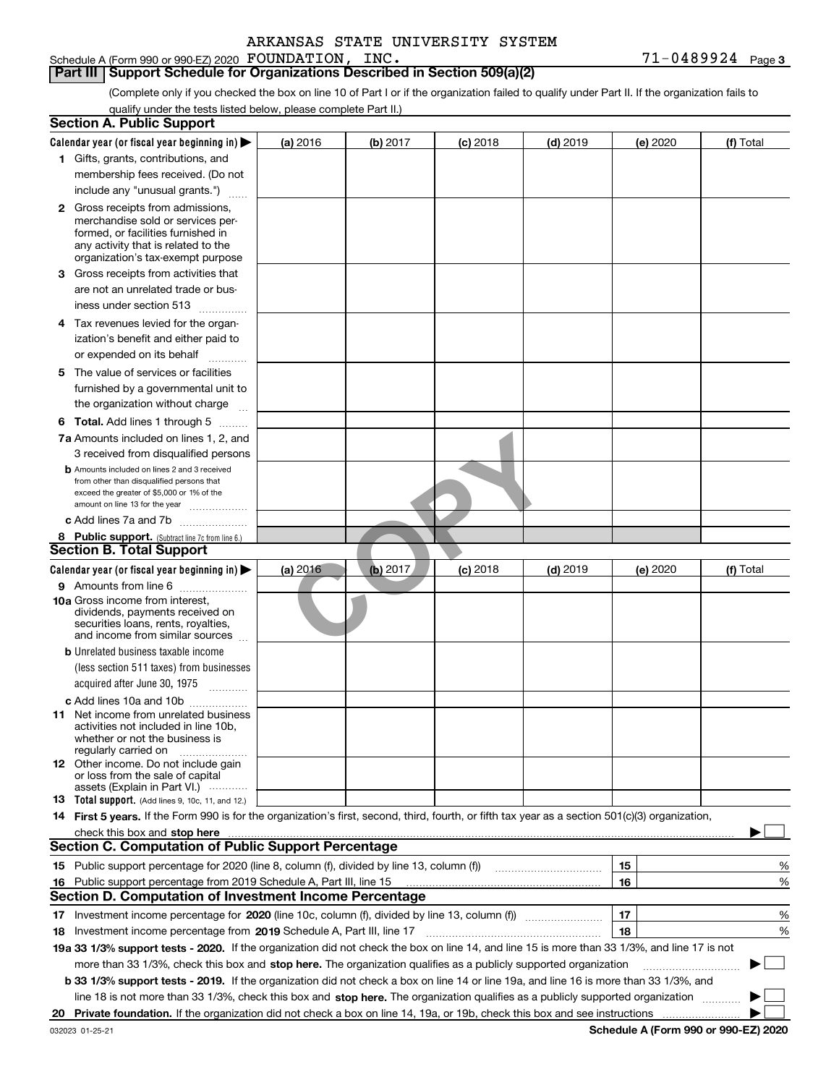Schedule A (Form 990 or 990-EZ) 2020 Page FOUNDATION, INC. 71-0489924

**3**

(Complete only if you checked the box on line 10 of Part I or if the organization failed to qualify under Part II. If the organization fails to qualify under the tests listed below, please complete Part II.)

|     | <b>Section A. Public Support</b>                                                                                                                                                                                                                                                                                                                                                   |          |          |            |            |    |          |                                             |
|-----|------------------------------------------------------------------------------------------------------------------------------------------------------------------------------------------------------------------------------------------------------------------------------------------------------------------------------------------------------------------------------------|----------|----------|------------|------------|----|----------|---------------------------------------------|
|     | Calendar year (or fiscal year beginning in) $\blacktriangleright$                                                                                                                                                                                                                                                                                                                  | (a) 2016 | (b) 2017 | $(c)$ 2018 | $(d)$ 2019 |    | (e) 2020 | (f) Total                                   |
|     | 1 Gifts, grants, contributions, and                                                                                                                                                                                                                                                                                                                                                |          |          |            |            |    |          |                                             |
|     | membership fees received. (Do not                                                                                                                                                                                                                                                                                                                                                  |          |          |            |            |    |          |                                             |
|     | include any "unusual grants.")                                                                                                                                                                                                                                                                                                                                                     |          |          |            |            |    |          |                                             |
|     | <b>2</b> Gross receipts from admissions,<br>merchandise sold or services per-<br>formed, or facilities furnished in<br>any activity that is related to the<br>organization's tax-exempt purpose                                                                                                                                                                                    |          |          |            |            |    |          |                                             |
|     | 3 Gross receipts from activities that<br>are not an unrelated trade or bus-                                                                                                                                                                                                                                                                                                        |          |          |            |            |    |          |                                             |
|     | iness under section 513                                                                                                                                                                                                                                                                                                                                                            |          |          |            |            |    |          |                                             |
|     | 4 Tax revenues levied for the organ-<br>ization's benefit and either paid to<br>or expended on its behalf                                                                                                                                                                                                                                                                          |          |          |            |            |    |          |                                             |
|     | 5 The value of services or facilities                                                                                                                                                                                                                                                                                                                                              |          |          |            |            |    |          |                                             |
|     | furnished by a governmental unit to<br>the organization without charge                                                                                                                                                                                                                                                                                                             |          |          |            |            |    |          |                                             |
|     | <b>6 Total.</b> Add lines 1 through 5                                                                                                                                                                                                                                                                                                                                              |          |          |            |            |    |          |                                             |
|     | 7a Amounts included on lines 1, 2, and<br>3 received from disqualified persons                                                                                                                                                                                                                                                                                                     |          |          |            |            |    |          |                                             |
|     | <b>b</b> Amounts included on lines 2 and 3 received<br>from other than disqualified persons that<br>exceed the greater of \$5,000 or 1% of the<br>amount on line 13 for the year                                                                                                                                                                                                   |          |          |            |            |    |          |                                             |
|     | c Add lines 7a and 7b                                                                                                                                                                                                                                                                                                                                                              |          |          |            |            |    |          |                                             |
|     | 8 Public support. (Subtract line 7c from line 6.)                                                                                                                                                                                                                                                                                                                                  |          |          |            |            |    |          |                                             |
|     | <b>Section B. Total Support</b>                                                                                                                                                                                                                                                                                                                                                    |          |          |            |            |    |          |                                             |
|     | Calendar year (or fiscal year beginning in)                                                                                                                                                                                                                                                                                                                                        | (a) 2016 | (b) 2017 | $(c)$ 2018 | $(d)$ 2019 |    | (e) 2020 | (f) Total                                   |
|     | 9 Amounts from line 6                                                                                                                                                                                                                                                                                                                                                              |          |          |            |            |    |          |                                             |
|     | <b>10a</b> Gross income from interest,<br>dividends, payments received on<br>securities loans, rents, royalties,<br>and income from similar sources                                                                                                                                                                                                                                |          |          |            |            |    |          |                                             |
|     | <b>b</b> Unrelated business taxable income                                                                                                                                                                                                                                                                                                                                         |          |          |            |            |    |          |                                             |
|     | (less section 511 taxes) from businesses                                                                                                                                                                                                                                                                                                                                           |          |          |            |            |    |          |                                             |
|     | acquired after June 30, 1975                                                                                                                                                                                                                                                                                                                                                       |          |          |            |            |    |          |                                             |
|     | c Add lines 10a and 10b<br>11 Net income from unrelated business<br>activities not included in line 10b,<br>whether or not the business is<br>regularly carried on                                                                                                                                                                                                                 |          |          |            |            |    |          |                                             |
|     | <b>12</b> Other income. Do not include gain<br>or loss from the sale of capital<br>assets (Explain in Part VI.)                                                                                                                                                                                                                                                                    |          |          |            |            |    |          |                                             |
|     | <b>13</b> Total support. (Add lines 9, 10c, 11, and 12.)                                                                                                                                                                                                                                                                                                                           |          |          |            |            |    |          |                                             |
|     | 14 First 5 years. If the Form 990 is for the organization's first, second, third, fourth, or fifth tax year as a section 501(c)(3) organization,<br>check this box and stop here manufactured and control the state of the state of the state of the state of the state of the state of the state of the state of the state of the state of the state of the state of the state of |          |          |            |            |    |          |                                             |
|     | <b>Section C. Computation of Public Support Percentage</b>                                                                                                                                                                                                                                                                                                                         |          |          |            |            |    |          |                                             |
|     | 15 Public support percentage for 2020 (line 8, column (f), divided by line 13, column (f))                                                                                                                                                                                                                                                                                         |          |          |            |            | 15 |          | %                                           |
| 16. | Public support percentage from 2019 Schedule A, Part III, line 15                                                                                                                                                                                                                                                                                                                  |          |          |            |            | 16 |          | %                                           |
|     | <b>Section D. Computation of Investment Income Percentage</b>                                                                                                                                                                                                                                                                                                                      |          |          |            |            |    |          |                                             |
|     | 17 Investment income percentage for 2020 (line 10c, column (f), divided by line 13, column (f))                                                                                                                                                                                                                                                                                    |          |          |            |            | 17 |          | %                                           |
|     | 18 Investment income percentage from 2019 Schedule A, Part III, line 17                                                                                                                                                                                                                                                                                                            |          |          |            |            | 18 |          | %                                           |
|     | 19a 33 1/3% support tests - 2020. If the organization did not check the box on line 14, and line 15 is more than 33 1/3%, and line 17 is not                                                                                                                                                                                                                                       |          |          |            |            |    |          |                                             |
|     | more than 33 1/3%, check this box and stop here. The organization qualifies as a publicly supported organization                                                                                                                                                                                                                                                                   |          |          |            |            |    |          | $\sim$<br>▶                                 |
|     | b 33 1/3% support tests - 2019. If the organization did not check a box on line 14 or line 19a, and line 16 is more than 33 1/3%, and                                                                                                                                                                                                                                              |          |          |            |            |    |          |                                             |
|     | line 18 is not more than 33 1/3%, check this box and stop here. The organization qualifies as a publicly supported organization                                                                                                                                                                                                                                                    |          |          |            |            |    |          |                                             |
|     | 20 Private foundation. If the organization did not check a box on line 14, 19a, or 19b, check this box and see instructions                                                                                                                                                                                                                                                        |          |          |            |            |    |          | <b>Cohodulo A (Form 000 or 000 EZ) 2020</b> |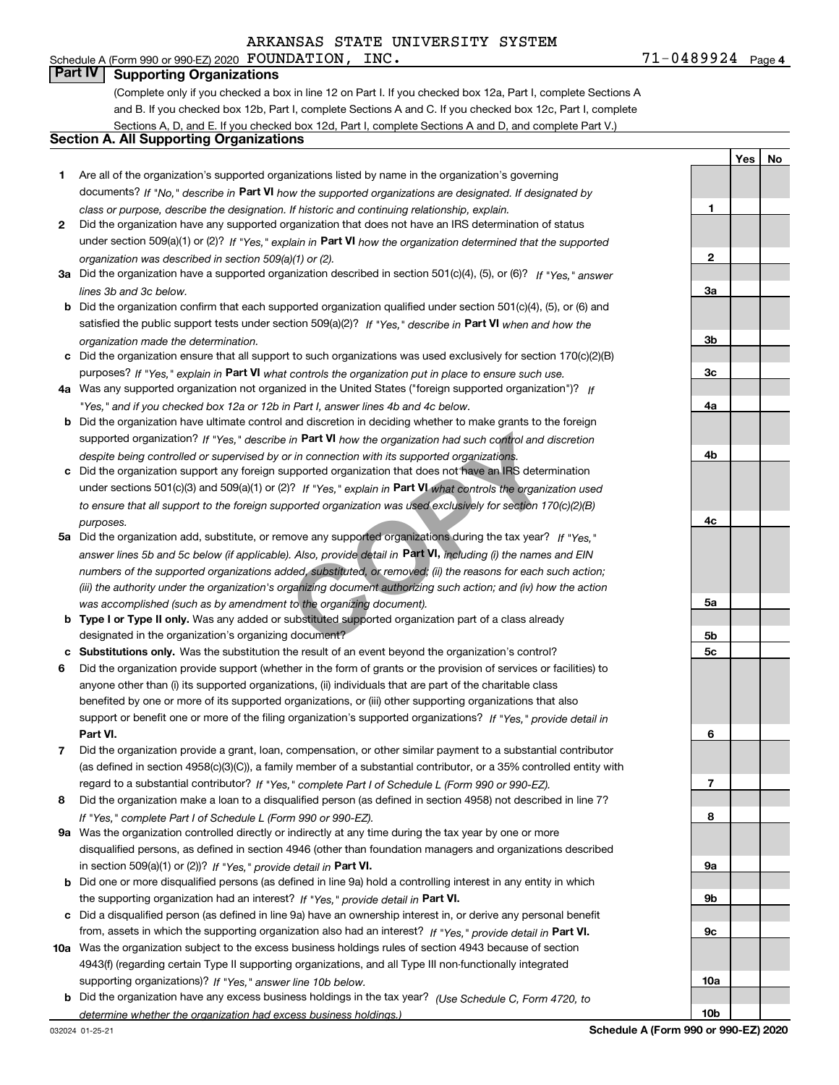## **Part IV Supporting Organizations**

(Complete only if you checked a box in line 12 on Part I. If you checked box 12a, Part I, complete Sections A and B. If you checked box 12b, Part I, complete Sections A and C. If you checked box 12c, Part I, complete Sections A, D, and E. If you checked box 12d, Part I, complete Sections A and D, and complete Part V.)

## **Section A. All Supporting Organizations**

- **1** Are all of the organization's supported organizations listed by name in the organization's governing documents? If "No," describe in **Part VI** how the supported organizations are designated. If designated by *class or purpose, describe the designation. If historic and continuing relationship, explain.*
- **2** Did the organization have any supported organization that does not have an IRS determination of status under section 509(a)(1) or (2)? If "Yes," explain in Part VI how the organization determined that the supported *organization was described in section 509(a)(1) or (2).*
- **3a** Did the organization have a supported organization described in section 501(c)(4), (5), or (6)? If "Yes," answer *lines 3b and 3c below.*
- **b** Did the organization confirm that each supported organization qualified under section 501(c)(4), (5), or (6) and satisfied the public support tests under section 509(a)(2)? If "Yes," describe in **Part VI** when and how the *organization made the determination.*
- **c**Did the organization ensure that all support to such organizations was used exclusively for section 170(c)(2)(B) purposes? If "Yes," explain in **Part VI** what controls the organization put in place to ensure such use.
- **4a***If* Was any supported organization not organized in the United States ("foreign supported organization")? *"Yes," and if you checked box 12a or 12b in Part I, answer lines 4b and 4c below.*
- **b** Did the organization have ultimate control and discretion in deciding whether to make grants to the foreign supported organization? If "Yes," describe in **Part VI** how the organization had such control and discretion *despite being controlled or supervised by or in connection with its supported organizations.*
- **c** Did the organization support any foreign supported organization that does not have an IRS determination under sections 501(c)(3) and 509(a)(1) or (2)? If "Yes," explain in **Part VI** what controls the organization used *to ensure that all support to the foreign supported organization was used exclusively for section 170(c)(2)(B) purposes.*
- **5a***If "Yes,"* Did the organization add, substitute, or remove any supported organizations during the tax year? answer lines 5b and 5c below (if applicable). Also, provide detail in **Part VI,** including (i) the names and EIN *numbers of the supported organizations added, substituted, or removed; (ii) the reasons for each such action; (iii) the authority under the organization's organizing document authorizing such action; and (iv) how the action was accomplished (such as by amendment to the organizing document).* in **Part VI** how the organization had such control and d<br>proving in connection with its supported organizations.<br>upported organization that does not have an IRS determ<br>?)? If "Yes," explain in **Part VI** what controls the o
- **b** Type I or Type II only. Was any added or substituted supported organization part of a class already designated in the organization's organizing document?
- **cSubstitutions only.**  Was the substitution the result of an event beyond the organization's control?
- **6** Did the organization provide support (whether in the form of grants or the provision of services or facilities) to **Part VI.** *If "Yes," provide detail in* support or benefit one or more of the filing organization's supported organizations? anyone other than (i) its supported organizations, (ii) individuals that are part of the charitable class benefited by one or more of its supported organizations, or (iii) other supporting organizations that also
- **7**Did the organization provide a grant, loan, compensation, or other similar payment to a substantial contributor *If "Yes," complete Part I of Schedule L (Form 990 or 990-EZ).* regard to a substantial contributor? (as defined in section 4958(c)(3)(C)), a family member of a substantial contributor, or a 35% controlled entity with
- **8** Did the organization make a loan to a disqualified person (as defined in section 4958) not described in line 7? *If "Yes," complete Part I of Schedule L (Form 990 or 990-EZ).*
- **9a** Was the organization controlled directly or indirectly at any time during the tax year by one or more in section 509(a)(1) or (2))? If "Yes," *provide detail in* <code>Part VI.</code> disqualified persons, as defined in section 4946 (other than foundation managers and organizations described
- **b** Did one or more disqualified persons (as defined in line 9a) hold a controlling interest in any entity in which the supporting organization had an interest? If "Yes," provide detail in P**art VI**.
- **c**Did a disqualified person (as defined in line 9a) have an ownership interest in, or derive any personal benefit from, assets in which the supporting organization also had an interest? If "Yes," provide detail in P**art VI.**
- **10a** Was the organization subject to the excess business holdings rules of section 4943 because of section supporting organizations)? If "Yes," answer line 10b below. 4943(f) (regarding certain Type II supporting organizations, and all Type III non-functionally integrated
- **b** Did the organization have any excess business holdings in the tax year? (Use Schedule C, Form 4720, to *determine whether the organization had excess business holdings.)*

032024 01-25-21



**1**

**Yes**

 **No**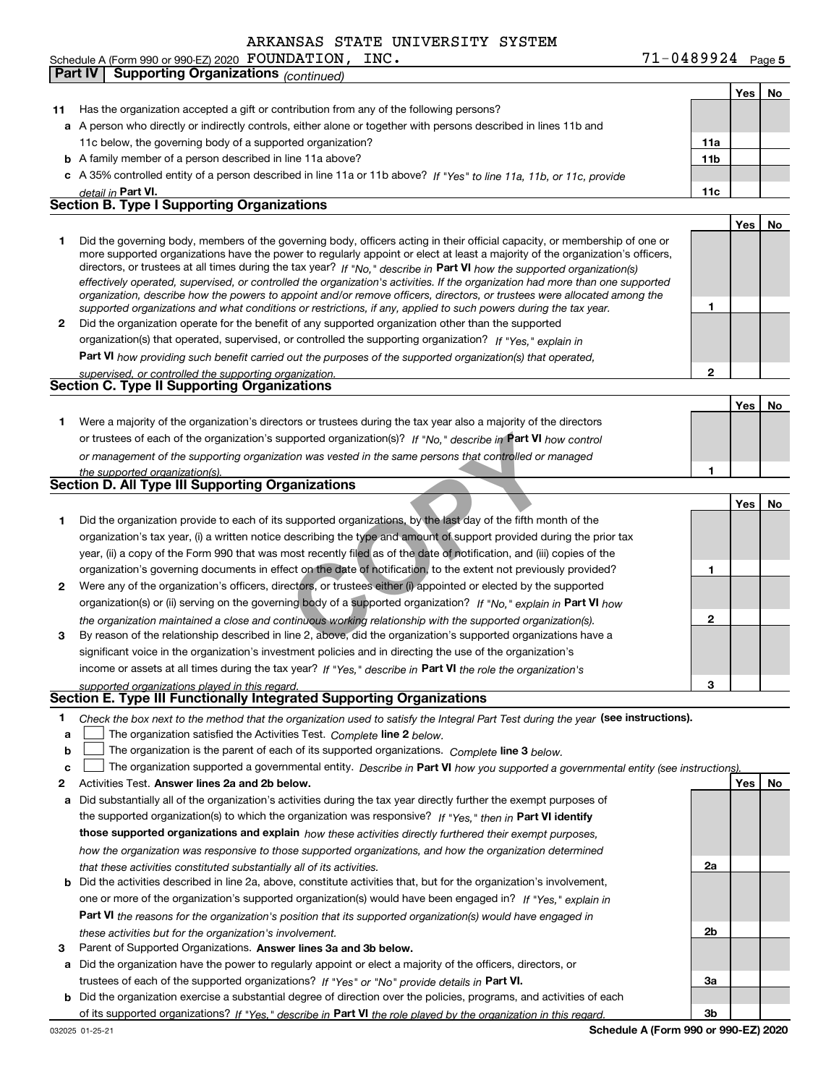**Part IV Supporting Organizations** *(continued)*

**5** Schedule A (Form 990 or 990-EZ) 2020 Page FOUNDATION, INC. 71-0489924

|     |                                                                                                                                                                                                                                                            |              | Yes l | No |
|-----|------------------------------------------------------------------------------------------------------------------------------------------------------------------------------------------------------------------------------------------------------------|--------------|-------|----|
| 11. | Has the organization accepted a gift or contribution from any of the following persons?                                                                                                                                                                    |              |       |    |
|     | a A person who directly or indirectly controls, either alone or together with persons described in lines 11b and                                                                                                                                           |              |       |    |
|     | 11c below, the governing body of a supported organization?                                                                                                                                                                                                 | 11a          |       |    |
|     | <b>b</b> A family member of a person described in line 11a above?                                                                                                                                                                                          | 11b          |       |    |
|     | c A 35% controlled entity of a person described in line 11a or 11b above? If "Yes" to line 11a, 11b, or 11c, provide                                                                                                                                       |              |       |    |
|     | detail in Part VI.                                                                                                                                                                                                                                         | 11c          |       |    |
|     | <b>Section B. Type I Supporting Organizations</b>                                                                                                                                                                                                          |              |       |    |
|     |                                                                                                                                                                                                                                                            |              | Yes   | No |
| 1   | Did the governing body, members of the governing body, officers acting in their official capacity, or membership of one or                                                                                                                                 |              |       |    |
|     | more supported organizations have the power to regularly appoint or elect at least a majority of the organization's officers,                                                                                                                              |              |       |    |
|     | directors, or trustees at all times during the tax year? If "No," describe in Part VI how the supported organization(s)                                                                                                                                    |              |       |    |
|     | effectively operated, supervised, or controlled the organization's activities. If the organization had more than one supported<br>organization, describe how the powers to appoint and/or remove officers, directors, or trustees were allocated among the |              |       |    |
|     | supported organizations and what conditions or restrictions, if any, applied to such powers during the tax year.                                                                                                                                           | 1            |       |    |
| 2   | Did the organization operate for the benefit of any supported organization other than the supported                                                                                                                                                        |              |       |    |
|     | organization(s) that operated, supervised, or controlled the supporting organization? If "Yes," explain in                                                                                                                                                 |              |       |    |
|     | Part VI how providing such benefit carried out the purposes of the supported organization(s) that operated,                                                                                                                                                |              |       |    |
|     | supervised, or controlled the supporting organization.                                                                                                                                                                                                     | $\mathbf{2}$ |       |    |
|     | Section C. Type II Supporting Organizations                                                                                                                                                                                                                |              |       |    |
|     |                                                                                                                                                                                                                                                            |              | Yes   | No |
| 1   | Were a majority of the organization's directors or trustees during the tax year also a majority of the directors                                                                                                                                           |              |       |    |
|     | or trustees of each of the organization's supported organization(s)? If "No," describe in Part VI how control                                                                                                                                              |              |       |    |
|     | or management of the supporting organization was vested in the same persons that controlled or managed                                                                                                                                                     |              |       |    |
|     | the supported organization(s).                                                                                                                                                                                                                             | 1            |       |    |
|     | Section D. All Type III Supporting Organizations                                                                                                                                                                                                           |              |       |    |
|     |                                                                                                                                                                                                                                                            |              | Yes   | No |
| 1   | Did the organization provide to each of its supported organizations, by the last day of the fifth month of the                                                                                                                                             |              |       |    |
|     | organization's tax year, (i) a written notice describing the type and amount of support provided during the prior tax                                                                                                                                      |              |       |    |
|     | year, (ii) a copy of the Form 990 that was most recently filed as of the date of notification, and (iii) copies of the                                                                                                                                     |              |       |    |
|     | organization's governing documents in effect on the date of notification, to the extent not previously provided?                                                                                                                                           | 1            |       |    |
| 2   | Were any of the organization's officers, directors, or trustees either (i) appointed or elected by the supported                                                                                                                                           |              |       |    |
|     | organization(s) or (ii) serving on the governing body of a supported organization? If "No," explain in Part VI how                                                                                                                                         |              |       |    |
|     | the organization maintained a close and continuous working relationship with the supported organization(s).                                                                                                                                                | $\mathbf{2}$ |       |    |
| 3   | By reason of the relationship described in line 2, above, did the organization's supported organizations have a                                                                                                                                            |              |       |    |
|     | significant voice in the organization's investment policies and in directing the use of the organization's                                                                                                                                                 |              |       |    |
|     | income or assets at all times during the tax year? If "Yes," describe in Part VI the role the organization's                                                                                                                                               |              |       |    |
|     | supported organizations played in this regard.                                                                                                                                                                                                             | 3            |       |    |
|     | Section E. Type III Functionally Integrated Supporting Organizations                                                                                                                                                                                       |              |       |    |
| 1   |                                                                                                                                                                                                                                                            |              |       |    |
| a   | Check the box next to the method that the organization used to satisfy the Integral Part Test during the year (see instructions).<br>The organization satisfied the Activities Test. Complete line 2 below.                                                |              |       |    |
| b   | The organization is the parent of each of its supported organizations. Complete line 3 below.                                                                                                                                                              |              |       |    |
| c   | The organization supported a governmental entity. Describe in Part VI how you supported a governmental entity (see instructions).                                                                                                                          |              |       |    |
| 2   | Activities Test. Answer lines 2a and 2b below.                                                                                                                                                                                                             |              | Yes   | No |
| а   | Did substantially all of the organization's activities during the tax year directly further the exempt purposes of                                                                                                                                         |              |       |    |
|     | the supported organization(s) to which the organization was responsive? If "Yes," then in Part VI identify                                                                                                                                                 |              |       |    |
|     |                                                                                                                                                                                                                                                            |              |       |    |
|     | those supported organizations and explain how these activities directly furthered their exempt purposes,                                                                                                                                                   |              |       |    |
|     | how the organization was responsive to those supported organizations, and how the organization determined                                                                                                                                                  |              |       |    |
|     | that these activities constituted substantially all of its activities.                                                                                                                                                                                     | 2a           |       |    |
| b   | Did the activities described in line 2a, above, constitute activities that, but for the organization's involvement,                                                                                                                                        |              |       |    |
|     | one or more of the organization's supported organization(s) would have been engaged in? If "Yes," explain in                                                                                                                                               |              |       |    |
|     | <b>Part VI</b> the reasons for the organization's position that its supported organization(s) would have engaged in                                                                                                                                        |              |       |    |
|     | these activities but for the organization's involvement.                                                                                                                                                                                                   | 2b           |       |    |
| 3   | Parent of Supported Organizations. Answer lines 3a and 3b below.                                                                                                                                                                                           |              |       |    |
| а   | Did the organization have the power to regularly appoint or elect a majority of the officers, directors, or                                                                                                                                                |              |       |    |
|     | trustees of each of the supported organizations? If "Yes" or "No" provide details in Part VI.                                                                                                                                                              | За           |       |    |
|     | <b>b</b> Did the organization exercise a substantial degree of direction over the policies, programs, and activities of each                                                                                                                               |              |       |    |
|     | of its supported organizations? If "Yes." describe in Part VI the role played by the organization in this regard.                                                                                                                                          | 3b           |       |    |
|     | Schedule A (Form 990 or 990-EZ) 2020<br>032025 01-25-21                                                                                                                                                                                                    |              |       |    |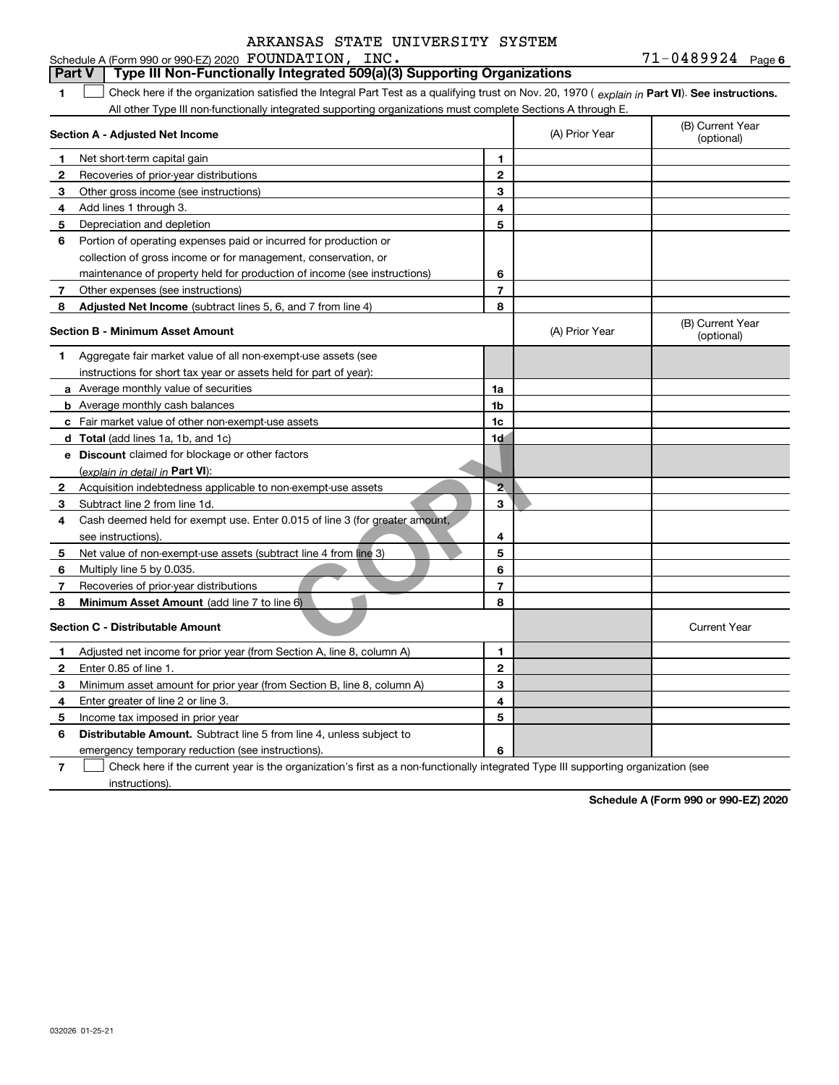#### **1Part VI** Check here if the organization satisfied the Integral Part Test as a qualifying trust on Nov. 20, 1970 ( *explain in* Part **VI**). See instructions. **Section A - Adjusted Net Income 123** Other gross income (see instructions) **4**Add lines 1 through 3. **56** Portion of operating expenses paid or incurred for production or **78** Adjusted Net Income (subtract lines 5, 6, and 7 from line 4) **8 8 1234567Section B - Minimum Asset Amount 1**Aggregate fair market value of all non-exempt-use assets (see **2**Acquisition indebtedness applicable to non-exempt-use assets **3** Subtract line 2 from line 1d. **4**Cash deemed held for exempt use. Enter 0.015 of line 3 (for greater amount, **5** Net value of non-exempt-use assets (subtract line 4 from line 3) **678a** Average monthly value of securities **b** Average monthly cash balances **c**Fair market value of other non-exempt-use assets **dTotal**  (add lines 1a, 1b, and 1c) **eDiscount** claimed for blockage or other factors **1a1b1c1d2345678**<u>(explain in detail in **Part VI**):</u> **Minimum Asset Amount**  (add line 7 to line 6) **Section C - Distributable Amount 123456123456Distributable Amount.** Subtract line 5 from line 4, unless subject to Schedule A (Form 990 or 990-EZ) 2020 Page FOUNDATION, INC. 71-0489924 All other Type III non-functionally integrated supporting organizations must complete Sections A through E. (B) Current Year (optional)(A) Prior Year Net short-term capital gain Recoveries of prior-year distributions Depreciation and depletion collection of gross income or for management, conservation, or maintenance of property held for production of income (see instructions) Other expenses (see instructions) (B) Current Year (optional)(A) Prior Year instructions for short tax year or assets held for part of year): see instructions). Multiply line 5 by 0.035. Recoveries of prior-year distributions Current Year Adjusted net income for prior year (from Section A, line 8, column A) Enter 0.85 of line 1. Minimum asset amount for prior year (from Section B, line 8, column A) Enter greater of line 2 or line 3. Income tax imposed in prior year emergency temporary reduction (see instructions). **Part V Type III Non-Functionally Integrated 509(a)(3) Supporting Organizations**   $\mathcal{L}^{\text{max}}$ **COPY**

**7**Check here if the current year is the organization's first as a non-functionally integrated Type III supporting organization (see instructions). $\mathcal{L}^{\text{max}}$ 

**Schedule A (Form 990 or 990-EZ) 2020**

032026 01-25-21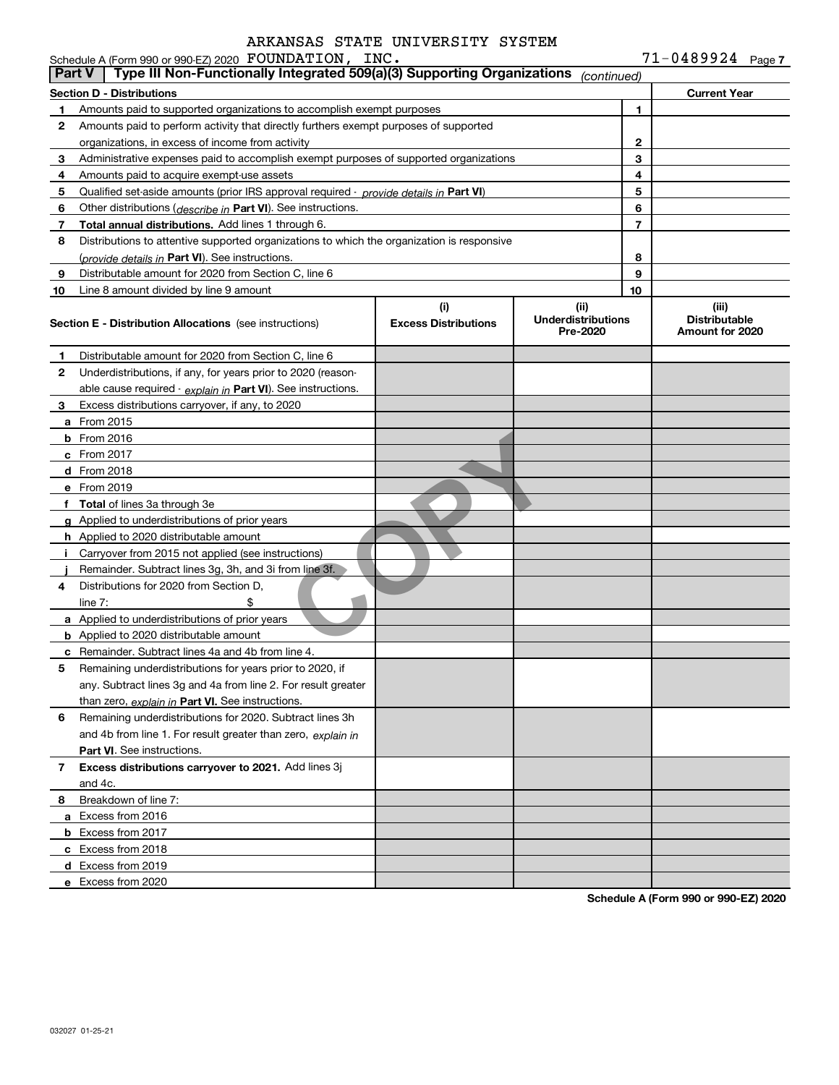| -0489924 | ז מחגי |
|----------|--------|
|          |        |

|               | Schedule A (Form 990 or 990-EZ) 2020 FOUNDATION, INC.                                         |                                    |                                               |    | $71 - 0489924$ Page 7                            |  |
|---------------|-----------------------------------------------------------------------------------------------|------------------------------------|-----------------------------------------------|----|--------------------------------------------------|--|
| <b>Part V</b> | Type III Non-Functionally Integrated 509(a)(3) Supporting Organizations (continued)           |                                    |                                               |    |                                                  |  |
|               | <b>Section D - Distributions</b>                                                              |                                    |                                               |    | <b>Current Year</b>                              |  |
| 1.            | Amounts paid to supported organizations to accomplish exempt purposes                         |                                    |                                               | 1. |                                                  |  |
| 2             | Amounts paid to perform activity that directly furthers exempt purposes of supported          |                                    |                                               |    |                                                  |  |
|               | organizations, in excess of income from activity                                              |                                    |                                               | 2  |                                                  |  |
| 3             | Administrative expenses paid to accomplish exempt purposes of supported organizations         |                                    |                                               | 3  |                                                  |  |
| 4             | Amounts paid to acquire exempt-use assets                                                     |                                    |                                               | 4  |                                                  |  |
| 5             | Qualified set-aside amounts (prior IRS approval required - <i>provide details in</i> Part VI) |                                    |                                               | 5  |                                                  |  |
| 6             | Other distributions ( <i>describe in</i> Part VI). See instructions.                          |                                    |                                               | 6  |                                                  |  |
| 7             | Total annual distributions. Add lines 1 through 6.                                            |                                    |                                               | 7  |                                                  |  |
| 8             | Distributions to attentive supported organizations to which the organization is responsive    |                                    |                                               |    |                                                  |  |
|               | (provide details in Part VI). See instructions.                                               |                                    |                                               | 8  |                                                  |  |
| 9             | Distributable amount for 2020 from Section C, line 6                                          |                                    |                                               | 9  |                                                  |  |
| 10            | Line 8 amount divided by line 9 amount                                                        |                                    |                                               | 10 |                                                  |  |
|               | <b>Section E - Distribution Allocations</b> (see instructions)                                | (i)<br><b>Excess Distributions</b> | (ii)<br><b>Underdistributions</b><br>Pre-2020 |    | (iii)<br><b>Distributable</b><br>Amount for 2020 |  |
| 1             | Distributable amount for 2020 from Section C, line 6                                          |                                    |                                               |    |                                                  |  |
| 2             | Underdistributions, if any, for years prior to 2020 (reason-                                  |                                    |                                               |    |                                                  |  |
|               | able cause required - explain in Part VI). See instructions.                                  |                                    |                                               |    |                                                  |  |
| 3             | Excess distributions carryover, if any, to 2020                                               |                                    |                                               |    |                                                  |  |
|               | a From 2015                                                                                   |                                    |                                               |    |                                                  |  |
|               | <b>b</b> From 2016                                                                            |                                    |                                               |    |                                                  |  |
|               | $c$ From 2017                                                                                 |                                    |                                               |    |                                                  |  |
|               | d From 2018                                                                                   |                                    |                                               |    |                                                  |  |
|               | e From 2019                                                                                   |                                    |                                               |    |                                                  |  |
|               | f Total of lines 3a through 3e                                                                |                                    |                                               |    |                                                  |  |
|               | g Applied to underdistributions of prior years                                                |                                    |                                               |    |                                                  |  |
|               | <b>h</b> Applied to 2020 distributable amount                                                 |                                    |                                               |    |                                                  |  |
|               | i Carryover from 2015 not applied (see instructions)                                          |                                    |                                               |    |                                                  |  |
|               | Remainder. Subtract lines 3g, 3h, and 3i from line 3f.                                        |                                    |                                               |    |                                                  |  |
| 4             | Distributions for 2020 from Section D,                                                        |                                    |                                               |    |                                                  |  |
|               | line $7:$                                                                                     |                                    |                                               |    |                                                  |  |
|               | <b>a</b> Applied to underdistributions of prior years                                         |                                    |                                               |    |                                                  |  |
|               | <b>b</b> Applied to 2020 distributable amount                                                 |                                    |                                               |    |                                                  |  |
|               | <b>c</b> Remainder. Subtract lines 4a and 4b from line 4.                                     |                                    |                                               |    |                                                  |  |
|               | Remaining underdistributions for years prior to 2020, if                                      |                                    |                                               |    |                                                  |  |
|               | any. Subtract lines 3g and 4a from line 2. For result greater                                 |                                    |                                               |    |                                                  |  |
|               | than zero, explain in Part VI. See instructions.                                              |                                    |                                               |    |                                                  |  |
| 6             | Remaining underdistributions for 2020. Subtract lines 3h                                      |                                    |                                               |    |                                                  |  |
|               | and 4b from line 1. For result greater than zero, explain in                                  |                                    |                                               |    |                                                  |  |
|               | <b>Part VI.</b> See instructions.                                                             |                                    |                                               |    |                                                  |  |
| 7             | Excess distributions carryover to 2021. Add lines 3j                                          |                                    |                                               |    |                                                  |  |
|               | and 4c.                                                                                       |                                    |                                               |    |                                                  |  |
| 8             | Breakdown of line 7:                                                                          |                                    |                                               |    |                                                  |  |
|               | a Excess from 2016                                                                            |                                    |                                               |    |                                                  |  |
|               | <b>b</b> Excess from 2017                                                                     |                                    |                                               |    |                                                  |  |
|               | c Excess from 2018                                                                            |                                    |                                               |    |                                                  |  |
|               | d Excess from 2019                                                                            |                                    |                                               |    |                                                  |  |
|               | e Excess from 2020                                                                            |                                    |                                               |    | 000E20000                                        |  |

**Schedule A (Form 990 or 990-EZ) 2020**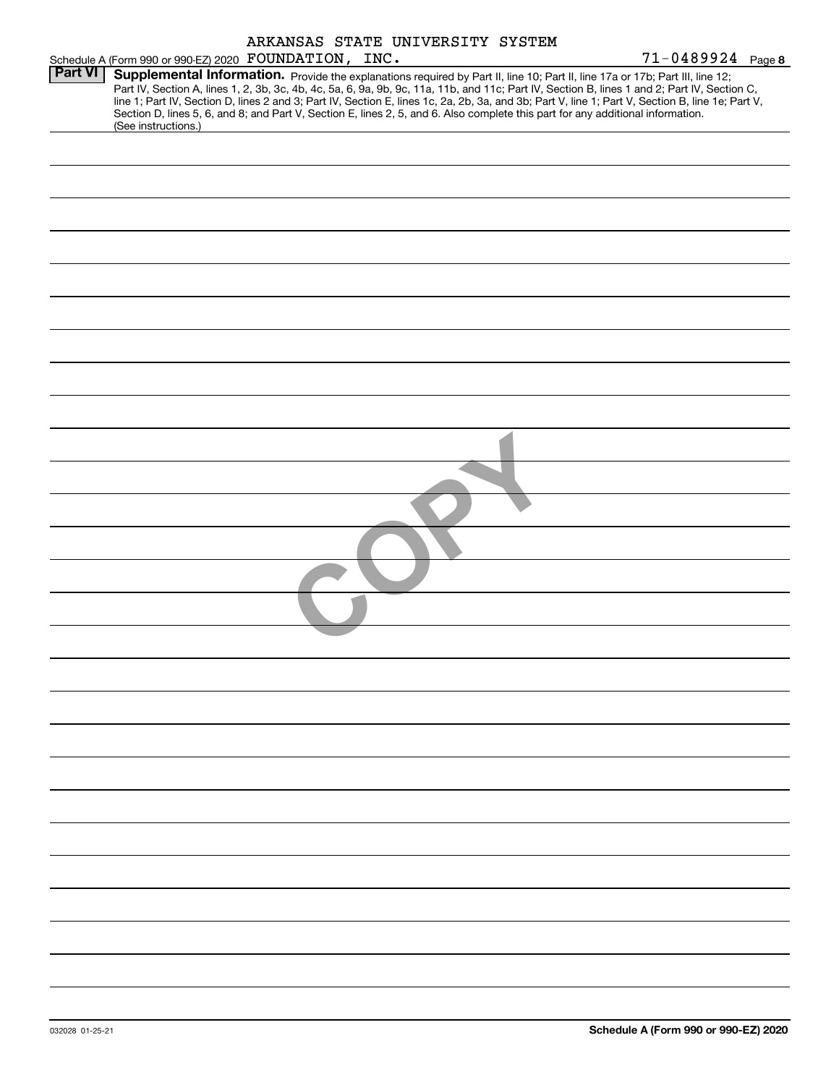|                |                                                                                                                                                                                                                                                                                                                                                                                                                                                                                                                                                                                             | ARKANSAS STATE UNIVERSITY SYSTEM |                   |
|----------------|---------------------------------------------------------------------------------------------------------------------------------------------------------------------------------------------------------------------------------------------------------------------------------------------------------------------------------------------------------------------------------------------------------------------------------------------------------------------------------------------------------------------------------------------------------------------------------------------|----------------------------------|-------------------|
|                | Schedule A (Form 990 or 990-EZ) 2020 FOUNDATION, INC.                                                                                                                                                                                                                                                                                                                                                                                                                                                                                                                                       |                                  | 71-0489924 Page 8 |
| <b>Part VI</b> | Supplemental Information. Provide the explanations required by Part II, line 10; Part II, line 17a or 17b; Part III, line 12;<br>Part IV, Section A, lines 1, 2, 3b, 3c, 4b, 4c, 5a, 6, 9a, 9b, 9c, 11a, 11b, and 11c; Part IV, Section B, lines 1 and 2; Part IV, Section C,<br>line 1; Part IV, Section D, lines 2 and 3; Part IV, Section E, lines 1c, 2a, 2b, 3a, and 3b; Part V, line 1; Part V, Section B, line 1e; Part V,<br>Section D, lines 5, 6, and 8; and Part V, Section E, lines 2, 5, and 6. Also complete this part for any additional information.<br>(See instructions.) |                                  |                   |
|                |                                                                                                                                                                                                                                                                                                                                                                                                                                                                                                                                                                                             |                                  |                   |
|                |                                                                                                                                                                                                                                                                                                                                                                                                                                                                                                                                                                                             |                                  |                   |
|                |                                                                                                                                                                                                                                                                                                                                                                                                                                                                                                                                                                                             |                                  |                   |
|                |                                                                                                                                                                                                                                                                                                                                                                                                                                                                                                                                                                                             |                                  |                   |
|                |                                                                                                                                                                                                                                                                                                                                                                                                                                                                                                                                                                                             |                                  |                   |
|                |                                                                                                                                                                                                                                                                                                                                                                                                                                                                                                                                                                                             |                                  |                   |
|                |                                                                                                                                                                                                                                                                                                                                                                                                                                                                                                                                                                                             |                                  |                   |
|                |                                                                                                                                                                                                                                                                                                                                                                                                                                                                                                                                                                                             |                                  |                   |
|                |                                                                                                                                                                                                                                                                                                                                                                                                                                                                                                                                                                                             |                                  |                   |
|                |                                                                                                                                                                                                                                                                                                                                                                                                                                                                                                                                                                                             |                                  |                   |
|                |                                                                                                                                                                                                                                                                                                                                                                                                                                                                                                                                                                                             |                                  |                   |
|                |                                                                                                                                                                                                                                                                                                                                                                                                                                                                                                                                                                                             |                                  |                   |
|                |                                                                                                                                                                                                                                                                                                                                                                                                                                                                                                                                                                                             |                                  |                   |
|                |                                                                                                                                                                                                                                                                                                                                                                                                                                                                                                                                                                                             |                                  |                   |
|                |                                                                                                                                                                                                                                                                                                                                                                                                                                                                                                                                                                                             |                                  |                   |
|                |                                                                                                                                                                                                                                                                                                                                                                                                                                                                                                                                                                                             |                                  |                   |
|                |                                                                                                                                                                                                                                                                                                                                                                                                                                                                                                                                                                                             |                                  |                   |
|                |                                                                                                                                                                                                                                                                                                                                                                                                                                                                                                                                                                                             |                                  |                   |
|                |                                                                                                                                                                                                                                                                                                                                                                                                                                                                                                                                                                                             |                                  |                   |
|                |                                                                                                                                                                                                                                                                                                                                                                                                                                                                                                                                                                                             |                                  |                   |
|                |                                                                                                                                                                                                                                                                                                                                                                                                                                                                                                                                                                                             |                                  |                   |
|                |                                                                                                                                                                                                                                                                                                                                                                                                                                                                                                                                                                                             |                                  |                   |
|                |                                                                                                                                                                                                                                                                                                                                                                                                                                                                                                                                                                                             |                                  |                   |
|                |                                                                                                                                                                                                                                                                                                                                                                                                                                                                                                                                                                                             |                                  |                   |
|                |                                                                                                                                                                                                                                                                                                                                                                                                                                                                                                                                                                                             |                                  |                   |
|                |                                                                                                                                                                                                                                                                                                                                                                                                                                                                                                                                                                                             |                                  |                   |
|                |                                                                                                                                                                                                                                                                                                                                                                                                                                                                                                                                                                                             |                                  |                   |
|                |                                                                                                                                                                                                                                                                                                                                                                                                                                                                                                                                                                                             |                                  |                   |
|                |                                                                                                                                                                                                                                                                                                                                                                                                                                                                                                                                                                                             |                                  |                   |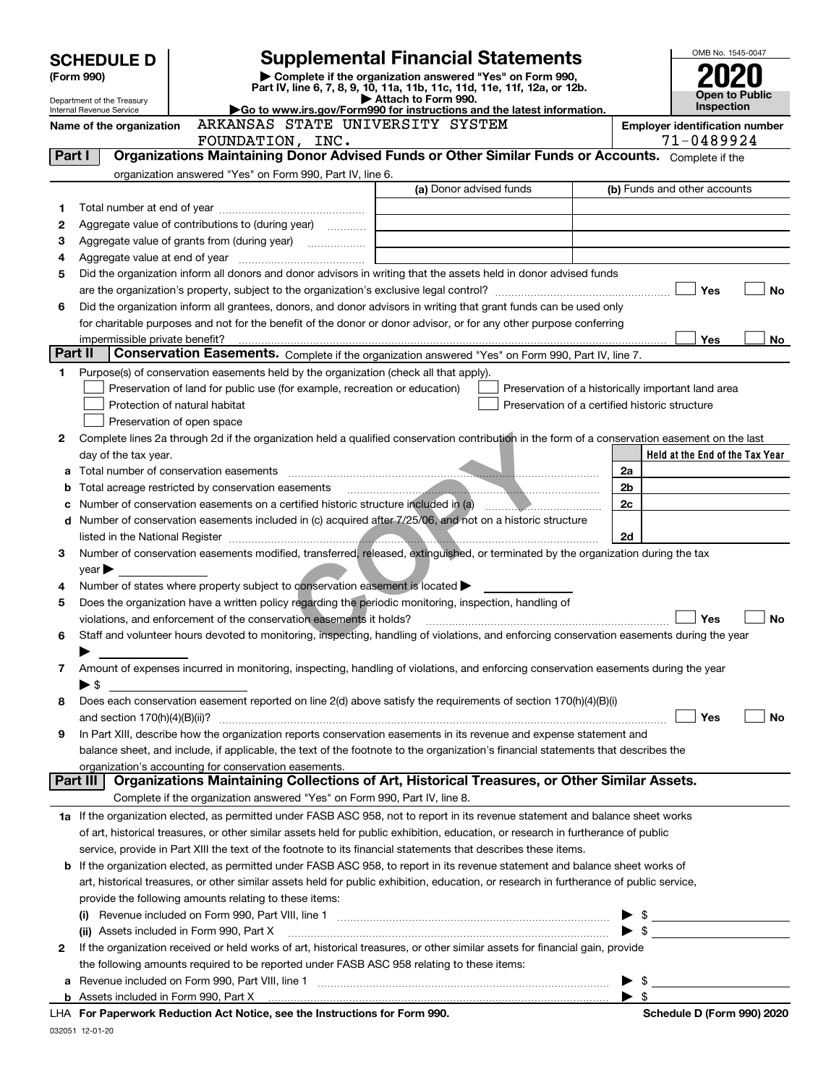|                  | <b>Supplemental Financial Statements</b><br><b>SCHEDULE D</b> |                                                                                                                                                | OMB No. 1545-0047                                                                         |                                                |  |                                       |                                                    |
|------------------|---------------------------------------------------------------|------------------------------------------------------------------------------------------------------------------------------------------------|-------------------------------------------------------------------------------------------|------------------------------------------------|--|---------------------------------------|----------------------------------------------------|
|                  | (Form 990)                                                    | Complete if the organization answered "Yes" on Form 990,                                                                                       |                                                                                           |                                                |  |                                       |                                                    |
|                  |                                                               | Part IV, line 6, 7, 8, 9, 10, 11a, 11b, 11c, 11d, 11e, 11f, 12a, or 12b.                                                                       |                                                                                           |                                                |  |                                       | Open to Public                                     |
|                  | Department of the Treasury<br>Internal Revenue Service        | Go to www.irs.gov/Form990 for instructions and the latest information.                                                                         | Attach to Form 990.                                                                       |                                                |  |                                       | <b>Inspection</b>                                  |
|                  | ARKANSAS STATE UNIVERSITY SYSTEM<br>Name of the organization  |                                                                                                                                                |                                                                                           |                                                |  | <b>Employer identification number</b> |                                                    |
| FOUNDATION, INC. |                                                               |                                                                                                                                                |                                                                                           |                                                |  | 71-0489924                            |                                                    |
| Part I           |                                                               | Organizations Maintaining Donor Advised Funds or Other Similar Funds or Accounts. Complete if the                                              |                                                                                           |                                                |  |                                       |                                                    |
|                  |                                                               | organization answered "Yes" on Form 990, Part IV, line 6.                                                                                      |                                                                                           |                                                |  |                                       |                                                    |
|                  |                                                               |                                                                                                                                                | (a) Donor advised funds                                                                   |                                                |  |                                       | (b) Funds and other accounts                       |
| 1                |                                                               |                                                                                                                                                |                                                                                           |                                                |  |                                       |                                                    |
| 2                |                                                               | Aggregate value of contributions to (during year)                                                                                              | the control of the control of the control of the control of the control of the control of |                                                |  |                                       |                                                    |
| з                |                                                               |                                                                                                                                                |                                                                                           |                                                |  |                                       |                                                    |
| 4                |                                                               |                                                                                                                                                |                                                                                           |                                                |  |                                       |                                                    |
| 5                |                                                               | Did the organization inform all donors and donor advisors in writing that the assets held in donor advised funds                               |                                                                                           |                                                |  |                                       |                                                    |
|                  |                                                               |                                                                                                                                                |                                                                                           |                                                |  |                                       | Yes<br>No                                          |
| 6                |                                                               | Did the organization inform all grantees, donors, and donor advisors in writing that grant funds can be used only                              |                                                                                           |                                                |  |                                       |                                                    |
|                  | impermissible private benefit?                                | for charitable purposes and not for the benefit of the donor or donor advisor, or for any other purpose conferring                             |                                                                                           |                                                |  |                                       | Yes<br>No.                                         |
| Part II          |                                                               | Conservation Easements. Complete if the organization answered "Yes" on Form 990, Part IV, line 7.                                              |                                                                                           |                                                |  |                                       |                                                    |
| 1                |                                                               | Purpose(s) of conservation easements held by the organization (check all that apply).                                                          |                                                                                           |                                                |  |                                       |                                                    |
|                  |                                                               | Preservation of land for public use (for example, recreation or education)                                                                     |                                                                                           |                                                |  |                                       | Preservation of a historically important land area |
|                  |                                                               | Protection of natural habitat                                                                                                                  |                                                                                           | Preservation of a certified historic structure |  |                                       |                                                    |
|                  |                                                               | Preservation of open space                                                                                                                     |                                                                                           |                                                |  |                                       |                                                    |
| 2                |                                                               | Complete lines 2a through 2d if the organization held a qualified conservation contribution in the form of a conservation easement on the last |                                                                                           |                                                |  |                                       |                                                    |
|                  | day of the tax year.                                          |                                                                                                                                                |                                                                                           |                                                |  |                                       | Held at the End of the Tax Year                    |
| a                |                                                               |                                                                                                                                                |                                                                                           |                                                |  | 2a                                    |                                                    |
| b                |                                                               | Total acreage restricted by conservation easements                                                                                             |                                                                                           |                                                |  | 2b                                    |                                                    |
| c                |                                                               |                                                                                                                                                |                                                                                           |                                                |  | 2c                                    |                                                    |
| d                |                                                               | Number of conservation easements included in (c) acquired after 7/25/06, and not on a historic structure                                       |                                                                                           |                                                |  |                                       |                                                    |
|                  |                                                               |                                                                                                                                                |                                                                                           |                                                |  | 2d                                    |                                                    |
| 3                |                                                               | Number of conservation easements modified, transferred, released, extinguished, or terminated by the organization during the tax               |                                                                                           |                                                |  |                                       |                                                    |
|                  | $year \blacktriangleright$                                    |                                                                                                                                                |                                                                                           |                                                |  |                                       |                                                    |
| 4                |                                                               | Number of states where property subject to conservation easement is located >                                                                  |                                                                                           |                                                |  |                                       |                                                    |
| 5                |                                                               | Does the organization have a written policy regarding the periodic monitoring, inspection, handling of                                         |                                                                                           |                                                |  |                                       |                                                    |
|                  |                                                               | violations, and enforcement of the conservation easements it holds?                                                                            |                                                                                           |                                                |  |                                       | <b>No</b><br>Yes                                   |
| 6                |                                                               | Staff and volunteer hours devoted to monitoring, inspecting, handling of violations, and enforcing conservation easements during the year      |                                                                                           |                                                |  |                                       |                                                    |
|                  |                                                               |                                                                                                                                                |                                                                                           |                                                |  |                                       |                                                    |
| 7                |                                                               | Amount of expenses incurred in monitoring, inspecting, handling of violations, and enforcing conservation easements during the year            |                                                                                           |                                                |  |                                       |                                                    |
|                  | $\blacktriangleright$ \$                                      |                                                                                                                                                |                                                                                           |                                                |  |                                       |                                                    |
| 8                |                                                               | Does each conservation easement reported on line 2(d) above satisfy the requirements of section 170(h)(4)(B)(i)                                |                                                                                           |                                                |  |                                       | Yes<br>No                                          |
| 9                |                                                               | In Part XIII, describe how the organization reports conservation easements in its revenue and expense statement and                            |                                                                                           |                                                |  |                                       |                                                    |
|                  |                                                               | balance sheet, and include, if applicable, the text of the footnote to the organization's financial statements that describes the              |                                                                                           |                                                |  |                                       |                                                    |
|                  |                                                               | organization's accounting for conservation easements.                                                                                          |                                                                                           |                                                |  |                                       |                                                    |
|                  | Part III                                                      | Organizations Maintaining Collections of Art, Historical Treasures, or Other Similar Assets.                                                   |                                                                                           |                                                |  |                                       |                                                    |
|                  |                                                               | Complete if the organization answered "Yes" on Form 990, Part IV, line 8.                                                                      |                                                                                           |                                                |  |                                       |                                                    |
|                  |                                                               | 1a If the organization elected, as permitted under FASB ASC 958, not to report in its revenue statement and balance sheet works                |                                                                                           |                                                |  |                                       |                                                    |
|                  |                                                               | of art, historical treasures, or other similar assets held for public exhibition, education, or research in furtherance of public              |                                                                                           |                                                |  |                                       |                                                    |
|                  |                                                               | service, provide in Part XIII the text of the footnote to its financial statements that describes these items.                                 |                                                                                           |                                                |  |                                       |                                                    |
| b                |                                                               | If the organization elected, as permitted under FASB ASC 958, to report in its revenue statement and balance sheet works of                    |                                                                                           |                                                |  |                                       |                                                    |
|                  |                                                               | art, historical treasures, or other similar assets held for public exhibition, education, or research in furtherance of public service,        |                                                                                           |                                                |  |                                       |                                                    |
|                  |                                                               | provide the following amounts relating to these items:                                                                                         |                                                                                           |                                                |  |                                       |                                                    |
|                  |                                                               |                                                                                                                                                |                                                                                           |                                                |  |                                       | $\frac{1}{2}$                                      |
|                  |                                                               | (ii) Assets included in Form 990, Part X [11] [2000] [2010] Assets included in Form 990, Part X [11] [11] [200                                 |                                                                                           |                                                |  |                                       |                                                    |
| 2                |                                                               | If the organization received or held works of art, historical treasures, or other similar assets for financial gain, provide                   |                                                                                           |                                                |  |                                       |                                                    |
|                  |                                                               | the following amounts required to be reported under FASB ASC 958 relating to these items:                                                      |                                                                                           |                                                |  |                                       |                                                    |
| а                |                                                               |                                                                                                                                                |                                                                                           |                                                |  |                                       | $\frac{1}{2}$                                      |
|                  |                                                               |                                                                                                                                                |                                                                                           |                                                |  | $\blacktriangleright$ s               |                                                    |
|                  |                                                               | LHA For Paperwork Reduction Act Notice, see the Instructions for Form 990.                                                                     |                                                                                           |                                                |  |                                       | Schedule D (Form 990) 2020                         |

| 032051 12-01-20 |
|-----------------|
|                 |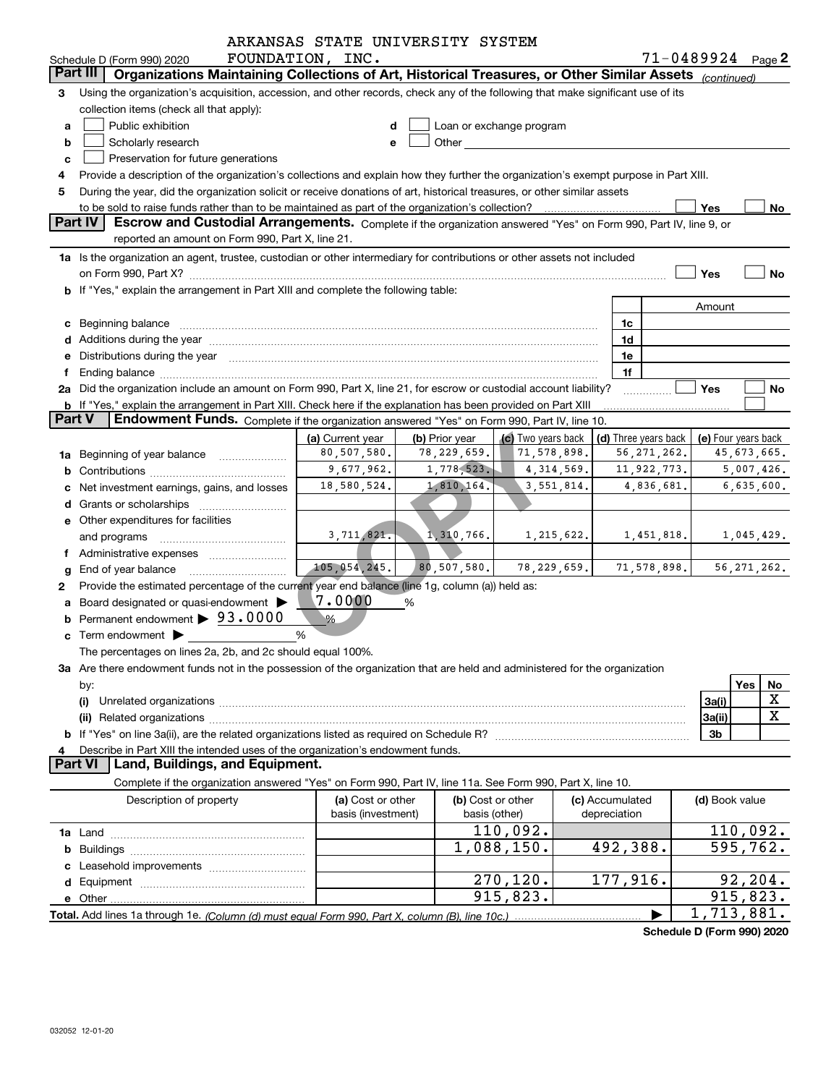|               |                                                                                                                                                                                                                                | ARKANSAS STATE UNIVERSITY SYSTEM        |                |                                                                                                                                                                                                                                |               |                                 |                       |                     |
|---------------|--------------------------------------------------------------------------------------------------------------------------------------------------------------------------------------------------------------------------------|-----------------------------------------|----------------|--------------------------------------------------------------------------------------------------------------------------------------------------------------------------------------------------------------------------------|---------------|---------------------------------|-----------------------|---------------------|
|               | Schedule D (Form 990) 2020                                                                                                                                                                                                     | FOUNDATION, INC.                        |                |                                                                                                                                                                                                                                |               |                                 | $71 - 0489924$ Page 2 |                     |
|               | Part III<br>Organizations Maintaining Collections of Art, Historical Treasures, or Other Similar Assets (continued)                                                                                                            |                                         |                |                                                                                                                                                                                                                                |               |                                 |                       |                     |
| 3             | Using the organization's acquisition, accession, and other records, check any of the following that make significant use of its                                                                                                |                                         |                |                                                                                                                                                                                                                                |               |                                 |                       |                     |
|               | collection items (check all that apply):                                                                                                                                                                                       |                                         |                |                                                                                                                                                                                                                                |               |                                 |                       |                     |
| a             | Public exhibition                                                                                                                                                                                                              |                                         |                | Loan or exchange program                                                                                                                                                                                                       |               |                                 |                       |                     |
| b             | Scholarly research                                                                                                                                                                                                             |                                         |                | Other and the control of the control of the control of the control of the control of the control of the control of the control of the control of the control of the control of the control of the control of the control of th |               |                                 |                       |                     |
| с             | Preservation for future generations                                                                                                                                                                                            |                                         |                |                                                                                                                                                                                                                                |               |                                 |                       |                     |
|               | Provide a description of the organization's collections and explain how they further the organization's exempt purpose in Part XIII.                                                                                           |                                         |                |                                                                                                                                                                                                                                |               |                                 |                       |                     |
| 5             | During the year, did the organization solicit or receive donations of art, historical treasures, or other similar assets                                                                                                       |                                         |                |                                                                                                                                                                                                                                |               |                                 |                       |                     |
|               | to be sold to raise funds rather than to be maintained as part of the organization's collection?                                                                                                                               |                                         |                |                                                                                                                                                                                                                                |               |                                 | Yes                   | No                  |
|               | Part IV<br>Escrow and Custodial Arrangements. Complete if the organization answered "Yes" on Form 990, Part IV, line 9, or                                                                                                     |                                         |                |                                                                                                                                                                                                                                |               |                                 |                       |                     |
|               | reported an amount on Form 990, Part X, line 21.                                                                                                                                                                               |                                         |                |                                                                                                                                                                                                                                |               |                                 |                       |                     |
|               | 1a Is the organization an agent, trustee, custodian or other intermediary for contributions or other assets not included                                                                                                       |                                         |                |                                                                                                                                                                                                                                |               |                                 |                       |                     |
|               | on Form 990, Part X? [11] matter contracts and contracts and contracts are contracted as a form 990, Part X?                                                                                                                   |                                         |                |                                                                                                                                                                                                                                |               |                                 | Yes                   | No                  |
|               | b If "Yes," explain the arrangement in Part XIII and complete the following table:                                                                                                                                             |                                         |                |                                                                                                                                                                                                                                |               |                                 |                       |                     |
|               |                                                                                                                                                                                                                                |                                         |                |                                                                                                                                                                                                                                |               |                                 | Amount                |                     |
|               | c Beginning balance measurements and the state of the state of the state of the state of the state of the state of the state of the state of the state of the state of the state of the state of the state of the state of the |                                         |                |                                                                                                                                                                                                                                |               | 1c                              |                       |                     |
|               | d Additions during the year measurement contains and a state of the year.                                                                                                                                                      |                                         |                |                                                                                                                                                                                                                                |               | 1d                              |                       |                     |
|               | e Distributions during the year manufactured and continuum and control of the control of the control of the control of the control of the control of the control of the control of the control of the control of the control o |                                         |                |                                                                                                                                                                                                                                |               | 1e                              |                       |                     |
| f             |                                                                                                                                                                                                                                |                                         |                |                                                                                                                                                                                                                                |               | 1f                              |                       |                     |
|               | 2a Did the organization include an amount on Form 990, Part X, line 21, for escrow or custodial account liability?                                                                                                             |                                         |                |                                                                                                                                                                                                                                |               |                                 | Yes                   | No                  |
|               | b If "Yes," explain the arrangement in Part XIII. Check here if the explanation has been provided on Part XIII                                                                                                                 |                                         |                |                                                                                                                                                                                                                                |               |                                 |                       |                     |
| <b>Part V</b> | <b>Endowment Funds.</b> Complete if the organization answered "Yes" on Form 990, Part IV, line 10.                                                                                                                             |                                         |                |                                                                                                                                                                                                                                |               |                                 |                       |                     |
|               |                                                                                                                                                                                                                                | (a) Current year                        | (b) Prior year | (c) Two years back                                                                                                                                                                                                             |               | (d) Three years back            |                       | (e) Four years back |
|               | <b>1a</b> Beginning of year balance <i>manument</i>                                                                                                                                                                            | 80,507,580.                             | 78,229,659.    | 71,578,898.                                                                                                                                                                                                                    |               | 56, 271, 262.                   |                       | 45,673,665.         |
| b             |                                                                                                                                                                                                                                | 9,677,962.                              | 1,778,523.     |                                                                                                                                                                                                                                | 4, 314, 569.  | 11,922,773.                     |                       | 5,007,426.          |
|               | Net investment earnings, gains, and losses                                                                                                                                                                                     | 18,580,524.                             | 1,810,164.     |                                                                                                                                                                                                                                | 3,551,814.    | 4,836,681.                      |                       | 6,635,600.          |
|               |                                                                                                                                                                                                                                |                                         |                |                                                                                                                                                                                                                                |               |                                 |                       |                     |
|               | e Other expenditures for facilities                                                                                                                                                                                            |                                         |                |                                                                                                                                                                                                                                |               |                                 |                       |                     |
|               | and programs                                                                                                                                                                                                                   | 3,711,821.                              | 1,310,766.     |                                                                                                                                                                                                                                | 1, 215, 622.  | 1,451,818.                      |                       | 1,045,429.          |
|               | f Administrative expenses                                                                                                                                                                                                      |                                         |                |                                                                                                                                                                                                                                |               |                                 |                       |                     |
| g             |                                                                                                                                                                                                                                | 105,054,245.                            | 80,507,580.    |                                                                                                                                                                                                                                | 78, 229, 659. | 71,578,898.                     |                       | 56, 271, 262.       |
| 2             | Provide the estimated percentage of the current year end balance (line 1g, column (a)) held as:                                                                                                                                |                                         |                |                                                                                                                                                                                                                                |               |                                 |                       |                     |
| a             | Board designated or quasi-endowment                                                                                                                                                                                            | 7.0000                                  | %              |                                                                                                                                                                                                                                |               |                                 |                       |                     |
|               | Permanent endowment > 93.0000                                                                                                                                                                                                  | %                                       |                |                                                                                                                                                                                                                                |               |                                 |                       |                     |
|               | $\mathbf c$ Term endowment $\blacktriangleright$                                                                                                                                                                               | $\frac{0}{0}$                           |                |                                                                                                                                                                                                                                |               |                                 |                       |                     |
|               | The percentages on lines 2a, 2b, and 2c should equal 100%.                                                                                                                                                                     |                                         |                |                                                                                                                                                                                                                                |               |                                 |                       |                     |
|               | 3a Are there endowment funds not in the possession of the organization that are held and administered for the organization                                                                                                     |                                         |                |                                                                                                                                                                                                                                |               |                                 |                       |                     |
|               | by:                                                                                                                                                                                                                            |                                         |                |                                                                                                                                                                                                                                |               |                                 |                       | Yes<br>No           |
|               | (i)                                                                                                                                                                                                                            |                                         |                |                                                                                                                                                                                                                                |               |                                 | 3a(i)                 | х                   |
|               |                                                                                                                                                                                                                                |                                         |                |                                                                                                                                                                                                                                |               |                                 | 3a(ii)                | X                   |
|               |                                                                                                                                                                                                                                |                                         |                |                                                                                                                                                                                                                                |               |                                 | 3b                    |                     |
| 4             | Describe in Part XIII the intended uses of the organization's endowment funds.                                                                                                                                                 |                                         |                |                                                                                                                                                                                                                                |               |                                 |                       |                     |
|               | Land, Buildings, and Equipment.<br><b>Part VI</b>                                                                                                                                                                              |                                         |                |                                                                                                                                                                                                                                |               |                                 |                       |                     |
|               | Complete if the organization answered "Yes" on Form 990, Part IV, line 11a. See Form 990, Part X, line 10.                                                                                                                     |                                         |                |                                                                                                                                                                                                                                |               |                                 |                       |                     |
|               | Description of property                                                                                                                                                                                                        | (a) Cost or other<br>basis (investment) |                | (b) Cost or other<br>basis (other)                                                                                                                                                                                             |               | (c) Accumulated<br>depreciation | (d) Book value        |                     |
|               |                                                                                                                                                                                                                                |                                         |                | 110,092.                                                                                                                                                                                                                       |               |                                 |                       | 110,092.            |
|               |                                                                                                                                                                                                                                |                                         |                | 1,088,150.                                                                                                                                                                                                                     |               | 492,388.                        |                       | 595,762.            |
| b             |                                                                                                                                                                                                                                |                                         |                |                                                                                                                                                                                                                                |               |                                 |                       |                     |
| c             |                                                                                                                                                                                                                                |                                         |                | 270, 120.                                                                                                                                                                                                                      |               | 177,916.                        |                       | 92, 204.            |
| d             |                                                                                                                                                                                                                                |                                         |                | 915,823.                                                                                                                                                                                                                       |               |                                 |                       | 915,823.            |
|               |                                                                                                                                                                                                                                |                                         |                |                                                                                                                                                                                                                                |               |                                 |                       | 1,713,881.          |
|               |                                                                                                                                                                                                                                |                                         |                |                                                                                                                                                                                                                                |               |                                 |                       |                     |

**Schedule D (Form 990) 2020**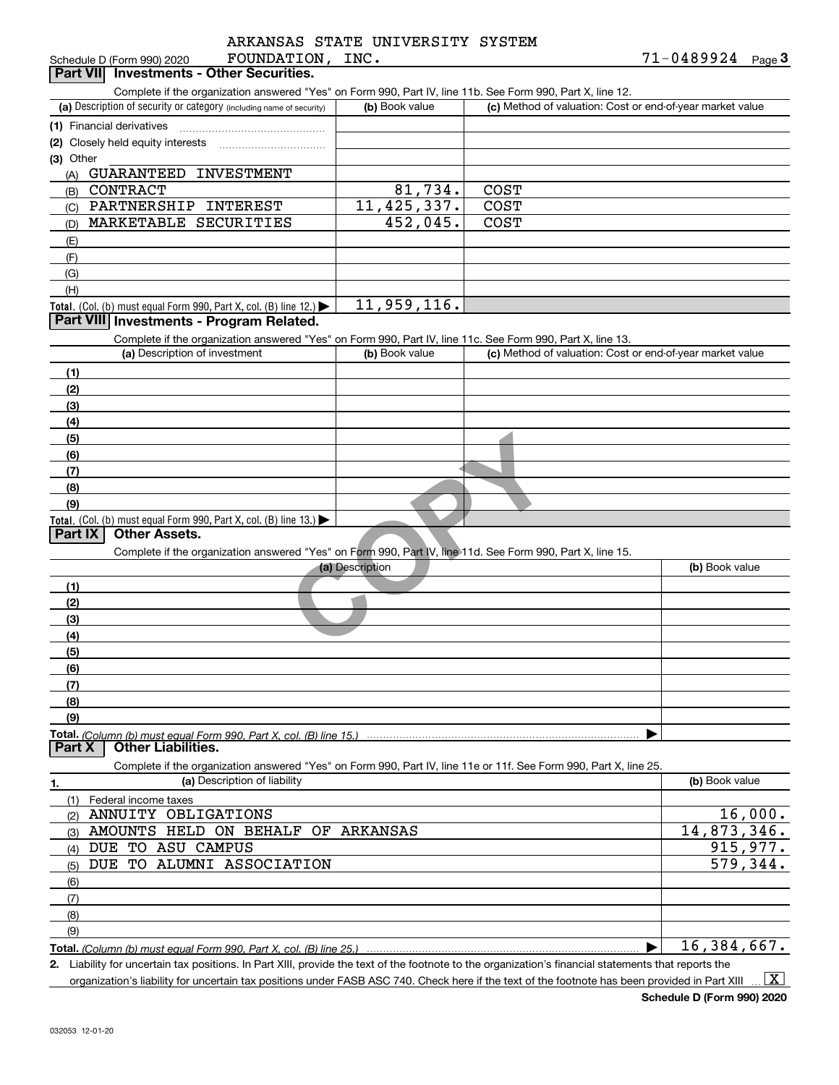| .                               |  |
|---------------------------------|--|
| <b><u><del>nothin</del></u></b> |  |

| Part VII Investments - Other Securities. |
|------------------------------------------|

ichedule D (Form 990) 2020 FOUNDATION , INC **.**<br>Part VII Investments - Other Securities.<br>Complete if the organization answered "Yes" on Form 990, Part IV, line 11b. See Form 990, Part X, line 12.

| (a) Description of security or category (including name of security)                   | (b) Book value | (c) Method of valuation: Cost or end-of-year market value |
|----------------------------------------------------------------------------------------|----------------|-----------------------------------------------------------|
| (1) Financial derivatives                                                              |                |                                                           |
| (2) Closely held equity interests                                                      |                |                                                           |
| (3) Other                                                                              |                |                                                           |
| <b>GUARANTEED</b><br>INVESTMENT<br>(A)                                                 |                |                                                           |
| <b>CONTRACT</b><br>(B)                                                                 | 81,734.        | <b>COST</b>                                               |
| PARTNERSHIP<br>INTEREST<br>(C)                                                         | 11,425,337.    | <b>COST</b>                                               |
| MARKETABLE SECURITIES<br>(D)                                                           | 452,045.       | <b>COST</b>                                               |
| (E)                                                                                    |                |                                                           |
| (F)                                                                                    |                |                                                           |
| (G)                                                                                    |                |                                                           |
| (H)                                                                                    |                |                                                           |
| Total. (Col. (b) must equal Form 990, Part X, col. (B) line 12.) $\blacktriangleright$ | 11,959,116.    |                                                           |

#### **Part VIII Investments - Program Related.**

Complete if the organization answered "Yes" on Form 990, Part IV, line 11c. See Form 990, Part X, line 13.

| (a) Description of investment                                                                              | (b) Book value  | (c) Method of valuation: Cost or end-of-year market value |                |
|------------------------------------------------------------------------------------------------------------|-----------------|-----------------------------------------------------------|----------------|
| (1)                                                                                                        |                 |                                                           |                |
| (2)                                                                                                        |                 |                                                           |                |
| (3)                                                                                                        |                 |                                                           |                |
| (4)                                                                                                        |                 |                                                           |                |
| (5)                                                                                                        |                 |                                                           |                |
| (6)                                                                                                        |                 |                                                           |                |
| (7)                                                                                                        |                 |                                                           |                |
| (8)                                                                                                        |                 |                                                           |                |
| (9)                                                                                                        |                 |                                                           |                |
| Total. (Col. (b) must equal Form 990, Part X, col. (B) line 13.) $\blacktriangleright$                     |                 |                                                           |                |
| <b>Part IX</b><br><b>Other Assets.</b>                                                                     |                 |                                                           |                |
| Complete if the organization answered "Yes" on Form 990, Part IV, line 11d. See Form 990, Part X, line 15. |                 |                                                           |                |
|                                                                                                            | (a) Description |                                                           | (b) Book value |
| (1)                                                                                                        |                 |                                                           |                |
| (2)                                                                                                        |                 |                                                           |                |
| (3)                                                                                                        |                 |                                                           |                |
| (4)                                                                                                        |                 |                                                           |                |
|                                                                                                            |                 |                                                           |                |

#### **Part IX Other Assets.**

| (a) Description                                                    | (b) Book value |
|--------------------------------------------------------------------|----------------|
| (1)                                                                |                |
| (2)                                                                |                |
| (3)                                                                |                |
| (4)                                                                |                |
| (5)                                                                |                |
| (6)                                                                |                |
| (7)                                                                |                |
| (8)                                                                |                |
| (9)                                                                |                |
| Total. (Column (b) must equal Form 990, Part X, col. (B) line 15.) |                |

**Part X Other Liabilities.**

Complete if the organization answered "Yes" on Form 990, Part IV, line 11e or 11f. See Form 990, Part X, line 25.

|              | (a) Description of liability       | (b) Book value |
|--------------|------------------------------------|----------------|
| (1)          | Federal income taxes               |                |
| (2)          | ANNUITY OBLIGATIONS                | 16,000.        |
| (3)          | AMOUNTS HELD ON BEHALF OF ARKANSAS | 14,873,346.    |
| (4)          | DUE TO ASU CAMPUS                  | 915,977.       |
| (5)          | DUE TO ALUMNI ASSOCIATION          | 579,344.       |
| (6)          |                                    |                |
| $\sqrt{(7)}$ |                                    |                |
| (8)          |                                    |                |
| (9)          |                                    |                |
|              |                                    | 16,384,667.    |

*(Column (b) must equal Form 990, Part X, col. (B) line 25.)* 

 | Liability for uncertain tax positions. In Part XIII, provide the text of the footnote to the organization's financial statements that reports the organization's liability for uncertain tax positions under FASB ASC 740. Check here if the text of the footnote has been provided in Part XIII  $\boxed{\text{X}}$ 

**2.**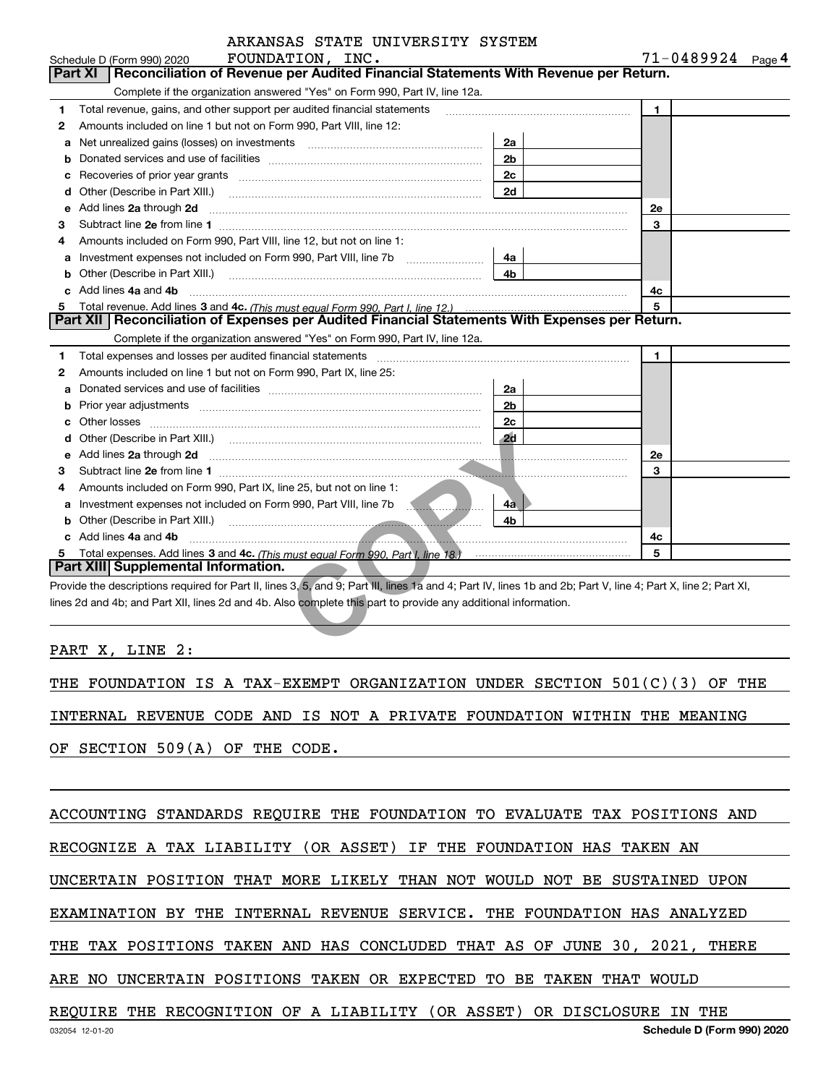| Schedule D (Form 990) 2020<br>Reconciliation of Revenue per Audited Financial Statements With Revenue per Return.<br>Part XI<br>Complete if the organization answered "Yes" on Form 990, Part IV, line 12a.<br>$\mathbf{1}$<br>Total revenue, gains, and other support per audited financial statements<br>1<br>Amounts included on line 1 but not on Form 990, Part VIII, line 12:<br>2<br>Net unrealized gains (losses) on investments [11] matter contracts and the unrealized gains (losses) on investments<br>2a<br>a<br>2 <sub>b</sub><br>b<br>2c<br>с<br>2d<br>d<br>Add lines 2a through 2d<br>2e<br>е<br>3<br>3<br>Amounts included on Form 990, Part VIII, line 12, but not on line 1:<br>4<br>4a<br>а<br>4b<br>b<br>Add lines 4a and 4b<br>4с<br>c<br>5<br>Part XII   Reconciliation of Expenses per Audited Financial Statements With Expenses per Return.<br>Complete if the organization answered "Yes" on Form 990, Part IV, line 12a.<br>Total expenses and losses per audited financial statements [11] [11] Total expenses and losses per audited financial statements [11] [11] Total expenses and losses per audited financial statements<br>$\mathbf{1}$<br>1<br>Amounts included on line 1 but not on Form 990, Part IX, line 25:<br>2<br>2a<br>2 <sub>b</sub><br>b<br>2с<br>2d<br>d<br>Add lines 2a through 2d <b>minimum contracts and the contract of the contract of the contract of the contract of the contract of the contract of the contract of the contract of the contract of the contract of the contract of</b><br>2e<br>е<br>3<br>з<br>Amounts included on Form 990, Part IX, line 25, but not on line 1:<br>4<br>4a<br>a<br>4b.<br>b<br>Add lines 4a and 4b<br>4c<br>5<br>5<br>Part XIII Supplemental Information.<br>Provide the descriptions required for Part II, lines 3, 5, and 9; Part III, lines 1a and 4; Part IV, lines 1b and 2b; Part V, line 4; Part X, line 2; Part XI,<br>lines 2d and 4b; and Part XII, lines 2d and 4b. Also complete this part to provide any additional information. | ARKANSAS STATE UNIVERSITY SYSTEM<br>FOUNDATION, INC. | $71 - 0489924$ Page 4 |
|--------------------------------------------------------------------------------------------------------------------------------------------------------------------------------------------------------------------------------------------------------------------------------------------------------------------------------------------------------------------------------------------------------------------------------------------------------------------------------------------------------------------------------------------------------------------------------------------------------------------------------------------------------------------------------------------------------------------------------------------------------------------------------------------------------------------------------------------------------------------------------------------------------------------------------------------------------------------------------------------------------------------------------------------------------------------------------------------------------------------------------------------------------------------------------------------------------------------------------------------------------------------------------------------------------------------------------------------------------------------------------------------------------------------------------------------------------------------------------------------------------------------------------------------------------------------------------------------------------------------------------------------------------------------------------------------------------------------------------------------------------------------------------------------------------------------------------------------------------------------------------------------------------------------------------------------------------------------------------------------------------------------------------------------|------------------------------------------------------|-----------------------|
|                                                                                                                                                                                                                                                                                                                                                                                                                                                                                                                                                                                                                                                                                                                                                                                                                                                                                                                                                                                                                                                                                                                                                                                                                                                                                                                                                                                                                                                                                                                                                                                                                                                                                                                                                                                                                                                                                                                                                                                                                                            |                                                      |                       |
|                                                                                                                                                                                                                                                                                                                                                                                                                                                                                                                                                                                                                                                                                                                                                                                                                                                                                                                                                                                                                                                                                                                                                                                                                                                                                                                                                                                                                                                                                                                                                                                                                                                                                                                                                                                                                                                                                                                                                                                                                                            |                                                      |                       |
|                                                                                                                                                                                                                                                                                                                                                                                                                                                                                                                                                                                                                                                                                                                                                                                                                                                                                                                                                                                                                                                                                                                                                                                                                                                                                                                                                                                                                                                                                                                                                                                                                                                                                                                                                                                                                                                                                                                                                                                                                                            |                                                      |                       |
|                                                                                                                                                                                                                                                                                                                                                                                                                                                                                                                                                                                                                                                                                                                                                                                                                                                                                                                                                                                                                                                                                                                                                                                                                                                                                                                                                                                                                                                                                                                                                                                                                                                                                                                                                                                                                                                                                                                                                                                                                                            |                                                      |                       |
|                                                                                                                                                                                                                                                                                                                                                                                                                                                                                                                                                                                                                                                                                                                                                                                                                                                                                                                                                                                                                                                                                                                                                                                                                                                                                                                                                                                                                                                                                                                                                                                                                                                                                                                                                                                                                                                                                                                                                                                                                                            |                                                      |                       |
|                                                                                                                                                                                                                                                                                                                                                                                                                                                                                                                                                                                                                                                                                                                                                                                                                                                                                                                                                                                                                                                                                                                                                                                                                                                                                                                                                                                                                                                                                                                                                                                                                                                                                                                                                                                                                                                                                                                                                                                                                                            |                                                      |                       |
|                                                                                                                                                                                                                                                                                                                                                                                                                                                                                                                                                                                                                                                                                                                                                                                                                                                                                                                                                                                                                                                                                                                                                                                                                                                                                                                                                                                                                                                                                                                                                                                                                                                                                                                                                                                                                                                                                                                                                                                                                                            |                                                      |                       |
|                                                                                                                                                                                                                                                                                                                                                                                                                                                                                                                                                                                                                                                                                                                                                                                                                                                                                                                                                                                                                                                                                                                                                                                                                                                                                                                                                                                                                                                                                                                                                                                                                                                                                                                                                                                                                                                                                                                                                                                                                                            |                                                      |                       |
|                                                                                                                                                                                                                                                                                                                                                                                                                                                                                                                                                                                                                                                                                                                                                                                                                                                                                                                                                                                                                                                                                                                                                                                                                                                                                                                                                                                                                                                                                                                                                                                                                                                                                                                                                                                                                                                                                                                                                                                                                                            |                                                      |                       |
|                                                                                                                                                                                                                                                                                                                                                                                                                                                                                                                                                                                                                                                                                                                                                                                                                                                                                                                                                                                                                                                                                                                                                                                                                                                                                                                                                                                                                                                                                                                                                                                                                                                                                                                                                                                                                                                                                                                                                                                                                                            |                                                      |                       |
|                                                                                                                                                                                                                                                                                                                                                                                                                                                                                                                                                                                                                                                                                                                                                                                                                                                                                                                                                                                                                                                                                                                                                                                                                                                                                                                                                                                                                                                                                                                                                                                                                                                                                                                                                                                                                                                                                                                                                                                                                                            |                                                      |                       |
|                                                                                                                                                                                                                                                                                                                                                                                                                                                                                                                                                                                                                                                                                                                                                                                                                                                                                                                                                                                                                                                                                                                                                                                                                                                                                                                                                                                                                                                                                                                                                                                                                                                                                                                                                                                                                                                                                                                                                                                                                                            |                                                      |                       |
|                                                                                                                                                                                                                                                                                                                                                                                                                                                                                                                                                                                                                                                                                                                                                                                                                                                                                                                                                                                                                                                                                                                                                                                                                                                                                                                                                                                                                                                                                                                                                                                                                                                                                                                                                                                                                                                                                                                                                                                                                                            |                                                      |                       |
|                                                                                                                                                                                                                                                                                                                                                                                                                                                                                                                                                                                                                                                                                                                                                                                                                                                                                                                                                                                                                                                                                                                                                                                                                                                                                                                                                                                                                                                                                                                                                                                                                                                                                                                                                                                                                                                                                                                                                                                                                                            |                                                      |                       |
|                                                                                                                                                                                                                                                                                                                                                                                                                                                                                                                                                                                                                                                                                                                                                                                                                                                                                                                                                                                                                                                                                                                                                                                                                                                                                                                                                                                                                                                                                                                                                                                                                                                                                                                                                                                                                                                                                                                                                                                                                                            |                                                      |                       |
|                                                                                                                                                                                                                                                                                                                                                                                                                                                                                                                                                                                                                                                                                                                                                                                                                                                                                                                                                                                                                                                                                                                                                                                                                                                                                                                                                                                                                                                                                                                                                                                                                                                                                                                                                                                                                                                                                                                                                                                                                                            |                                                      |                       |
|                                                                                                                                                                                                                                                                                                                                                                                                                                                                                                                                                                                                                                                                                                                                                                                                                                                                                                                                                                                                                                                                                                                                                                                                                                                                                                                                                                                                                                                                                                                                                                                                                                                                                                                                                                                                                                                                                                                                                                                                                                            |                                                      |                       |
|                                                                                                                                                                                                                                                                                                                                                                                                                                                                                                                                                                                                                                                                                                                                                                                                                                                                                                                                                                                                                                                                                                                                                                                                                                                                                                                                                                                                                                                                                                                                                                                                                                                                                                                                                                                                                                                                                                                                                                                                                                            |                                                      |                       |
|                                                                                                                                                                                                                                                                                                                                                                                                                                                                                                                                                                                                                                                                                                                                                                                                                                                                                                                                                                                                                                                                                                                                                                                                                                                                                                                                                                                                                                                                                                                                                                                                                                                                                                                                                                                                                                                                                                                                                                                                                                            |                                                      |                       |
|                                                                                                                                                                                                                                                                                                                                                                                                                                                                                                                                                                                                                                                                                                                                                                                                                                                                                                                                                                                                                                                                                                                                                                                                                                                                                                                                                                                                                                                                                                                                                                                                                                                                                                                                                                                                                                                                                                                                                                                                                                            |                                                      |                       |
|                                                                                                                                                                                                                                                                                                                                                                                                                                                                                                                                                                                                                                                                                                                                                                                                                                                                                                                                                                                                                                                                                                                                                                                                                                                                                                                                                                                                                                                                                                                                                                                                                                                                                                                                                                                                                                                                                                                                                                                                                                            |                                                      |                       |
|                                                                                                                                                                                                                                                                                                                                                                                                                                                                                                                                                                                                                                                                                                                                                                                                                                                                                                                                                                                                                                                                                                                                                                                                                                                                                                                                                                                                                                                                                                                                                                                                                                                                                                                                                                                                                                                                                                                                                                                                                                            |                                                      |                       |
|                                                                                                                                                                                                                                                                                                                                                                                                                                                                                                                                                                                                                                                                                                                                                                                                                                                                                                                                                                                                                                                                                                                                                                                                                                                                                                                                                                                                                                                                                                                                                                                                                                                                                                                                                                                                                                                                                                                                                                                                                                            |                                                      |                       |
|                                                                                                                                                                                                                                                                                                                                                                                                                                                                                                                                                                                                                                                                                                                                                                                                                                                                                                                                                                                                                                                                                                                                                                                                                                                                                                                                                                                                                                                                                                                                                                                                                                                                                                                                                                                                                                                                                                                                                                                                                                            |                                                      |                       |
|                                                                                                                                                                                                                                                                                                                                                                                                                                                                                                                                                                                                                                                                                                                                                                                                                                                                                                                                                                                                                                                                                                                                                                                                                                                                                                                                                                                                                                                                                                                                                                                                                                                                                                                                                                                                                                                                                                                                                                                                                                            |                                                      |                       |
|                                                                                                                                                                                                                                                                                                                                                                                                                                                                                                                                                                                                                                                                                                                                                                                                                                                                                                                                                                                                                                                                                                                                                                                                                                                                                                                                                                                                                                                                                                                                                                                                                                                                                                                                                                                                                                                                                                                                                                                                                                            |                                                      |                       |
|                                                                                                                                                                                                                                                                                                                                                                                                                                                                                                                                                                                                                                                                                                                                                                                                                                                                                                                                                                                                                                                                                                                                                                                                                                                                                                                                                                                                                                                                                                                                                                                                                                                                                                                                                                                                                                                                                                                                                                                                                                            |                                                      |                       |
|                                                                                                                                                                                                                                                                                                                                                                                                                                                                                                                                                                                                                                                                                                                                                                                                                                                                                                                                                                                                                                                                                                                                                                                                                                                                                                                                                                                                                                                                                                                                                                                                                                                                                                                                                                                                                                                                                                                                                                                                                                            |                                                      |                       |
|                                                                                                                                                                                                                                                                                                                                                                                                                                                                                                                                                                                                                                                                                                                                                                                                                                                                                                                                                                                                                                                                                                                                                                                                                                                                                                                                                                                                                                                                                                                                                                                                                                                                                                                                                                                                                                                                                                                                                                                                                                            |                                                      |                       |
|                                                                                                                                                                                                                                                                                                                                                                                                                                                                                                                                                                                                                                                                                                                                                                                                                                                                                                                                                                                                                                                                                                                                                                                                                                                                                                                                                                                                                                                                                                                                                                                                                                                                                                                                                                                                                                                                                                                                                                                                                                            |                                                      |                       |
|                                                                                                                                                                                                                                                                                                                                                                                                                                                                                                                                                                                                                                                                                                                                                                                                                                                                                                                                                                                                                                                                                                                                                                                                                                                                                                                                                                                                                                                                                                                                                                                                                                                                                                                                                                                                                                                                                                                                                                                                                                            |                                                      |                       |
|                                                                                                                                                                                                                                                                                                                                                                                                                                                                                                                                                                                                                                                                                                                                                                                                                                                                                                                                                                                                                                                                                                                                                                                                                                                                                                                                                                                                                                                                                                                                                                                                                                                                                                                                                                                                                                                                                                                                                                                                                                            |                                                      |                       |
| T TATM                                                                                                                                                                                                                                                                                                                                                                                                                                                                                                                                                                                                                                                                                                                                                                                                                                                                                                                                                                                                                                                                                                                                                                                                                                                                                                                                                                                                                                                                                                                                                                                                                                                                                                                                                                                                                                                                                                                                                                                                                                     |                                                      |                       |

PART X, LINE 2:

THE FOUNDATION IS A TAX-EXEMPT ORGANIZATION UNDER SECTION 501(C)(3) OF THE

INTERNAL REVENUE CODE AND IS NOT A PRIVATE FOUNDATION WITHIN THE MEANING

OF SECTION 509(A) OF THE CODE.

ACCOUNTING STANDARDS REQUIRE THE FOUNDATION TO EVALUATE TAX POSITIONS AND

RECOGNIZE A TAX LIABILITY (OR ASSET) IF THE FOUNDATION HAS TAKEN AN

UNCERTAIN POSITION THAT MORE LIKELY THAN NOT WOULD NOT BE SUSTAINED UPON

EXAMINATION BY THE INTERNAL REVENUE SERVICE. THE FOUNDATION HAS ANALYZED

THE TAX POSITIONS TAKEN AND HAS CONCLUDED THAT AS OF JUNE 30, 2021, THERE

ARE NO UNCERTAIN POSITIONS TAKEN OR EXPECTED TO BE TAKEN THAT WOULD

REQUIRE THE RECOGNITION OF A LIABILITY (OR ASSET) OR DISCLOSURE IN THE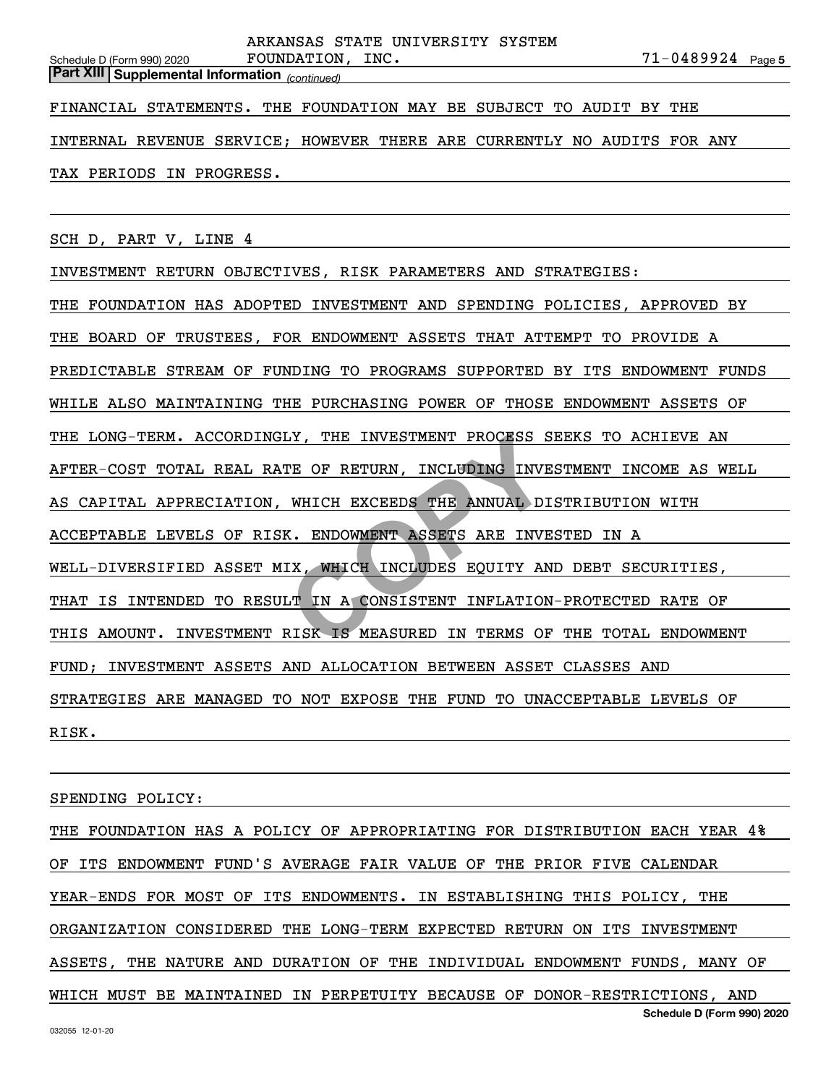Schedule D (Form 990) 2020 Page FOUNDATION, INC. 71-0489924 ARKANSAS STATE UNIVERSITY SYSTEM

*(continued)* **Part XIII Supplemental Information** 

FINANCIAL STATEMENTS. THE FOUNDATION MAY BE SUBJECT TO AUDIT BY THE

INTERNAL REVENUE SERVICE; HOWEVER THERE ARE CURRENTLY NO AUDITS FOR ANY

TAX PERIODS IN PROGRESS.

SCH D, PART V, LINE 4

INVESTMENT RETURN OBJECTIVES, RISK PARAMETERS AND STRATEGIES:

THE FOUNDATION HAS ADOPTED INVESTMENT AND SPENDING POLICIES, APPROVED BY THE BOARD OF TRUSTEES, FOR ENDOWMENT ASSETS THAT ATTEMPT TO PROVIDE A PREDICTABLE STREAM OF FUNDING TO PROGRAMS SUPPORTED BY ITS ENDOWMENT FUNDS WHILE ALSO MAINTAINING THE PURCHASING POWER OF THOSE ENDOWMENT ASSETS OF THE LONG-TERM. ACCORDINGLY, THE INVESTMENT PROCESS SEEKS TO ACHIEVE AN AFTER-COST TOTAL REAL RATE OF RETURN, INCLUDING INVESTMENT INCOME AS WELL AS CAPITAL APPRECIATION, WHICH EXCEEDS THE ANNUAL DISTRIBUTION WITH ACCEPTABLE LEVELS OF RISK. ENDOWMENT ASSETS ARE INVESTED IN A WELL-DIVERSIFIED ASSET MIX, WHICH INCLUDES EQUITY AND DEBT SECURITIES, THAT IS INTENDED TO RESULT IN A CONSISTENT INFLATION-PROTECTED RATE OF THIS AMOUNT. INVESTMENT RISK IS MEASURED IN TERMS OF THE TOTAL ENDOWMENT FUND; INVESTMENT ASSETS AND ALLOCATION BETWEEN ASSET CLASSES AND STRATEGIES ARE MANAGED TO NOT EXPOSE THE FUND TO UNACCEPTABLE LEVELS OF RISK. LY, THE INVESTMENT PROCESS S<br>TE OF RETURN, INCLUDING INVE<br>WHICH EXCEEDS THE ANNUAL DI<br>X. ENDOWMENT ASSETS ARE INVE<br>IX, WHICH INCLUDES EQUITY AN<br>LT IN A CONSISTENT INFLATION<br>RISK IS MEASURED IN TERMS OF

SPENDING POLICY:

**Schedule D (Form 990) 2020** THE FOUNDATION HAS A POLICY OF APPROPRIATING FOR DISTRIBUTION EACH YEAR 4% OF ITS ENDOWMENT FUND'S AVERAGE FAIR VALUE OF THE PRIOR FIVE CALENDAR YEAR-ENDS FOR MOST OF ITS ENDOWMENTS. IN ESTABLISHING THIS POLICY, THE ORGANIZATION CONSIDERED THE LONG-TERM EXPECTED RETURN ON ITS INVESTMENT ASSETS, THE NATURE AND DURATION OF THE INDIVIDUAL ENDOWMENT FUNDS, MANY OF WHICH MUST BE MAINTAINED IN PERPETUITY BECAUSE OF DONOR-RESTRICTIONS, AND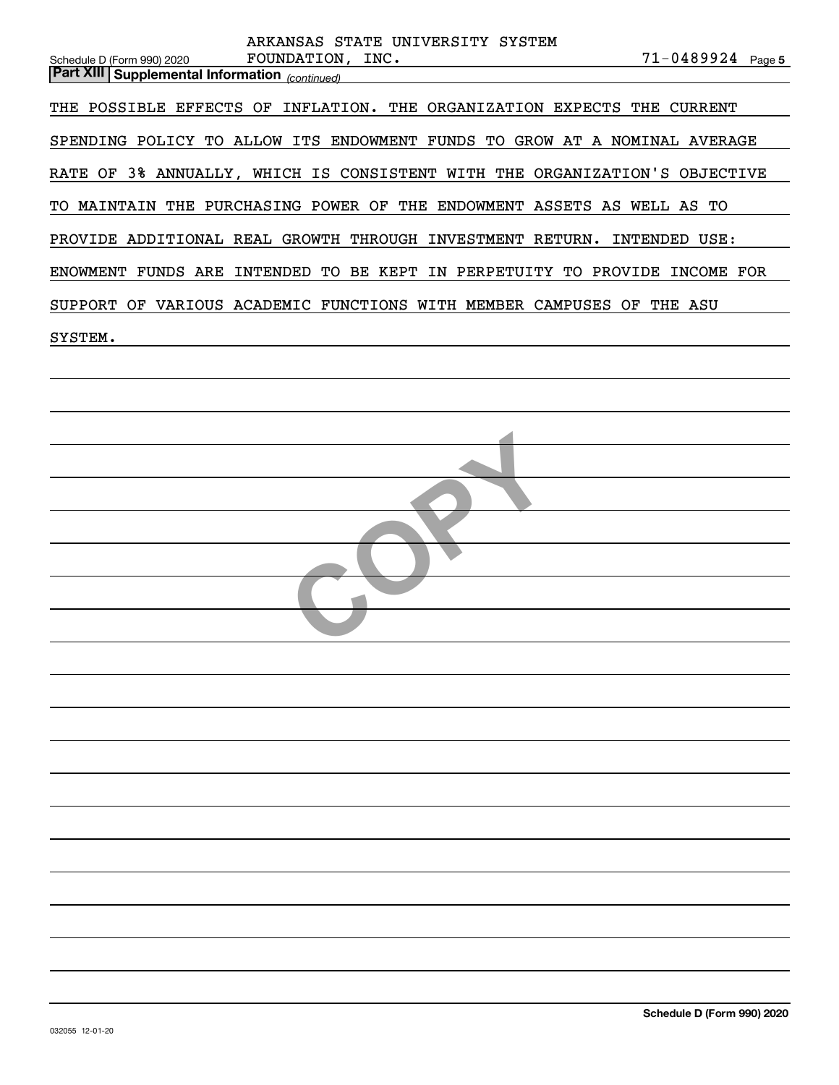| ARKANSAS STATE UNIVERSITY SYSTEM                                                                                          |
|---------------------------------------------------------------------------------------------------------------------------|
| FOUNDATION, INC.<br>$71 - 0489924$ Page 5<br>Schedule D (Form 990) 2020<br>Part XIII Supplemental Information (continued) |
| THE POSSIBLE EFFECTS OF INFLATION. THE ORGANIZATION EXPECTS THE CURRENT                                                   |
| SPENDING POLICY TO ALLOW ITS ENDOWMENT FUNDS TO GROW AT A NOMINAL AVERAGE                                                 |
| RATE OF 3% ANNUALLY, WHICH IS CONSISTENT WITH THE ORGANIZATION'S OBJECTIVE                                                |
| TO MAINTAIN THE PURCHASING POWER OF THE ENDOWMENT ASSETS AS WELL AS TO                                                    |
| PROVIDE ADDITIONAL REAL GROWTH THROUGH INVESTMENT RETURN. INTENDED USE:                                                   |
| ENOWMENT FUNDS ARE INTENDED TO BE KEPT IN PERPETUITY TO PROVIDE INCOME FOR                                                |
| SUPPORT OF VARIOUS ACADEMIC FUNCTIONS WITH MEMBER CAMPUSES OF THE ASU                                                     |
| SYSTEM.                                                                                                                   |
|                                                                                                                           |
|                                                                                                                           |
|                                                                                                                           |
|                                                                                                                           |
|                                                                                                                           |
|                                                                                                                           |
|                                                                                                                           |
|                                                                                                                           |
|                                                                                                                           |
|                                                                                                                           |
|                                                                                                                           |
|                                                                                                                           |
|                                                                                                                           |
|                                                                                                                           |
|                                                                                                                           |
|                                                                                                                           |
|                                                                                                                           |
|                                                                                                                           |
|                                                                                                                           |
|                                                                                                                           |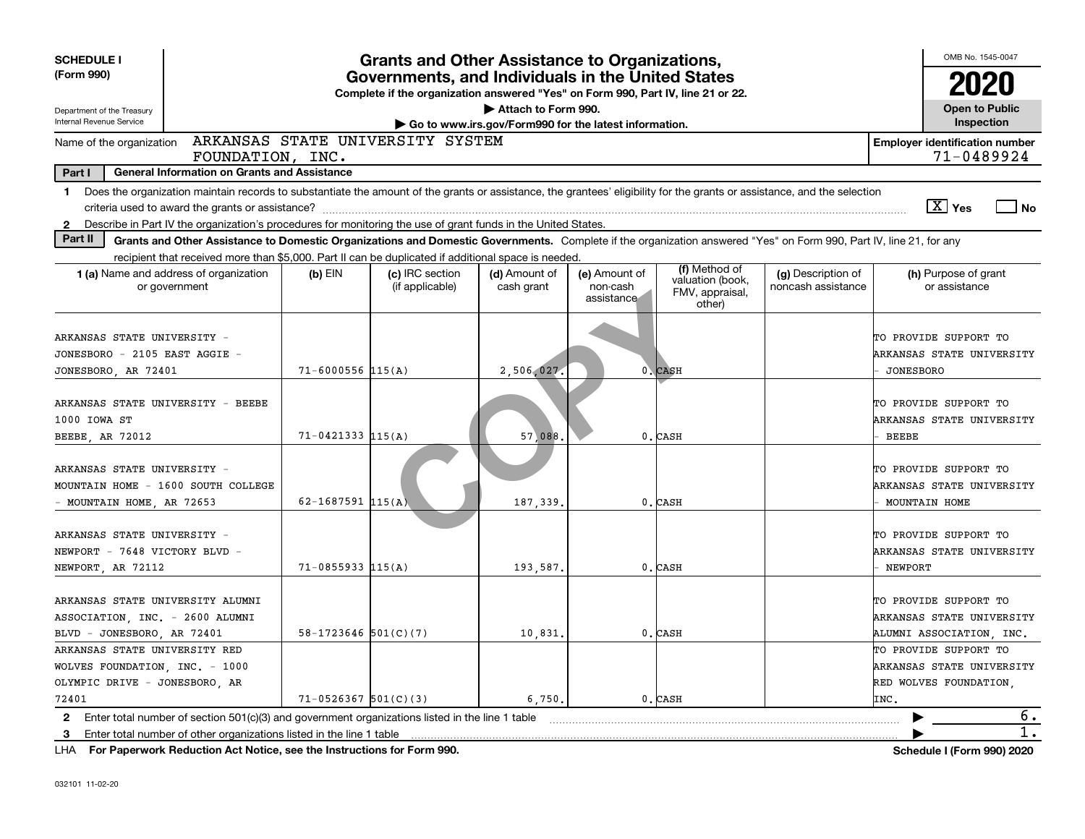| <b>SCHEDULE I</b>                                                                                                                                                                                                                                                                                                        |                            | <b>Grants and Other Assistance to Organizations,</b> |                                                       |                                         |                                                                |                                          | OMB No. 1545-0047                                                              |
|--------------------------------------------------------------------------------------------------------------------------------------------------------------------------------------------------------------------------------------------------------------------------------------------------------------------------|----------------------------|------------------------------------------------------|-------------------------------------------------------|-----------------------------------------|----------------------------------------------------------------|------------------------------------------|--------------------------------------------------------------------------------|
| (Form 990)                                                                                                                                                                                                                                                                                                               | 2020                       |                                                      |                                                       |                                         |                                                                |                                          |                                                                                |
| Department of the Treasury<br>Internal Revenue Service                                                                                                                                                                                                                                                                   |                            |                                                      | Attach to Form 990.                                   |                                         |                                                                |                                          | <b>Open to Public</b>                                                          |
|                                                                                                                                                                                                                                                                                                                          |                            |                                                      | Go to www.irs.gov/Form990 for the latest information. |                                         |                                                                |                                          | Inspection                                                                     |
| Name of the organization<br>FOUNDATION, INC.                                                                                                                                                                                                                                                                             |                            | ARKANSAS STATE UNIVERSITY SYSTEM                     |                                                       |                                         |                                                                |                                          | <b>Employer identification number</b><br>71-0489924                            |
| Part I<br><b>General Information on Grants and Assistance</b>                                                                                                                                                                                                                                                            |                            |                                                      |                                                       |                                         |                                                                |                                          |                                                                                |
| Does the organization maintain records to substantiate the amount of the grants or assistance, the grantees' eligibility for the grants or assistance, and the selection<br>$\mathbf 1$<br>Describe in Part IV the organization's procedures for monitoring the use of grant funds in the United States.<br>$\mathbf{2}$ |                            |                                                      |                                                       |                                         |                                                                |                                          | $\boxed{\text{X}}$ Yes<br>$ $ No                                               |
| Part II<br>Grants and Other Assistance to Domestic Organizations and Domestic Governments. Complete if the organization answered "Yes" on Form 990, Part IV, line 21, for any                                                                                                                                            |                            |                                                      |                                                       |                                         |                                                                |                                          |                                                                                |
| recipient that received more than \$5,000. Part II can be duplicated if additional space is needed.                                                                                                                                                                                                                      |                            |                                                      |                                                       |                                         |                                                                |                                          |                                                                                |
| 1 (a) Name and address of organization<br>or government                                                                                                                                                                                                                                                                  | $(b)$ EIN                  | (c) IRC section<br>(if applicable)                   | (d) Amount of<br>cash grant                           | (e) Amount of<br>non-cash<br>assistance | (f) Method of<br>valuation (book,<br>FMV, appraisal,<br>other) | (g) Description of<br>noncash assistance | (h) Purpose of grant<br>or assistance                                          |
| ARKANSAS STATE UNIVERSITY -<br>JONESBORO - 2105 EAST AGGIE -<br>JONESBORO, AR 72401                                                                                                                                                                                                                                      | $71 - 6000556$ $115(A)$    |                                                      | 2,506,027.                                            |                                         | 0. CASH                                                        |                                          | TO PROVIDE SUPPORT TO<br>ARKANSAS STATE UNIVERSITY<br><b>JONESBORO</b>         |
| ARKANSAS STATE UNIVERSITY - BEEBE<br>1000 IOWA ST<br>BEEBE, AR 72012                                                                                                                                                                                                                                                     | $71 - 0421333$ $115(A)$    |                                                      | 57,088                                                |                                         | 0. CASH                                                        |                                          | TO PROVIDE SUPPORT TO<br>ARKANSAS STATE UNIVERSITY<br><b>BEEBE</b>             |
| ARKANSAS STATE UNIVERSITY -<br>MOUNTAIN HOME - 1600 SOUTH COLLEGE<br>MOUNTAIN HOME, AR 72653                                                                                                                                                                                                                             | $62 - 1687591$ 115(A)      |                                                      | 187,339.                                              |                                         | 0. CASH                                                        |                                          | TO PROVIDE SUPPORT TO<br>ARKANSAS STATE UNIVERSITY<br>MOUNTAIN HOME            |
| ARKANSAS STATE UNIVERSITY -<br>NEWPORT - 7648 VICTORY BLVD -<br>NEWPORT, AR 72112                                                                                                                                                                                                                                        | $71 - 0855933$ $115(A)$    |                                                      | 193,587.                                              |                                         | 0. CASH                                                        |                                          | TO PROVIDE SUPPORT TO<br>ARKANSAS STATE UNIVERSITY<br>NEWPORT                  |
| ARKANSAS STATE UNIVERSITY ALUMNI<br>ASSOCIATION, INC. - 2600 ALUMNI<br>BLVD - JONESBORO, AR 72401                                                                                                                                                                                                                        | 58-1723646 $501(C)(7)$     |                                                      | 10,831.                                               |                                         | 0. CASH                                                        |                                          | TO PROVIDE SUPPORT TO<br>ARKANSAS STATE UNIVERSITY<br>ALUMNI ASSOCIATION, INC. |
| ARKANSAS STATE UNIVERSITY RED<br>WOLVES FOUNDATION, INC. - 1000                                                                                                                                                                                                                                                          |                            |                                                      |                                                       |                                         |                                                                |                                          | TO PROVIDE SUPPORT TO<br>ARKANSAS STATE UNIVERSITY                             |
| OLYMPIC DRIVE - JONESBORO, AR                                                                                                                                                                                                                                                                                            |                            |                                                      |                                                       |                                         |                                                                |                                          | RED WOLVES FOUNDATION.                                                         |
| 72401                                                                                                                                                                                                                                                                                                                    | $71 - 0526367$ $501(C)(3)$ |                                                      | 6.750.                                                |                                         | 0. CASH                                                        |                                          | INC.                                                                           |
| 2 Enter total number of section $501(c)(3)$ and government organizations listed in the line 1 table                                                                                                                                                                                                                      |                            |                                                      |                                                       |                                         |                                                                |                                          | 6.                                                                             |
| 3 Enter total number of other organizations listed in the line 1 table                                                                                                                                                                                                                                                   |                            |                                                      |                                                       |                                         |                                                                |                                          | 1.                                                                             |

**For Paperwork Reduction Act Notice, see the Instructions for Form 990. Schedule I (Form 990) 2020** LHA

Schedule I (Form 990) 2020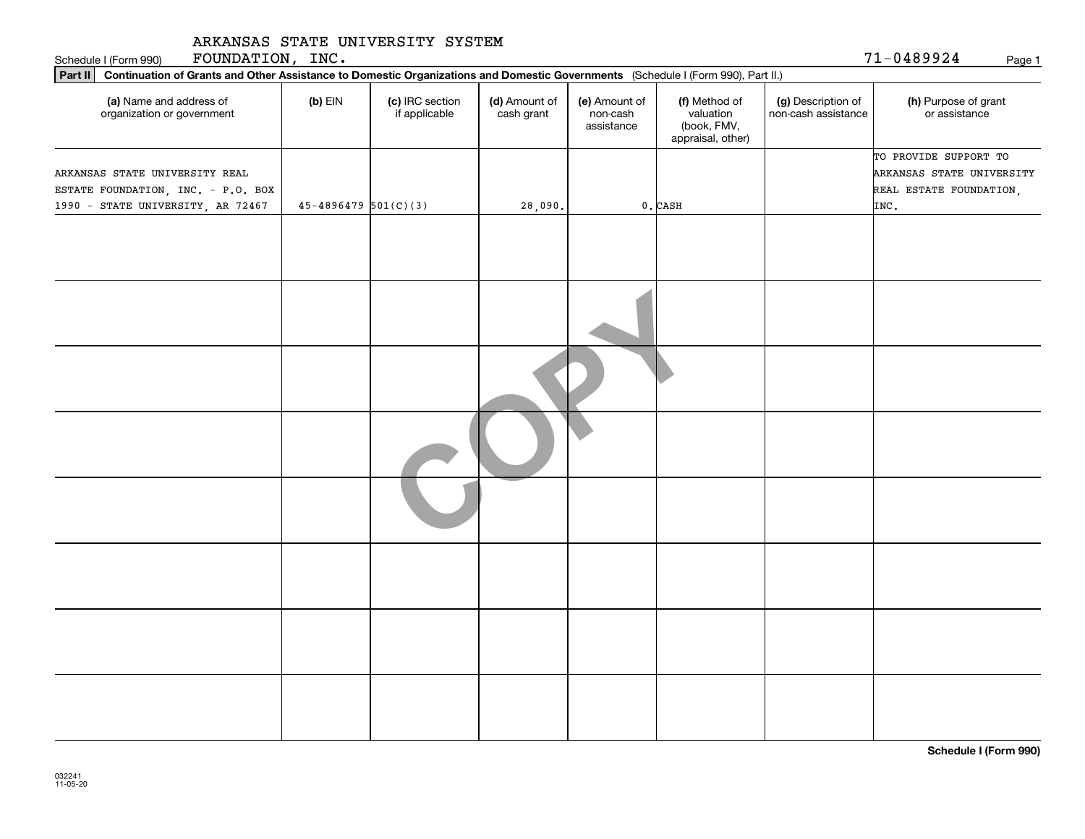Schedule I (Form 990) Page 1 FOUNDATION, INC.

71-0489924

| Part II   Continuation of Grants and Other Assistance to Domestic Organizations and Domestic Governments (Schedule I (Form 990), Part II.) |                          |                                  |                             |                                         |                                                                |                                           |                                                                               |
|--------------------------------------------------------------------------------------------------------------------------------------------|--------------------------|----------------------------------|-----------------------------|-----------------------------------------|----------------------------------------------------------------|-------------------------------------------|-------------------------------------------------------------------------------|
| (a) Name and address of<br>organization or government                                                                                      | $(b)$ EIN                | (c) IRC section<br>if applicable | (d) Amount of<br>cash grant | (e) Amount of<br>non-cash<br>assistance | (f) Method of<br>valuation<br>(book, FMV,<br>appraisal, other) | (g) Description of<br>non-cash assistance | (h) Purpose of grant<br>or assistance                                         |
| ARKANSAS STATE UNIVERSITY REAL<br>ESTATE FOUNDATION, INC. - P.O. BOX                                                                       |                          |                                  |                             |                                         |                                                                |                                           | TO PROVIDE SUPPORT TO<br>ARKANSAS STATE UNIVERSITY<br>REAL ESTATE FOUNDATION, |
| 1990 - STATE UNIVERSITY, AR 72467                                                                                                          | $45 - 4896479$ 501(C)(3) |                                  | 28,090.                     |                                         | 0.CASH                                                         |                                           | INC.                                                                          |
|                                                                                                                                            |                          |                                  |                             |                                         |                                                                |                                           |                                                                               |
|                                                                                                                                            |                          |                                  |                             |                                         |                                                                |                                           |                                                                               |
|                                                                                                                                            |                          |                                  |                             |                                         |                                                                |                                           |                                                                               |
|                                                                                                                                            |                          |                                  |                             |                                         |                                                                |                                           |                                                                               |
|                                                                                                                                            |                          |                                  |                             |                                         |                                                                |                                           |                                                                               |
|                                                                                                                                            |                          |                                  |                             |                                         |                                                                |                                           |                                                                               |
|                                                                                                                                            |                          |                                  |                             |                                         |                                                                |                                           |                                                                               |
|                                                                                                                                            |                          |                                  |                             |                                         |                                                                |                                           |                                                                               |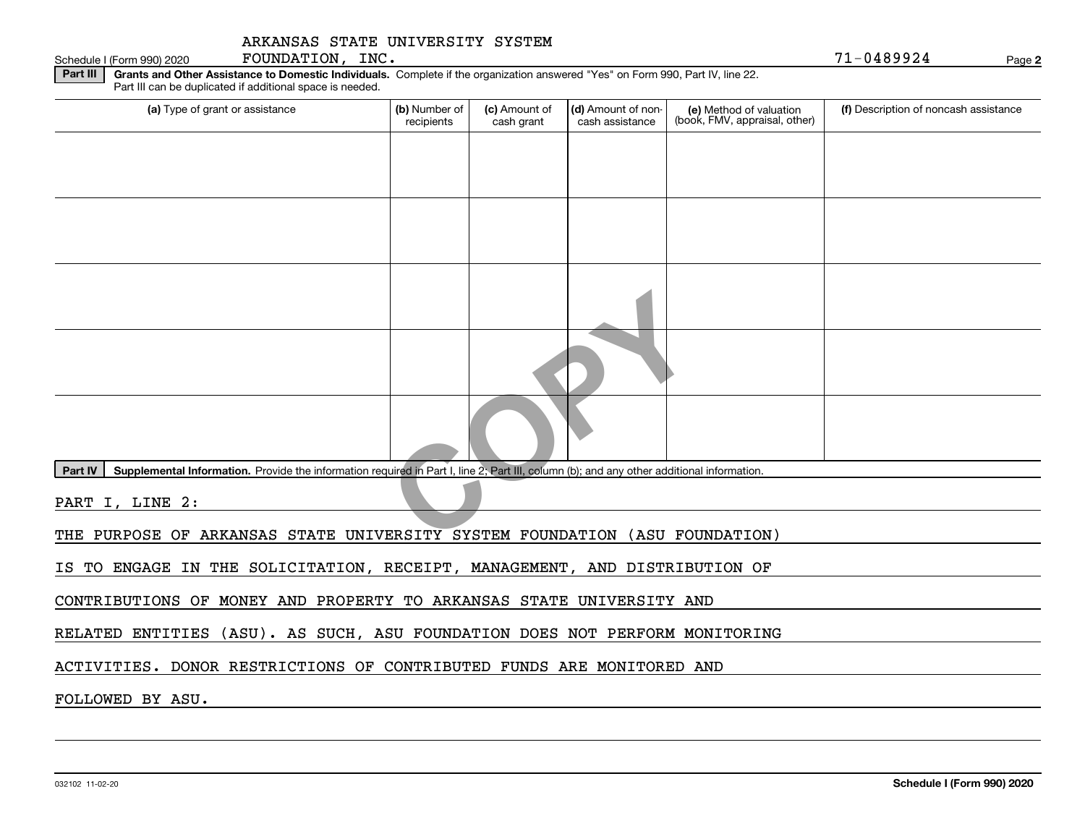**2Part III** | Grants and Other Assistance to Domestic Individuals. Complete if the organization answered "Yes" on Form 990, Part IV, line 22. (a) Type of grant or assistance **Audity Commet Audio Commet Commet Commet Commet Commet Commet Commet Commet Comme** Schedule I (Form 990) 2020  ${\bf F}$ OUNDATION,  ${\bf inc.}$ Part III can be duplicated if additional space is needed. (e) Method of valuation (book, FMV, appraisal, other) recipients(c) Amount of cash grant (d) Amount of noncash assistance **(f)** Description of noncash assistance uired in Part I, line 2; Part III, column (b); and any other additional<br>ERSITY SYSTEM FOUNDATION (ASU FOU

**Part IV** | Supplemental Information. Provide the information required in Part I, line 2; Part III, column (b); and any other additional information.

PART I, LINE 2:

THE PURPOSE OF ARKANSAS STATE UNIVERSITY SYSTEM FOUNDATION (ASU FOUNDATION)

IS TO ENGAGE IN THE SOLICITATION, RECEIPT, MANAGEMENT, AND DISTRIBUTION OF

CONTRIBUTIONS OF MONEY AND PROPERTY TO ARKANSAS STATE UNIVERSITY AND

RELATED ENTITIES (ASU). AS SUCH, ASU FOUNDATION DOES NOT PERFORM MONITORING

ACTIVITIES. DONOR RESTRICTIONS OF CONTRIBUTED FUNDS ARE MONITORED AND

FOLLOWED BY ASU.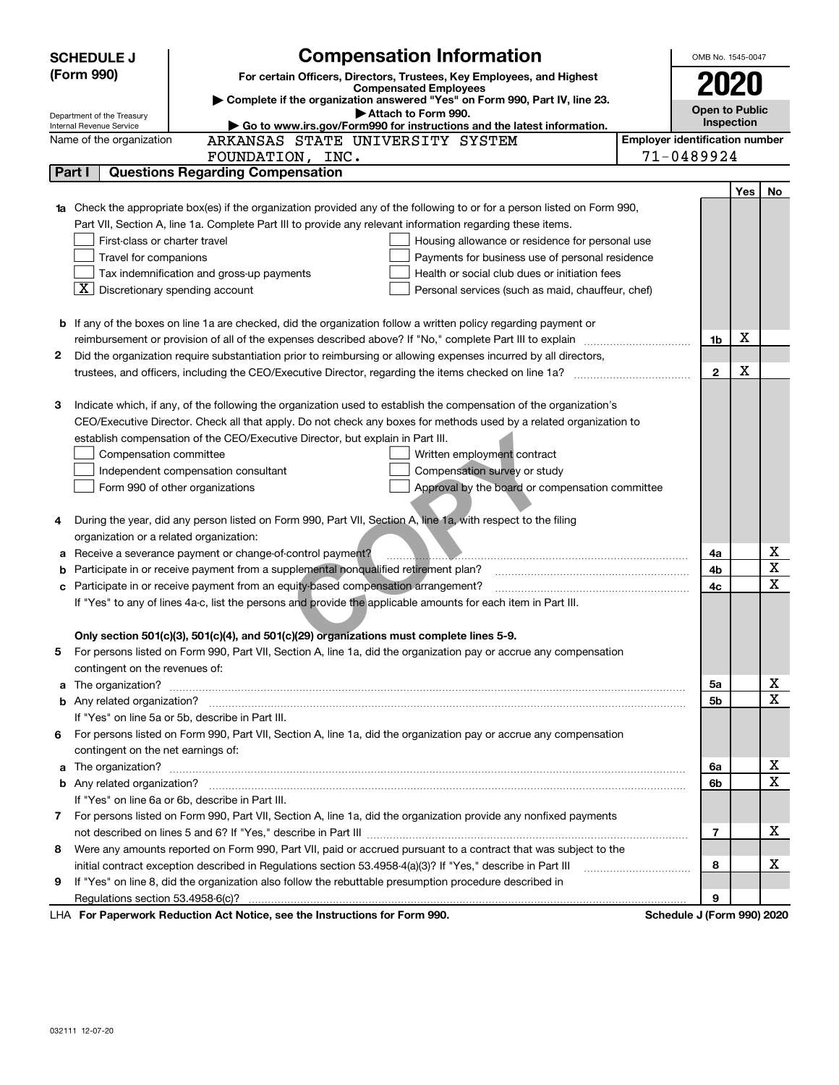|    | <b>SCHEDULE J</b>                                                        | <b>Compensation Information</b>                                                                                           |                                       | OMB No. 1545-0047          |     |    |  |  |
|----|--------------------------------------------------------------------------|---------------------------------------------------------------------------------------------------------------------------|---------------------------------------|----------------------------|-----|----|--|--|
|    | (Form 990)                                                               | For certain Officers, Directors, Trustees, Key Employees, and Highest                                                     |                                       |                            |     |    |  |  |
|    |                                                                          | <b>Compensated Employees</b><br>Complete if the organization answered "Yes" on Form 990, Part IV, line 23.                |                                       | 2020                       |     |    |  |  |
|    | Department of the Treasury                                               | Attach to Form 990.                                                                                                       |                                       | <b>Open to Public</b>      |     |    |  |  |
|    | Internal Revenue Service                                                 | Go to www.irs.gov/Form990 for instructions and the latest information.                                                    |                                       | Inspection                 |     |    |  |  |
|    | Name of the organization                                                 | ARKANSAS STATE UNIVERSITY SYSTEM                                                                                          | <b>Employer identification number</b> |                            |     |    |  |  |
|    |                                                                          | FOUNDATION, INC.                                                                                                          |                                       | 71-0489924                 |     |    |  |  |
|    | Part I                                                                   | <b>Questions Regarding Compensation</b>                                                                                   |                                       |                            |     |    |  |  |
|    |                                                                          |                                                                                                                           |                                       |                            | Yes | No |  |  |
|    |                                                                          | 1a Check the appropriate box(es) if the organization provided any of the following to or for a person listed on Form 990, |                                       |                            |     |    |  |  |
|    |                                                                          | Part VII, Section A, line 1a. Complete Part III to provide any relevant information regarding these items.                |                                       |                            |     |    |  |  |
|    | First-class or charter travel                                            | Housing allowance or residence for personal use                                                                           |                                       |                            |     |    |  |  |
|    | Travel for companions<br>Payments for business use of personal residence |                                                                                                                           |                                       |                            |     |    |  |  |
|    | $\boxed{\text{X}}$ Discretionary spending account                        | Tax indemnification and gross-up payments<br>Health or social club dues or initiation fees                                |                                       |                            |     |    |  |  |
|    |                                                                          | Personal services (such as maid, chauffeur, chef)                                                                         |                                       |                            |     |    |  |  |
|    |                                                                          |                                                                                                                           |                                       |                            |     |    |  |  |
|    |                                                                          | <b>b</b> If any of the boxes on line 1a are checked, did the organization follow a written policy regarding payment or    |                                       |                            | X   |    |  |  |
|    |                                                                          | Did the organization require substantiation prior to reimbursing or allowing expenses incurred by all directors,          |                                       | 1b                         |     |    |  |  |
| 2  |                                                                          |                                                                                                                           |                                       | $\mathbf{2}$               | X   |    |  |  |
|    |                                                                          |                                                                                                                           |                                       |                            |     |    |  |  |
| З  |                                                                          | Indicate which, if any, of the following the organization used to establish the compensation of the organization's        |                                       |                            |     |    |  |  |
|    |                                                                          | CEO/Executive Director. Check all that apply. Do not check any boxes for methods used by a related organization to        |                                       |                            |     |    |  |  |
|    |                                                                          | establish compensation of the CEO/Executive Director, but explain in Part III.                                            |                                       |                            |     |    |  |  |
|    | Compensation committee                                                   | Written employment contract                                                                                               |                                       |                            |     |    |  |  |
|    |                                                                          | Compensation survey or study<br>Independent compensation consultant                                                       |                                       |                            |     |    |  |  |
|    |                                                                          | Form 990 of other organizations<br>Approval by the board or compensation committee                                        |                                       |                            |     |    |  |  |
|    |                                                                          |                                                                                                                           |                                       |                            |     |    |  |  |
| 4  |                                                                          | During the year, did any person listed on Form 990, Part VII, Section A, line 1a, with respect to the filing              |                                       |                            |     |    |  |  |
|    | organization or a related organization:                                  |                                                                                                                           |                                       |                            |     |    |  |  |
| а  |                                                                          | Receive a severance payment or change-of-control payment?                                                                 |                                       | 4a                         |     | х  |  |  |
| b  |                                                                          | Participate in or receive payment from a supplemental nonqualified retirement plan?                                       |                                       | 4b                         |     | X  |  |  |
| c  |                                                                          | Participate in or receive payment from an equity-based compensation arrangement?                                          |                                       | 4с                         |     | х  |  |  |
|    |                                                                          | If "Yes" to any of lines 4a-c, list the persons and provide the applicable amounts for each item in Part III.             |                                       |                            |     |    |  |  |
|    |                                                                          |                                                                                                                           |                                       |                            |     |    |  |  |
|    |                                                                          | Only section 501(c)(3), 501(c)(4), and 501(c)(29) organizations must complete lines 5-9.                                  |                                       |                            |     |    |  |  |
|    |                                                                          | For persons listed on Form 990, Part VII, Section A, line 1a, did the organization pay or accrue any compensation         |                                       |                            |     |    |  |  |
|    | contingent on the revenues of:                                           |                                                                                                                           |                                       |                            |     |    |  |  |
|    |                                                                          | a The organization? <b>Constitution</b> and the organization?                                                             |                                       | 5а                         |     | х  |  |  |
|    |                                                                          |                                                                                                                           |                                       | 5b                         |     | х  |  |  |
|    |                                                                          | If "Yes" on line 5a or 5b, describe in Part III.                                                                          |                                       |                            |     |    |  |  |
| 6. |                                                                          | For persons listed on Form 990, Part VII, Section A, line 1a, did the organization pay or accrue any compensation         |                                       |                            |     |    |  |  |
|    | contingent on the net earnings of:                                       |                                                                                                                           |                                       |                            |     |    |  |  |
|    |                                                                          | a The organization? <b>Entitled Strategies and Strategies and Strategies</b> and The organization?                        |                                       | 6a                         |     | х  |  |  |
|    |                                                                          |                                                                                                                           |                                       | 6b                         |     | х  |  |  |
|    |                                                                          | If "Yes" on line 6a or 6b, describe in Part III.                                                                          |                                       |                            |     |    |  |  |
|    |                                                                          | 7 For persons listed on Form 990, Part VII, Section A, line 1a, did the organization provide any nonfixed payments        |                                       |                            |     |    |  |  |
|    |                                                                          |                                                                                                                           |                                       | 7                          |     | x  |  |  |
| 8  |                                                                          | Were any amounts reported on Form 990, Part VII, paid or accrued pursuant to a contract that was subject to the           |                                       |                            |     |    |  |  |
|    |                                                                          | initial contract exception described in Regulations section 53.4958-4(a)(3)? If "Yes," describe in Part III               |                                       | 8                          |     | x  |  |  |
| 9  |                                                                          | If "Yes" on line 8, did the organization also follow the rebuttable presumption procedure described in                    |                                       |                            |     |    |  |  |
|    |                                                                          |                                                                                                                           |                                       | 9                          |     |    |  |  |
|    |                                                                          | LHA For Paperwork Reduction Act Notice, see the Instructions for Form 990.                                                |                                       | Schedule J (Form 990) 2020 |     |    |  |  |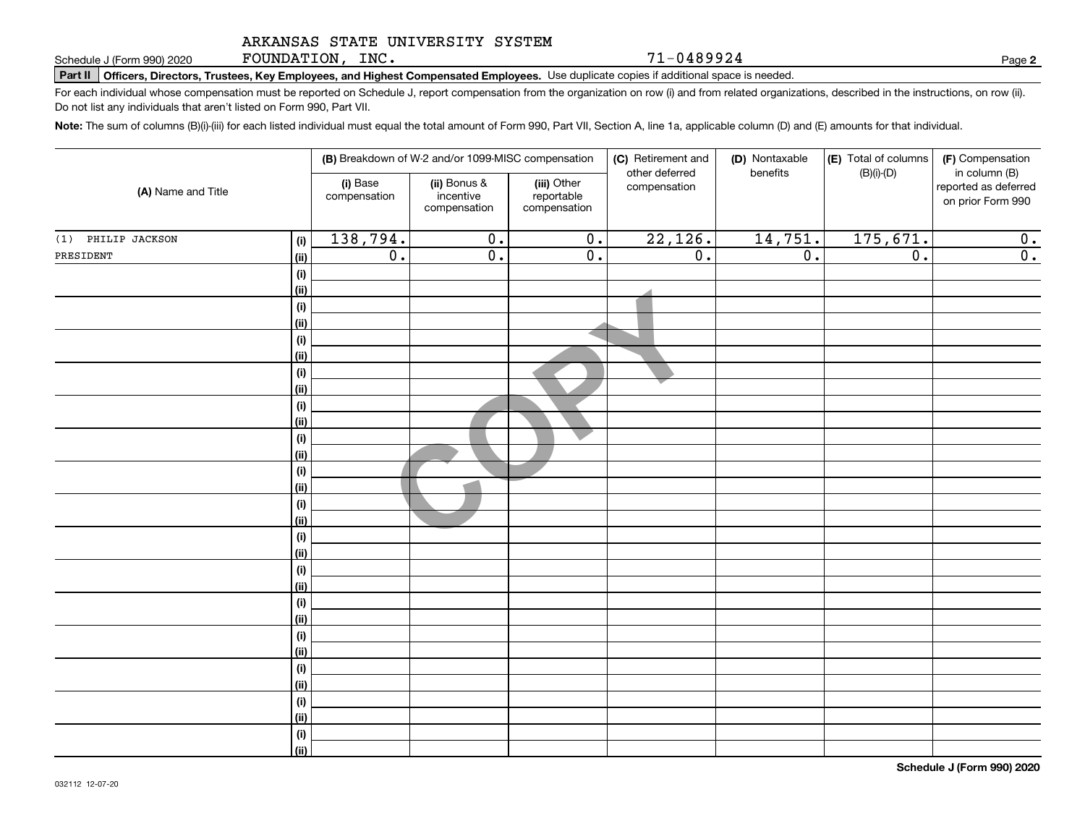FOUNDATION, INC.

71-0489924

**2**

Schedule J (Form 990) 2020 Part L'OUNDA'L'⊥ON , LNC **.**<br>Part II │Officers, Directors, Trustees, Key Employees, and Highest Compensated Employees. Use duplicate copies if additional space is needed.

For each individual whose compensation must be reported on Schedule J, report compensation from the organization on row (i) and from related organizations, described in the instructions, on row (ii). Do not list any individuals that aren't listed on Form 990, Part VII.

**Note:**  The sum of columns (B)(i)-(iii) for each listed individual must equal the total amount of Form 990, Part VII, Section A, line 1a, applicable column (D) and (E) amounts for that individual.

| (A) Name and Title    |                              |                          | (B) Breakdown of W-2 and/or 1099-MISC compensation |                                           | (C) Retirement and<br>other deferred | (D) Nontaxable<br>benefits | (E) Total of columns<br>$(B)(i)-(D)$ | (F) Compensation<br>in column (B)         |
|-----------------------|------------------------------|--------------------------|----------------------------------------------------|-------------------------------------------|--------------------------------------|----------------------------|--------------------------------------|-------------------------------------------|
|                       |                              | (i) Base<br>compensation | (ii) Bonus &<br>incentive<br>compensation          | (iii) Other<br>reportable<br>compensation | compensation                         |                            |                                      | reported as deferred<br>on prior Form 990 |
| PHILIP JACKSON<br>(1) | (i)                          | 138,794.                 | $\overline{0}$ .                                   | $\overline{0}$ .                          | 22,126.                              | 14,751.                    | 175,671.                             | 0.                                        |
| PRESIDENT             | <u>(ii)</u>                  | $\overline{0}$ .         | $\overline{0}$ .                                   | $\overline{0}$ .                          | $\overline{0}$ .                     | $\overline{0}$ .           | $\overline{0}$ .                     | 0.                                        |
|                       | $\qquad \qquad \textbf{(i)}$ |                          |                                                    |                                           |                                      |                            |                                      |                                           |
|                       | <u>(ii)</u>                  |                          |                                                    |                                           |                                      |                            |                                      |                                           |
|                       | (i)                          |                          |                                                    |                                           |                                      |                            |                                      |                                           |
|                       | <u>(ii)</u>                  |                          |                                                    |                                           |                                      |                            |                                      |                                           |
|                       | (i)                          |                          |                                                    |                                           |                                      |                            |                                      |                                           |
|                       | <u>(ii)</u>                  |                          |                                                    |                                           |                                      |                            |                                      |                                           |
|                       | (i)                          |                          |                                                    |                                           |                                      |                            |                                      |                                           |
|                       | <u>(ii)</u>                  |                          |                                                    |                                           |                                      |                            |                                      |                                           |
|                       | (i)                          |                          |                                                    |                                           |                                      |                            |                                      |                                           |
|                       | <u>(ii)</u>                  |                          |                                                    |                                           |                                      |                            |                                      |                                           |
|                       | (i)                          |                          |                                                    |                                           |                                      |                            |                                      |                                           |
|                       | <u>(ii)</u>                  |                          |                                                    |                                           |                                      |                            |                                      |                                           |
|                       | (i)<br><u>(ii)</u>           |                          |                                                    |                                           |                                      |                            |                                      |                                           |
|                       | (i)                          |                          |                                                    |                                           |                                      |                            |                                      |                                           |
|                       | <u>(ii)</u>                  |                          |                                                    |                                           |                                      |                            |                                      |                                           |
|                       | (i)                          |                          |                                                    |                                           |                                      |                            |                                      |                                           |
|                       | <u>(ii)</u>                  |                          |                                                    |                                           |                                      |                            |                                      |                                           |
|                       | (i)                          |                          |                                                    |                                           |                                      |                            |                                      |                                           |
|                       | <u>(ii)</u>                  |                          |                                                    |                                           |                                      |                            |                                      |                                           |
|                       | (i)                          |                          |                                                    |                                           |                                      |                            |                                      |                                           |
|                       | <u>(ii)</u>                  |                          |                                                    |                                           |                                      |                            |                                      |                                           |
|                       | (i)                          |                          |                                                    |                                           |                                      |                            |                                      |                                           |
|                       | <u>(ii)</u>                  |                          |                                                    |                                           |                                      |                            |                                      |                                           |
|                       | (i)                          |                          |                                                    |                                           |                                      |                            |                                      |                                           |
|                       | <u>(ii)</u>                  |                          |                                                    |                                           |                                      |                            |                                      |                                           |
|                       | (i)                          |                          |                                                    |                                           |                                      |                            |                                      |                                           |
|                       | <u>(ii)</u>                  |                          |                                                    |                                           |                                      |                            |                                      |                                           |
|                       | (i)                          |                          |                                                    |                                           |                                      |                            |                                      |                                           |
|                       | $\overline{}}$               |                          |                                                    |                                           |                                      |                            |                                      |                                           |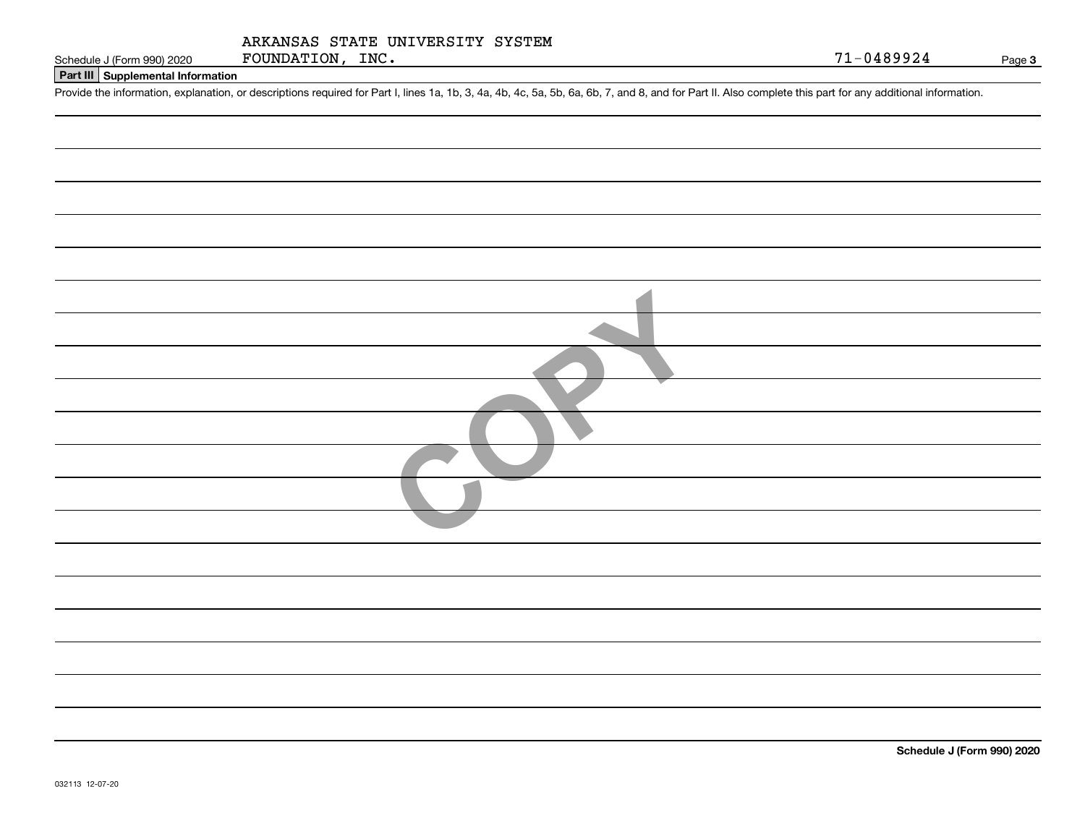|                  |  | ARKANSAS STATE UNIVERSITY SYSTEM |  |
|------------------|--|----------------------------------|--|
| FOUNDATION, INC. |  |                                  |  |

## **Part III Supplemental Information**

Schedule J (Form 990) 2020 FOUNDATION, INC.<br>Part III Supplemental Information<br>Provide the information, explanation, or descriptions required for Part I, lines 1a, 1b, 3, 4a, 4b, 4c, 5a, 5b, 6a, 6b, 7, and 8, and for Part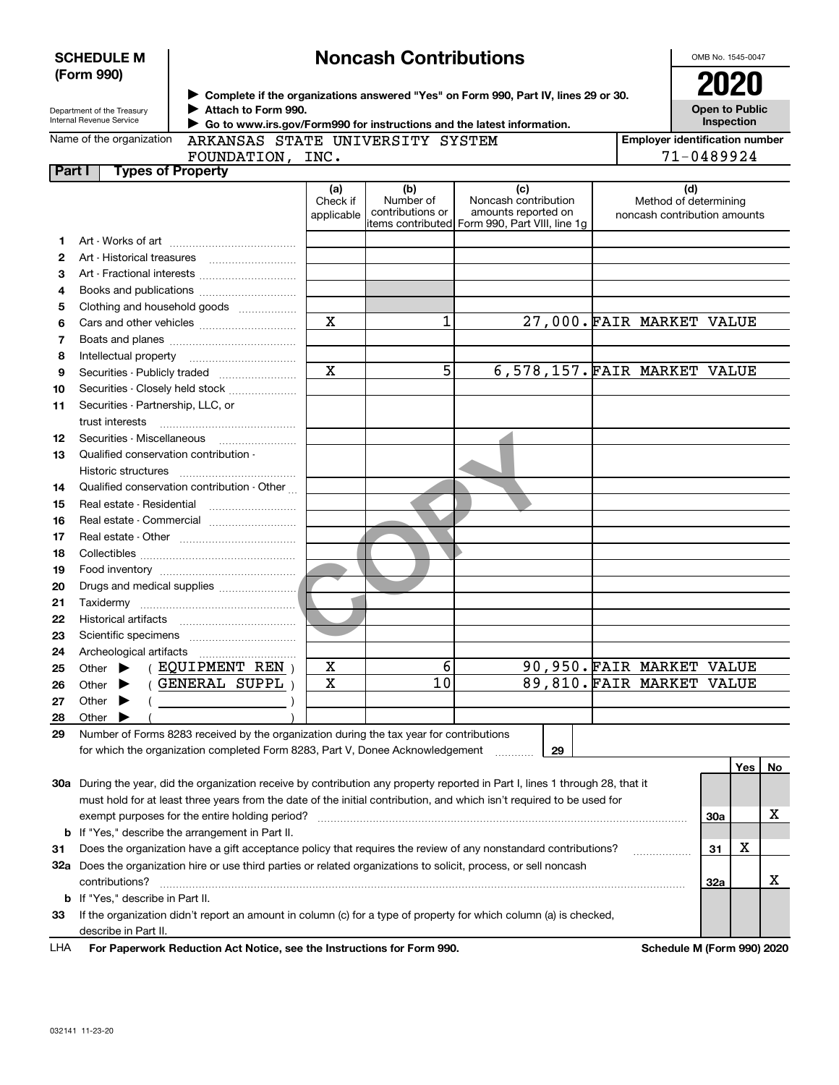|           | Attach to Form 990.<br>Department of the Treasury<br>Internal Revenue Service<br>Go to www.irs.gov/Form990 for instructions and the latest information. |                               |                                      |                                                                                                      |  |                                                              | <b>Open to Public</b><br>Inspection |    |
|-----------|---------------------------------------------------------------------------------------------------------------------------------------------------------|-------------------------------|--------------------------------------|------------------------------------------------------------------------------------------------------|--|--------------------------------------------------------------|-------------------------------------|----|
|           | ARKANSAS STATE UNIVERSITY SYSTEM<br><b>Employer identification number</b><br>Name of the organization<br>71-0489924<br>FOUNDATION, INC.                 |                               |                                      |                                                                                                      |  |                                                              |                                     |    |
| Part I    | <b>Types of Property</b>                                                                                                                                |                               |                                      |                                                                                                      |  |                                                              |                                     |    |
|           |                                                                                                                                                         | (a)<br>Check if<br>applicable | (b)<br>Number of<br>contributions or | (c)<br>Noncash contribution<br>amounts reported on<br>items contributed Form 990, Part VIII, line 1g |  | (d)<br>Method of determining<br>noncash contribution amounts |                                     |    |
| 1         |                                                                                                                                                         |                               |                                      |                                                                                                      |  |                                                              |                                     |    |
| 2         |                                                                                                                                                         |                               |                                      |                                                                                                      |  |                                                              |                                     |    |
| 3         | Art - Fractional interests                                                                                                                              |                               |                                      |                                                                                                      |  |                                                              |                                     |    |
| 4         | Books and publications                                                                                                                                  |                               |                                      |                                                                                                      |  |                                                              |                                     |    |
| 5         | Clothing and household goods                                                                                                                            |                               |                                      |                                                                                                      |  |                                                              |                                     |    |
| 6         |                                                                                                                                                         | $\overline{\mathbf{x}}$       | 1                                    | 27,000. FAIR MARKET VALUE                                                                            |  |                                                              |                                     |    |
| 7         |                                                                                                                                                         |                               |                                      |                                                                                                      |  |                                                              |                                     |    |
| 8         |                                                                                                                                                         |                               |                                      |                                                                                                      |  |                                                              |                                     |    |
| 9         |                                                                                                                                                         | $\overline{\mathbf{x}}$       | 5                                    | 6,578,157. FAIR MARKET VALUE                                                                         |  |                                                              |                                     |    |
| 10        | Securities - Closely held stock                                                                                                                         |                               |                                      |                                                                                                      |  |                                                              |                                     |    |
| 11        | Securities - Partnership, LLC, or                                                                                                                       |                               |                                      |                                                                                                      |  |                                                              |                                     |    |
|           | trust interests                                                                                                                                         |                               |                                      |                                                                                                      |  |                                                              |                                     |    |
| 12        | Securities - Miscellaneous                                                                                                                              |                               |                                      |                                                                                                      |  |                                                              |                                     |    |
| 13        | Qualified conservation contribution -                                                                                                                   |                               |                                      |                                                                                                      |  |                                                              |                                     |    |
|           | Historic structures                                                                                                                                     |                               |                                      |                                                                                                      |  |                                                              |                                     |    |
| 14        | Qualified conservation contribution - Other                                                                                                             |                               |                                      |                                                                                                      |  |                                                              |                                     |    |
| 15        | Real estate - Residential                                                                                                                               |                               |                                      |                                                                                                      |  |                                                              |                                     |    |
| 16        | Real estate - Commercial                                                                                                                                |                               |                                      |                                                                                                      |  |                                                              |                                     |    |
| 17        |                                                                                                                                                         |                               |                                      |                                                                                                      |  |                                                              |                                     |    |
| 18        |                                                                                                                                                         |                               |                                      |                                                                                                      |  |                                                              |                                     |    |
| 19        |                                                                                                                                                         |                               |                                      |                                                                                                      |  |                                                              |                                     |    |
| 20        |                                                                                                                                                         |                               |                                      |                                                                                                      |  |                                                              |                                     |    |
| 21        |                                                                                                                                                         |                               |                                      |                                                                                                      |  |                                                              |                                     |    |
| 22        |                                                                                                                                                         |                               |                                      |                                                                                                      |  |                                                              |                                     |    |
| 23        |                                                                                                                                                         |                               |                                      |                                                                                                      |  |                                                              |                                     |    |
| 24        |                                                                                                                                                         |                               |                                      |                                                                                                      |  |                                                              |                                     |    |
| 25        | Other $\blacktriangleright$ (EQUIPMENT REN)                                                                                                             | $\mathbf X$                   | 6                                    | 90,950. FAIR MARKET VALUE                                                                            |  |                                                              |                                     |    |
| 26        | (GENERAL SUPPL)<br>Other $\blacktriangleright$                                                                                                          | $\mathbf X$                   | 10                                   | 89,810. FAIR MARKET VALUE                                                                            |  |                                                              |                                     |    |
| 27        | Other $\blacktriangleright$<br>$\left($ $\frac{1}{\sqrt{2}}\right)$<br>$\sim$ $\sim$ $\sim$                                                             |                               |                                      |                                                                                                      |  |                                                              |                                     |    |
| <b>28</b> | Other $\blacktriangleright$                                                                                                                             |                               |                                      |                                                                                                      |  |                                                              |                                     |    |
| 29        | Number of Forms 8283 received by the organization during the tax year for contributions                                                                 |                               |                                      |                                                                                                      |  |                                                              |                                     |    |
|           | for which the organization completed Form 8283, Part V, Donee Acknowledgement                                                                           |                               |                                      | 29                                                                                                   |  |                                                              |                                     |    |
|           |                                                                                                                                                         |                               |                                      |                                                                                                      |  |                                                              | Yes $ $                             | No |
|           | 30a During the year, did the organization receive by contribution any property reported in Part I, lines 1 through 28, that it                          |                               |                                      |                                                                                                      |  |                                                              |                                     |    |
|           | must hold for at least three years from the date of the initial contribution, and which isn't required to be used for                                   |                               |                                      |                                                                                                      |  |                                                              |                                     |    |
|           |                                                                                                                                                         |                               |                                      |                                                                                                      |  | <b>30a</b>                                                   |                                     | х  |
|           | <b>b</b> If "Yes," describe the arrangement in Part II.                                                                                                 |                               |                                      |                                                                                                      |  |                                                              | х                                   |    |
| 31        | Does the organization have a gift acceptance policy that requires the review of any nonstandard contributions?                                          |                               |                                      |                                                                                                      |  | 31                                                           |                                     |    |
|           | 32a Does the organization hire or use third parties or related organizations to solicit, process, or sell noncash                                       |                               |                                      |                                                                                                      |  |                                                              |                                     | x  |
|           | contributions?<br><b>b</b> If "Yes," describe in Part II.                                                                                               |                               |                                      |                                                                                                      |  | 32a                                                          |                                     |    |
|           |                                                                                                                                                         |                               |                                      |                                                                                                      |  |                                                              |                                     |    |

**Complete if the organizations answered "Yes" on Form 990, Part IV, lines 29 or 30.** <sup>J</sup>**2020**

**Noncash Contributions**

**33**If the organization didn't report an amount in column (c) for a type of property for which column (a) is checked, describe in Part II.

**For Paperwork Reduction Act Notice, see the Instructions for Form 990. Schedule M (Form 990) 2020** LHA

OMB No. 1545-0047

**SCHEDULE M (Form 990)**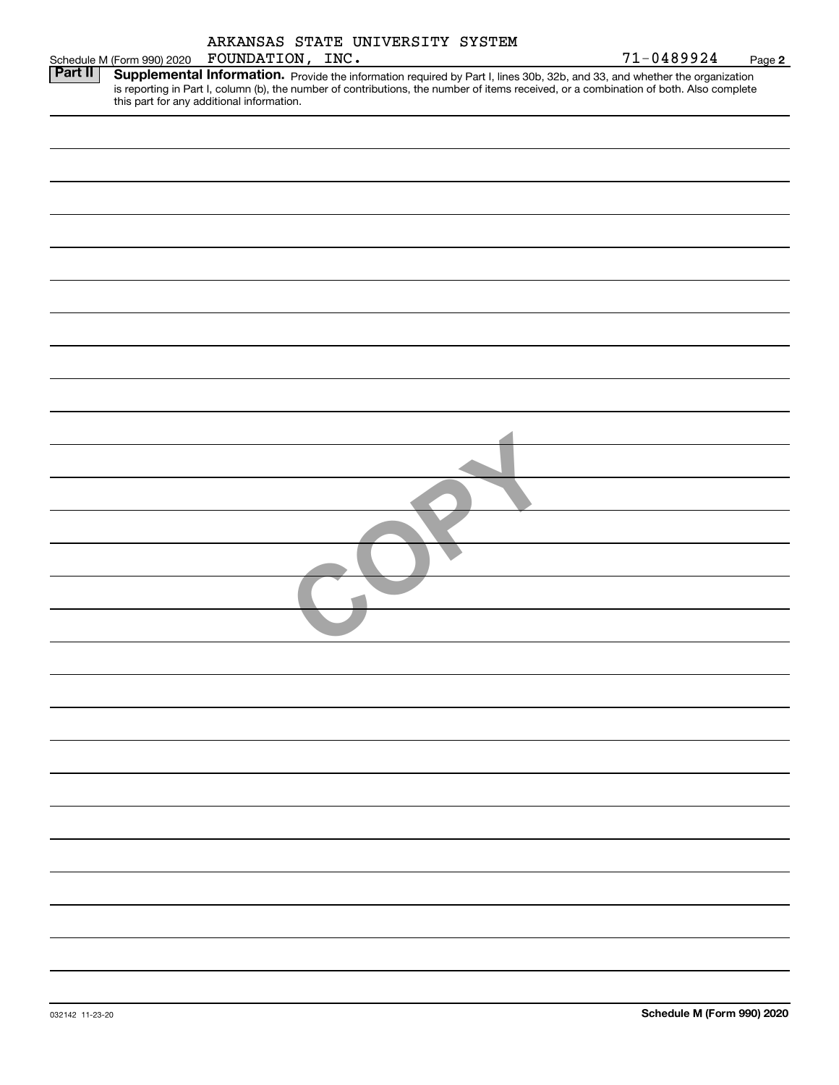|                |                                           | ARKANSAS STATE UNIVERSITY SYSTEM |  |                                                                                                                                                                                                                                                                      |        |
|----------------|-------------------------------------------|----------------------------------|--|----------------------------------------------------------------------------------------------------------------------------------------------------------------------------------------------------------------------------------------------------------------------|--------|
|                | Schedule M (Form 990) 2020                | FOUNDATION, INC.                 |  | 71-0489924                                                                                                                                                                                                                                                           | Page 2 |
| <b>Part II</b> | this part for any additional information. |                                  |  | Supplemental Information. Provide the information required by Part I, lines 30b, 32b, and 33, and whether the organization<br>is reporting in Part I, column (b), the number of contributions, the number of items received, or a combination of both. Also complete |        |
|                |                                           |                                  |  |                                                                                                                                                                                                                                                                      |        |
|                |                                           |                                  |  |                                                                                                                                                                                                                                                                      |        |
|                |                                           |                                  |  |                                                                                                                                                                                                                                                                      |        |
|                |                                           |                                  |  |                                                                                                                                                                                                                                                                      |        |
|                |                                           |                                  |  |                                                                                                                                                                                                                                                                      |        |
|                |                                           |                                  |  |                                                                                                                                                                                                                                                                      |        |
|                |                                           |                                  |  |                                                                                                                                                                                                                                                                      |        |
|                |                                           |                                  |  |                                                                                                                                                                                                                                                                      |        |
|                |                                           |                                  |  |                                                                                                                                                                                                                                                                      |        |
|                |                                           |                                  |  |                                                                                                                                                                                                                                                                      |        |
|                |                                           |                                  |  |                                                                                                                                                                                                                                                                      |        |
|                |                                           |                                  |  |                                                                                                                                                                                                                                                                      |        |
|                |                                           |                                  |  |                                                                                                                                                                                                                                                                      |        |
|                |                                           |                                  |  |                                                                                                                                                                                                                                                                      |        |
|                |                                           |                                  |  |                                                                                                                                                                                                                                                                      |        |
|                |                                           |                                  |  |                                                                                                                                                                                                                                                                      |        |
|                |                                           |                                  |  |                                                                                                                                                                                                                                                                      |        |
|                |                                           |                                  |  |                                                                                                                                                                                                                                                                      |        |
|                |                                           |                                  |  |                                                                                                                                                                                                                                                                      |        |
|                |                                           |                                  |  |                                                                                                                                                                                                                                                                      |        |
|                |                                           |                                  |  |                                                                                                                                                                                                                                                                      |        |
|                |                                           |                                  |  |                                                                                                                                                                                                                                                                      |        |
|                |                                           |                                  |  |                                                                                                                                                                                                                                                                      |        |
|                |                                           |                                  |  |                                                                                                                                                                                                                                                                      |        |
|                |                                           |                                  |  |                                                                                                                                                                                                                                                                      |        |
|                |                                           |                                  |  |                                                                                                                                                                                                                                                                      |        |
|                |                                           |                                  |  |                                                                                                                                                                                                                                                                      |        |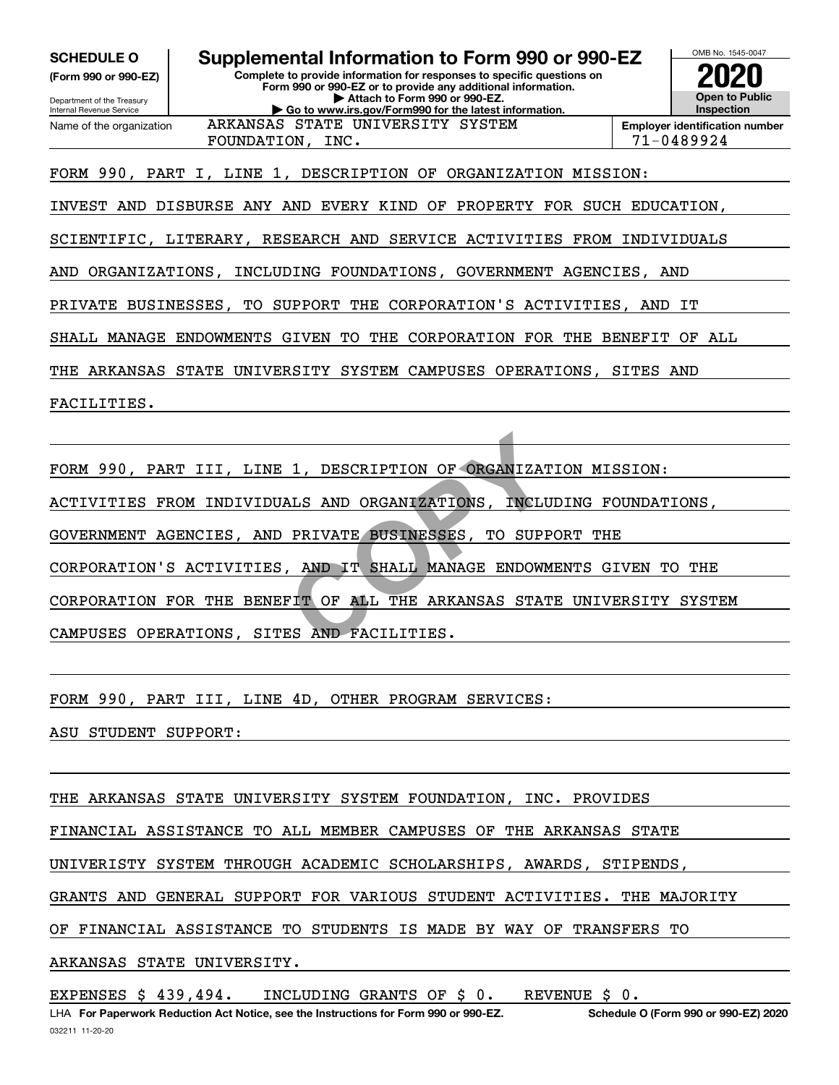**(Form 990 or 990-EZ)**

Department of the Treasury Internal Revenue Service Name of the organization

# **SCHEDULE O Supplemental Information to Form 990 or 990-EZ**

**Complete to provide information for responses to specific questions on Form 990 or 990-EZ or to provide any additional information. | Attach to Form 990 or 990-EZ. | Go to www.irs.gov/Form990 for the latest information.** ARKANSAS STATE UNIVERSITY SYSTEM



OMB No. 1545-0047

FOUNDATION, INC. The contract of the set of the set of the set of the set of the set of the set of the set of the set of the set of the set of the set of the set of the set of the set of the set of the set of the set of th

FORM 990, PART I, LINE 1, DESCRIPTION OF ORGANIZATION MISSION:

INVEST AND DISBURSE ANY AND EVERY KIND OF PROPERTY FOR SUCH EDUCATION,

SCIENTIFIC, LITERARY, RESEARCH AND SERVICE ACTIVITIES FROM INDIVIDUALS

AND ORGANIZATIONS, INCLUDING FOUNDATIONS, GOVERNMENT AGENCIES, AND

PRIVATE BUSINESSES, TO SUPPORT THE CORPORATION'S ACTIVITIES, AND IT

SHALL MANAGE ENDOWMENTS GIVEN TO THE CORPORATION FOR THE BENEFIT OF ALL

THE ARKANSAS STATE UNIVERSITY SYSTEM CAMPUSES OPERATIONS, SITES AND

FACILITIES.

FORM 990, PART III, LINE 1, DESCRIPTION OF ORGANIZATION MISSION: 1, DESCRIPTION OF ORGANIZAT<br>ALS AND ORGANIZATIONS, INCLU<br>PRIVATE BUSINESSES, TO SUPP<br>AND IT SHALL MANAGE ENDOWM<br>FIT OF ALL THE ARKANSAS STAT<br>ES AND FACILITIES.

ACTIVITIES FROM INDIVIDUALS AND ORGANIZATIONS, INCLUDING FOUNDATIONS,

GOVERNMENT AGENCIES, AND PRIVATE BUSINESSES, TO SUPPORT THE

CORPORATION'S ACTIVITIES, AND IT SHALL MANAGE ENDOWMENTS GIVEN TO THE

CORPORATION FOR THE BENEFIT OF ALL THE ARKANSAS STATE UNIVERSITY SYSTEM

CAMPUSES OPERATIONS, SITES AND FACILITIES.

FORM 990, PART III, LINE 4D, OTHER PROGRAM SERVICES:

ASU STUDENT SUPPORT:

THE ARKANSAS STATE UNIVERSITY SYSTEM FOUNDATION, INC. PROVIDES

FINANCIAL ASSISTANCE TO ALL MEMBER CAMPUSES OF THE ARKANSAS STATE

UNIVERISTY SYSTEM THROUGH ACADEMIC SCHOLARSHIPS, AWARDS, STIPENDS,

GRANTS AND GENERAL SUPPORT FOR VARIOUS STUDENT ACTIVITIES. THE MAJORITY

OF FINANCIAL ASSISTANCE TO STUDENTS IS MADE BY WAY OF TRANSFERS TO

ARKANSAS STATE UNIVERSITY.

EXPENSES \$ 439,494. INCLUDING GRANTS OF \$ 0. REVENUE \$ 0.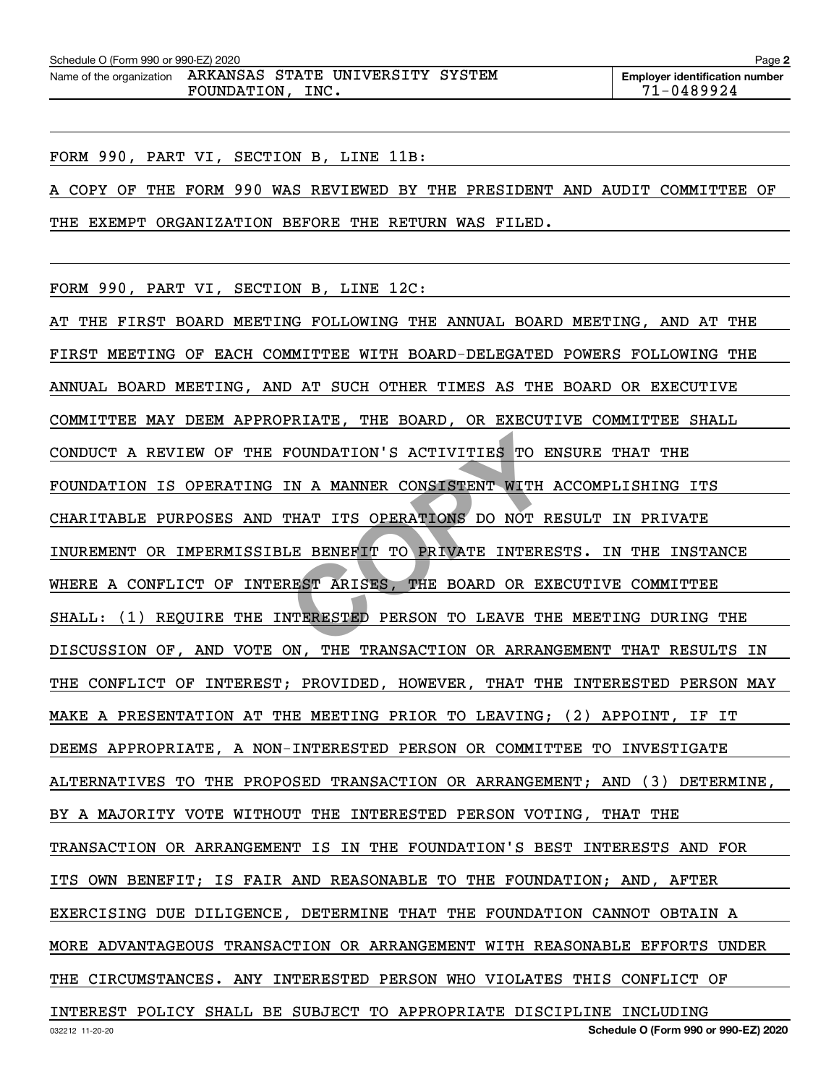FORM 990, PART VI, SECTION B, LINE 11B:

A COPY OF THE FORM 990 WAS REVIEWED BY THE PRESIDENT AND AUDIT COMMITTEE OF THE EXEMPT ORGANIZATION BEFORE THE RETURN WAS FILED.

FORM 990, PART VI, SECTION B, LINE 12C:

032212 11-20-20 **Schedule O (Form 990 or 990-EZ) 2020** AT THE FIRST BOARD MEETING FOLLOWING THE ANNUAL BOARD MEETING, AND AT THE FIRST MEETING OF EACH COMMITTEE WITH BOARD-DELEGATED POWERS FOLLOWING THE ANNUAL BOARD MEETING, AND AT SUCH OTHER TIMES AS THE BOARD OR EXECUTIVE COMMITTEE MAY DEEM APPROPRIATE, THE BOARD, OR EXECUTIVE COMMITTEE SHALL CONDUCT A REVIEW OF THE FOUNDATION'S ACTIVITIES TO ENSURE THAT THE FOUNDATION IS OPERATING IN A MANNER CONSISTENT WITH ACCOMPLISHING ITS CHARITABLE PURPOSES AND THAT ITS OPERATIONS DO NOT RESULT IN PRIVATE INUREMENT OR IMPERMISSIBLE BENEFIT TO PRIVATE INTERESTS. IN THE INSTANCE WHERE A CONFLICT OF INTEREST ARISES, THE BOARD OR EXECUTIVE COMMITTEE SHALL: (1) REQUIRE THE INTERESTED PERSON TO LEAVE THE MEETING DURING THE DISCUSSION OF, AND VOTE ON, THE TRANSACTION OR ARRANGEMENT THAT RESULTS IN THE CONFLICT OF INTEREST; PROVIDED, HOWEVER, THAT THE INTERESTED PERSON MAY MAKE A PRESENTATION AT THE MEETING PRIOR TO LEAVING; (2) APPOINT, IF IT DEEMS APPROPRIATE, A NON-INTERESTED PERSON OR COMMITTEE TO INVESTIGATE ALTERNATIVES TO THE PROPOSED TRANSACTION OR ARRANGEMENT; AND (3) DETERMINE, BY A MAJORITY VOTE WITHOUT THE INTERESTED PERSON VOTING, THAT THE TRANSACTION OR ARRANGEMENT IS IN THE FOUNDATION'S BEST INTERESTS AND FOR ITS OWN BENEFIT; IS FAIR AND REASONABLE TO THE FOUNDATION; AND, AFTER EXERCISING DUE DILIGENCE, DETERMINE THAT THE FOUNDATION CANNOT OBTAIN A MORE ADVANTAGEOUS TRANSACTION OR ARRANGEMENT WITH REASONABLE EFFORTS UNDER THE CIRCUMSTANCES. ANY INTERESTED PERSON WHO VIOLATES THIS CONFLICT OF INTEREST POLICY SHALL BE SUBJECT TO APPROPRIATE DISCIPLINE INCLUDING FOUNDATION'S ACTIVITIES TO E<br>
IN A MANNER CONSISTENT WITH<br>
THAT ITS OPERATIONS DO NOT R<br>
LE BENEFIT TO PRIVATE INTERE<br>
REST ARISES, THE BOARD OR EX<br>
NTERESTED PERSON TO LEAVE TH<br>
NTERESTED PERSON TO LEAVE TH<br>
NT THE TRANGA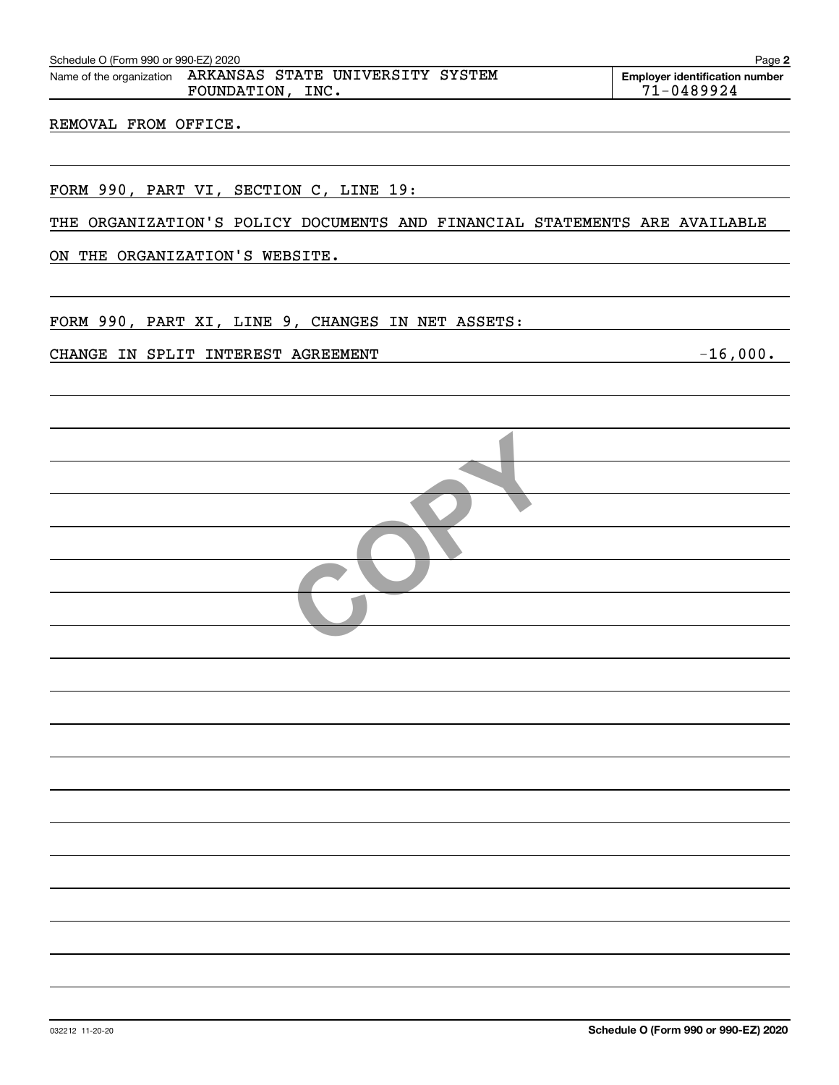| Schedule O (Form 990 or 990-EZ) 2020                                          | Page 2                                              |
|-------------------------------------------------------------------------------|-----------------------------------------------------|
| Name of the organization ARKANSAS STATE UNIVERSITY SYSTEM<br>FOUNDATION, INC. | <b>Employer identification number</b><br>71-0489924 |
| REMOVAL FROM OFFICE.                                                          |                                                     |
| FORM 990, PART VI, SECTION C, LINE 19:                                        |                                                     |
| THE ORGANIZATION'S POLICY DOCUMENTS AND FINANCIAL STATEMENTS ARE AVAILABLE    |                                                     |
| ON THE ORGANIZATION'S WEBSITE.                                                |                                                     |
| FORM 990, PART XI, LINE 9, CHANGES IN NET ASSETS:                             |                                                     |
| CHANGE IN SPLIT INTEREST AGREEMENT                                            | $-16,000.$                                          |
|                                                                               |                                                     |
|                                                                               |                                                     |
|                                                                               |                                                     |
|                                                                               |                                                     |
|                                                                               |                                                     |
|                                                                               |                                                     |
|                                                                               |                                                     |
|                                                                               |                                                     |
|                                                                               |                                                     |
|                                                                               |                                                     |
|                                                                               |                                                     |
|                                                                               |                                                     |
|                                                                               |                                                     |
|                                                                               |                                                     |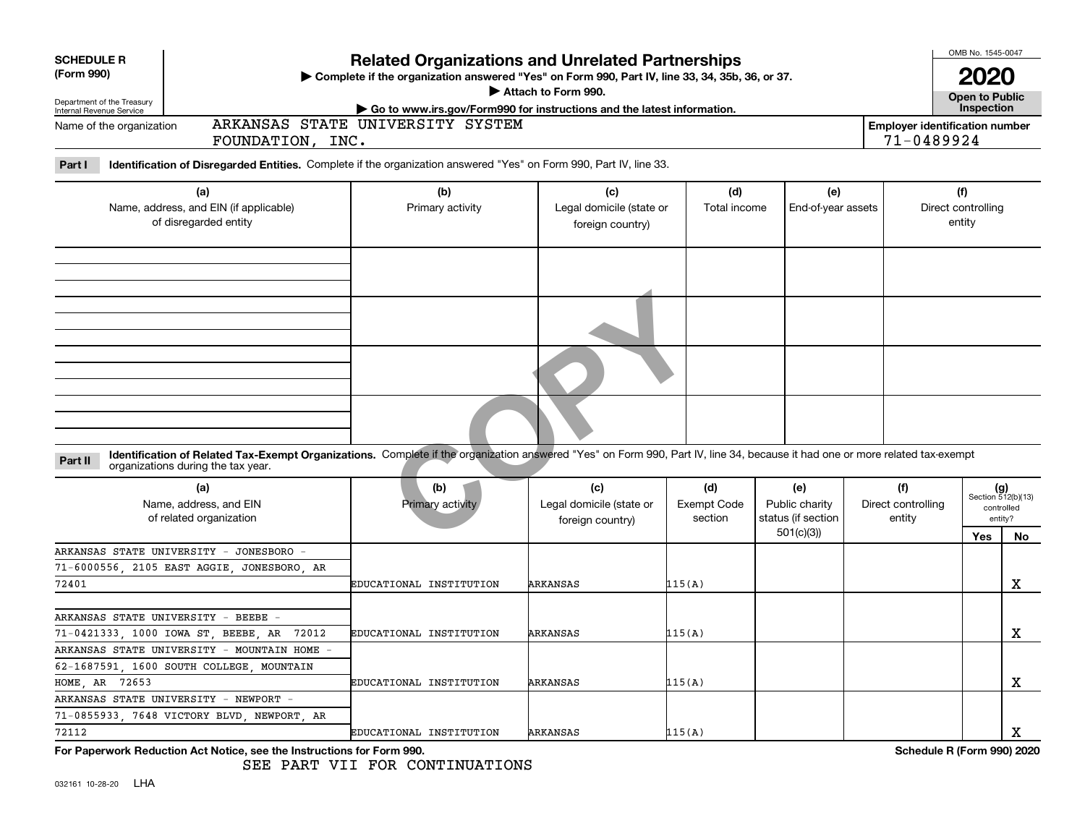| <b>Related Organizations and Unrelated Partnerships</b>         |                                                                                                                                                                                                                    |                                                                                                |                                                     |                               |                                             | OMB No. 1545-0047                   |                                                     |                                                      |
|-----------------------------------------------------------------|--------------------------------------------------------------------------------------------------------------------------------------------------------------------------------------------------------------------|------------------------------------------------------------------------------------------------|-----------------------------------------------------|-------------------------------|---------------------------------------------|-------------------------------------|-----------------------------------------------------|------------------------------------------------------|
| <b>SCHEDULE R</b><br>(Form 990)                                 |                                                                                                                                                                                                                    | Complete if the organization answered "Yes" on Form 990, Part IV, line 33, 34, 35b, 36, or 37. | 2020                                                |                               |                                             |                                     |                                                     |                                                      |
|                                                                 |                                                                                                                                                                                                                    |                                                                                                | Attach to Form 990.                                 |                               |                                             |                                     | <b>Open to Public</b>                               |                                                      |
| Department of the Treasury<br>Internal Revenue Service          |                                                                                                                                                                                                                    | $\triangleright$ Go to www.irs.gov/Form990 for instructions and the latest information.        |                                                     |                               |                                             |                                     | Inspection                                          |                                                      |
| Name of the organization                                        | FOUNDATION, INC.                                                                                                                                                                                                   | ARKANSAS STATE UNIVERSITY SYSTEM                                                               |                                                     |                               |                                             |                                     | <b>Employer identification number</b><br>71-0489924 |                                                      |
| Part I                                                          | Identification of Disregarded Entities. Complete if the organization answered "Yes" on Form 990, Part IV, line 33.                                                                                                 |                                                                                                |                                                     |                               |                                             |                                     |                                                     |                                                      |
|                                                                 | (a)                                                                                                                                                                                                                | (b)                                                                                            | (c)                                                 | (d)                           | (e)                                         |                                     | (f)                                                 |                                                      |
| Name, address, and EIN (if applicable)<br>of disregarded entity |                                                                                                                                                                                                                    | Primary activity                                                                               | Legal domicile (state or<br>foreign country)        | Total income                  | End-of-year assets                          |                                     | Direct controlling<br>entity                        |                                                      |
|                                                                 |                                                                                                                                                                                                                    |                                                                                                |                                                     |                               |                                             |                                     |                                                     |                                                      |
|                                                                 |                                                                                                                                                                                                                    |                                                                                                |                                                     |                               |                                             |                                     |                                                     |                                                      |
|                                                                 |                                                                                                                                                                                                                    |                                                                                                |                                                     |                               |                                             |                                     |                                                     |                                                      |
|                                                                 |                                                                                                                                                                                                                    |                                                                                                |                                                     |                               |                                             |                                     |                                                     |                                                      |
| Part II                                                         | Identification of Related Tax-Exempt Organizations. Complete if the organization answered "Yes" on Form 990, Part IV, line 34, because it had one or more related tax-exempt<br>organizations during the tax year. |                                                                                                |                                                     |                               |                                             |                                     |                                                     |                                                      |
|                                                                 | (a)<br>Name, address, and EIN<br>of related organization                                                                                                                                                           | (b)<br>Primary activity                                                                        | (c)<br>Legal domicile (state or<br>foreign country) | (d)<br>Exempt Code<br>section | (e)<br>Public charity<br>status (if section | (f)<br>Direct controlling<br>entity |                                                     | $(g)$<br>Section 512(b)(13)<br>controlled<br>entity? |
|                                                                 |                                                                                                                                                                                                                    |                                                                                                |                                                     |                               | 501(c)(3)                                   |                                     | Yes                                                 | No                                                   |
|                                                                 | ARKANSAS STATE UNIVERSITY - JONESBORO -                                                                                                                                                                            |                                                                                                |                                                     |                               |                                             |                                     |                                                     |                                                      |
|                                                                 | 71-6000556, 2105 EAST AGGIE, JONESBORO, AR                                                                                                                                                                         |                                                                                                |                                                     |                               |                                             |                                     |                                                     |                                                      |
| 72401                                                           |                                                                                                                                                                                                                    | EDUCATIONAL INSTITUTION                                                                        | <b>ARKANSAS</b>                                     | 115(A)                        |                                             |                                     |                                                     | x                                                    |
|                                                                 | ARKANSAS STATE UNIVERSITY - BEEBE                                                                                                                                                                                  |                                                                                                |                                                     |                               |                                             |                                     |                                                     |                                                      |
|                                                                 | 71-0421333, 1000 IOWA ST, BEEBE, AR 72012                                                                                                                                                                          | EDUCATIONAL INSTITUTION                                                                        | ARKANSAS                                            | 115(A)                        |                                             |                                     |                                                     | X                                                    |
|                                                                 | ARKANSAS STATE UNIVERSITY - MOUNTAIN HOME -                                                                                                                                                                        |                                                                                                |                                                     |                               |                                             |                                     |                                                     |                                                      |
|                                                                 | 62-1687591, 1600 SOUTH COLLEGE, MOUNTAIN                                                                                                                                                                           |                                                                                                |                                                     |                               |                                             |                                     |                                                     |                                                      |
| HOME, AR 72653                                                  |                                                                                                                                                                                                                    | EDUCATIONAL INSTITUTION                                                                        | <b>ARKANSAS</b>                                     | 115(A)                        |                                             |                                     |                                                     | х                                                    |
|                                                                 | ARKANSAS STATE UNIVERSITY - NEWPORT                                                                                                                                                                                |                                                                                                |                                                     |                               |                                             |                                     |                                                     |                                                      |
|                                                                 | 71-0855933, 7648 VICTORY BLVD, NEWPORT, AR                                                                                                                                                                         |                                                                                                |                                                     |                               |                                             |                                     |                                                     |                                                      |
| 72112                                                           |                                                                                                                                                                                                                    | EDUCATIONAL INSTITUTION                                                                        | <b>ARKANSAS</b>                                     | 115(A)                        |                                             |                                     |                                                     | x                                                    |
|                                                                 | For Paperwork Reduction Act Notice, see the Instructions for Form 990.                                                                                                                                             |                                                                                                |                                                     |                               |                                             |                                     | Schedule R (Form 990) 2020                          |                                                      |

SEE PART VII FOR CONTINUATIONS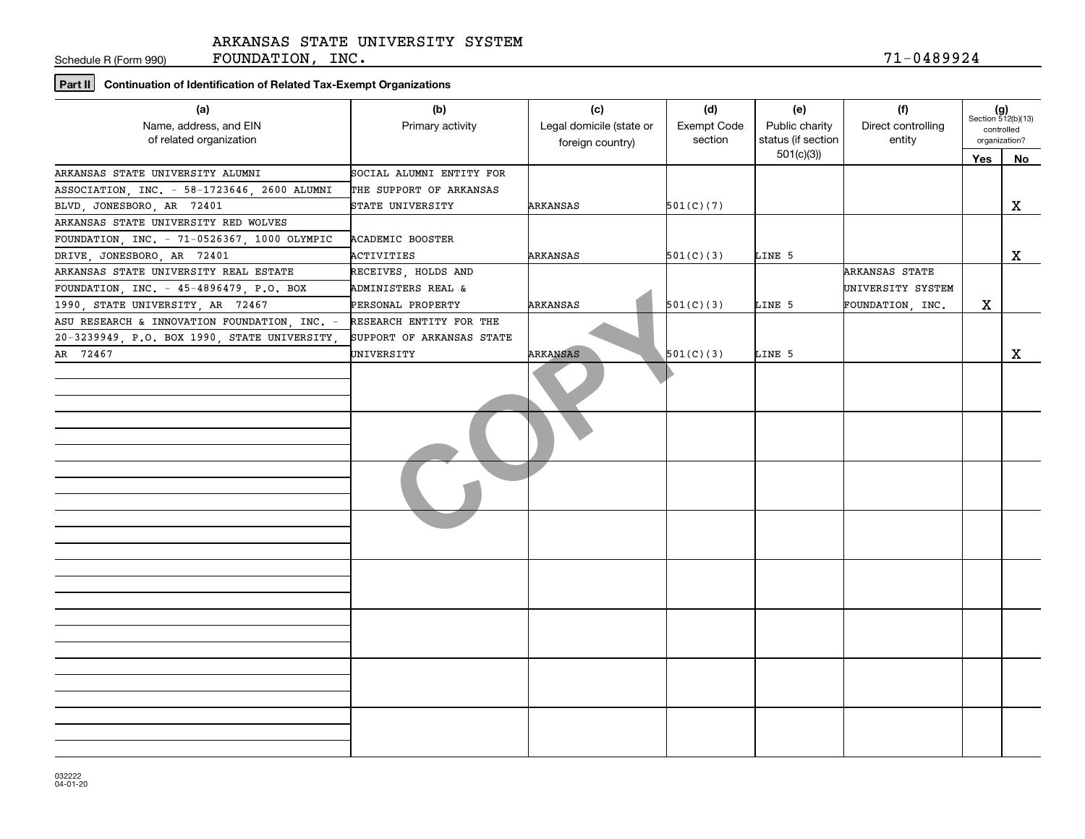Schedule R (Form 990)

FOUNDATION, INC. 71-0489924

## **Part II Continuation of Identification of Related Tax-Exempt Organizations**

| (a)<br>Name, address, and EIN<br>of related organization | (b)<br>Primary activity   | (c)<br>Legal domicile (state or<br>foreign country) | (d)<br>Exempt Code<br>section | (e)<br>Public charity<br>status (if section | (f)<br>Direct controlling<br>entity | $(g)$<br>Section 512(b)(13)<br>controlled<br>organization? |             |
|----------------------------------------------------------|---------------------------|-----------------------------------------------------|-------------------------------|---------------------------------------------|-------------------------------------|------------------------------------------------------------|-------------|
|                                                          |                           |                                                     |                               | 501(c)(3)                                   |                                     | <b>Yes</b>                                                 | No          |
| ARKANSAS STATE UNIVERSITY ALUMNI                         | SOCIAL ALUMNI ENTITY FOR  |                                                     |                               |                                             |                                     |                                                            |             |
| ASSOCIATION, INC. - 58-1723646, 2600 ALUMNI              | THE SUPPORT OF ARKANSAS   |                                                     |                               |                                             |                                     |                                                            |             |
| BLVD, JONESBORO, AR 72401                                | STATE UNIVERSITY          | ARKANSAS                                            | 501(C)(7)                     |                                             |                                     |                                                            | $\mathbf x$ |
| ARKANSAS STATE UNIVERSITY RED WOLVES                     |                           |                                                     |                               |                                             |                                     |                                                            |             |
| FOUNDATION, INC. - 71-0526367, 1000 OLYMPIC              | ACADEMIC BOOSTER          |                                                     |                               |                                             |                                     |                                                            |             |
| DRIVE, JONESBORO, AR 72401                               | ACTIVITIES                | ARKANSAS                                            | 501(C)(3)                     | LINE 5                                      |                                     |                                                            | X           |
| ARKANSAS STATE UNIVERSITY REAL ESTATE                    | RECEIVES, HOLDS AND       |                                                     |                               |                                             | ARKANSAS STATE                      |                                                            |             |
| FOUNDATION, INC. - 45-4896479, P.O. BOX                  | ADMINISTERS REAL &        |                                                     |                               |                                             | UNIVERSITY SYSTEM                   |                                                            |             |
| 1990, STATE UNIVERSITY, AR 72467                         | PERSONAL PROPERTY         | ARKANSAS                                            | 501(C)(3)                     | LINE 5                                      | FOUNDATION, INC.                    | $\mathbf X$                                                |             |
| ASU RESEARCH & INNOVATION FOUNDATION, INC. -             | RESEARCH ENTITY FOR THE   |                                                     |                               |                                             |                                     |                                                            |             |
| 20-3239949, P.O. BOX 1990, STATE UNIVERSITY,             | SUPPORT OF ARKANSAS STATE |                                                     |                               |                                             |                                     |                                                            |             |
| AR 72467                                                 | UNIVERSITY                | <b>ARKANSAS</b>                                     | 501(C)(3)                     | LINE 5                                      |                                     |                                                            | X           |
|                                                          |                           |                                                     |                               |                                             |                                     |                                                            |             |
|                                                          |                           |                                                     |                               |                                             |                                     |                                                            |             |
|                                                          |                           |                                                     |                               |                                             |                                     |                                                            |             |
|                                                          |                           |                                                     |                               |                                             |                                     |                                                            |             |
|                                                          |                           |                                                     |                               |                                             |                                     |                                                            |             |
|                                                          |                           |                                                     |                               |                                             |                                     |                                                            |             |
|                                                          |                           |                                                     |                               |                                             |                                     |                                                            |             |
|                                                          |                           |                                                     |                               |                                             |                                     |                                                            |             |
|                                                          |                           |                                                     |                               |                                             |                                     |                                                            |             |
|                                                          |                           |                                                     |                               |                                             |                                     |                                                            |             |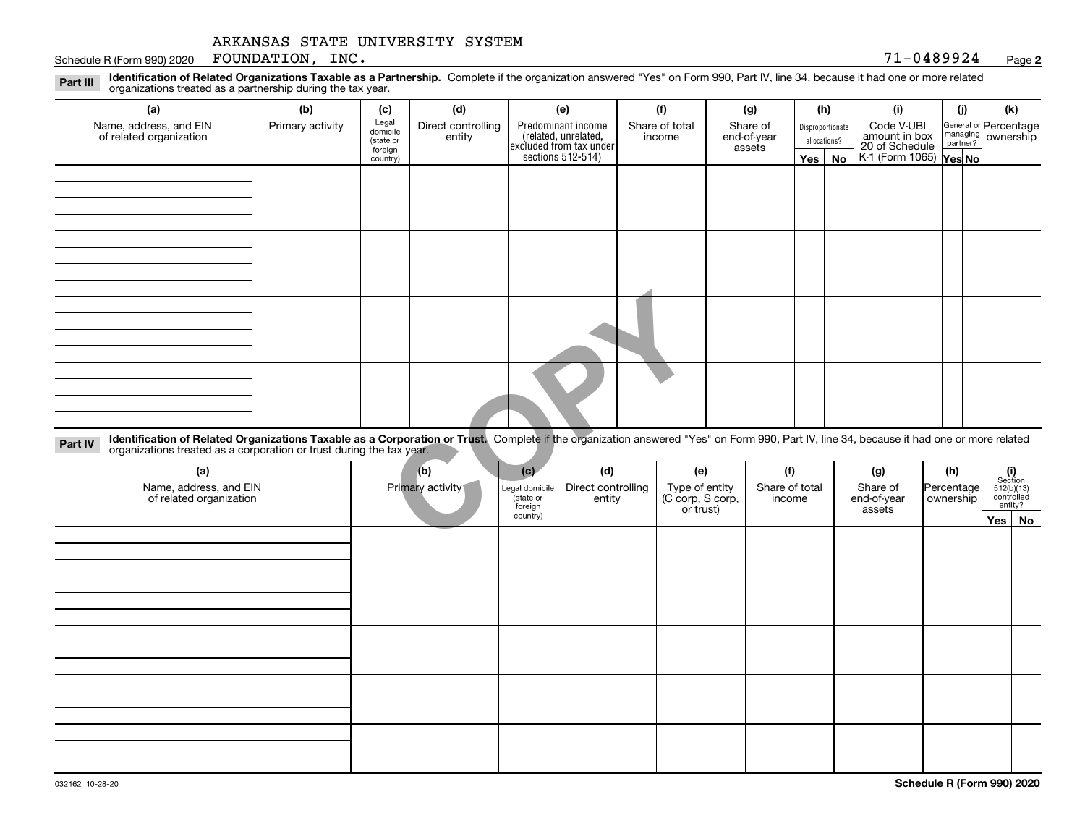#### Schedule R (Form 990) 2020 Page FOUNDATION, INC. 71-0489924

#### **2**

**Identification of Related Organizations Taxable as a Partnership.** Complete if the organization answered "Yes" on Form 990, Part IV, line 34, because it had one or more related **Part III** organizations treated as a partnership during the tax year.

| (a)                                                                                                                                                                                                                                                                         | (b)              | (c)                            | (d)                          |                      | (e)                                                                   | (f)                           |                                                             | (g)            | (h)                                           |                                               | (i)                   | (i)        | (k)            |         |  |  |
|-----------------------------------------------------------------------------------------------------------------------------------------------------------------------------------------------------------------------------------------------------------------------------|------------------|--------------------------------|------------------------------|----------------------|-----------------------------------------------------------------------|-------------------------------|-------------------------------------------------------------|----------------|-----------------------------------------------|-----------------------------------------------|-----------------------|------------|----------------|---------|--|--|
| Name, address, and EIN<br>of related organization                                                                                                                                                                                                                           | Primary activity | Legal<br>domicile<br>(state or | Direct controlling<br>entity |                      | Predominant income<br>(related, unrelated,<br>excluded from tax under | Share of total<br>income      | Share of<br>Disproportionate<br>end-of-year<br>allocations? |                | Code V-UBI<br>amount in box<br>20 of Schedule | General or Percentage<br>managing<br>partner? | ownership             |            |                |         |  |  |
|                                                                                                                                                                                                                                                                             |                  | foreign<br>country)            |                              |                      | sections 512-514)                                                     |                               | assets                                                      |                | Yes                                           | K-1 (Form 1065) Yes No<br><b>No</b>           |                       |            |                |         |  |  |
|                                                                                                                                                                                                                                                                             |                  |                                |                              |                      |                                                                       |                               |                                                             |                |                                               |                                               |                       |            |                |         |  |  |
|                                                                                                                                                                                                                                                                             |                  |                                |                              |                      |                                                                       |                               |                                                             |                |                                               |                                               |                       |            |                |         |  |  |
|                                                                                                                                                                                                                                                                             |                  |                                |                              |                      |                                                                       |                               |                                                             |                |                                               |                                               |                       |            |                |         |  |  |
|                                                                                                                                                                                                                                                                             |                  |                                |                              |                      |                                                                       |                               |                                                             |                |                                               |                                               |                       |            |                |         |  |  |
|                                                                                                                                                                                                                                                                             |                  |                                |                              |                      |                                                                       |                               |                                                             |                |                                               |                                               |                       |            |                |         |  |  |
|                                                                                                                                                                                                                                                                             |                  |                                |                              |                      |                                                                       |                               |                                                             |                |                                               |                                               |                       |            |                |         |  |  |
|                                                                                                                                                                                                                                                                             |                  |                                |                              |                      |                                                                       |                               |                                                             |                |                                               |                                               |                       |            |                |         |  |  |
|                                                                                                                                                                                                                                                                             |                  |                                |                              |                      |                                                                       |                               |                                                             |                |                                               |                                               |                       |            |                |         |  |  |
|                                                                                                                                                                                                                                                                             |                  |                                |                              |                      |                                                                       |                               |                                                             |                |                                               |                                               |                       |            |                |         |  |  |
|                                                                                                                                                                                                                                                                             |                  |                                |                              |                      |                                                                       |                               |                                                             |                |                                               |                                               |                       |            |                |         |  |  |
|                                                                                                                                                                                                                                                                             |                  |                                |                              |                      |                                                                       |                               |                                                             |                |                                               |                                               |                       |            |                |         |  |  |
|                                                                                                                                                                                                                                                                             |                  |                                |                              |                      |                                                                       |                               |                                                             |                |                                               |                                               |                       |            |                |         |  |  |
|                                                                                                                                                                                                                                                                             |                  |                                |                              |                      |                                                                       |                               |                                                             |                |                                               |                                               |                       |            |                |         |  |  |
|                                                                                                                                                                                                                                                                             |                  |                                |                              |                      |                                                                       |                               |                                                             |                |                                               |                                               |                       |            |                |         |  |  |
|                                                                                                                                                                                                                                                                             |                  |                                |                              |                      |                                                                       |                               |                                                             |                |                                               |                                               |                       |            |                |         |  |  |
|                                                                                                                                                                                                                                                                             |                  |                                |                              |                      |                                                                       |                               |                                                             |                |                                               |                                               |                       |            |                |         |  |  |
| Identification of Related Organizations Taxable as a Corporation or Trust. Complete if the organization answered "Yes" on Form 990, Part IV, line 34, because it had one or more related<br>Part IV<br>organizations treated as a corporation or trust during the tax year. |                  |                                |                              |                      |                                                                       |                               |                                                             |                |                                               |                                               |                       |            |                |         |  |  |
| (a)                                                                                                                                                                                                                                                                         |                  |                                | (b)                          | (c)                  | (d)                                                                   | (e)                           |                                                             | (f)            |                                               |                                               | (g)                   | (h)        | (i)<br>Section |         |  |  |
| Name, address, and EIN                                                                                                                                                                                                                                                      |                  |                                | Primary activity             | Legal domicile       | Direct controlling                                                    | Type of entity                |                                                             | Share of total |                                               |                                               | Share of              | Percentage | 512(b)(13)     |         |  |  |
| of related organization                                                                                                                                                                                                                                                     |                  |                                |                              | (state or<br>foreign | entity                                                                | (C corp, S corp,<br>or trust) |                                                             | income         |                                               |                                               | end-of-year<br>assets | ownership  | controlled     | entity? |  |  |
|                                                                                                                                                                                                                                                                             |                  |                                |                              | country)             |                                                                       |                               |                                                             |                |                                               |                                               |                       |            | Yes            | No      |  |  |
|                                                                                                                                                                                                                                                                             |                  |                                |                              |                      |                                                                       |                               |                                                             |                |                                               |                                               |                       |            |                |         |  |  |

| (a)<br>Name, address, and EIN<br>of related organization | (b)<br>Primary activity | (c)<br>Legal domicile<br>(state or<br>foreign | (d)<br>Direct controlling<br>entity | (e)<br>Type of entity<br>(C corp, S corp,<br>or trust) | (f)<br>Share of total<br>income | (h)<br>(g)<br>Share of<br>Percentage<br>end-of-year<br>ownership<br>assets |  | $\begin{array}{c} \textbf{(i)}\\ \text{Section}\\ 512 \text{(b)} \text{(13)}\\ \text{controlled}\\ \text{entity?} \end{array}$ |        |
|----------------------------------------------------------|-------------------------|-----------------------------------------------|-------------------------------------|--------------------------------------------------------|---------------------------------|----------------------------------------------------------------------------|--|--------------------------------------------------------------------------------------------------------------------------------|--------|
|                                                          |                         | country)                                      |                                     |                                                        |                                 |                                                                            |  |                                                                                                                                | Yes No |
|                                                          |                         |                                               |                                     |                                                        |                                 |                                                                            |  |                                                                                                                                |        |
|                                                          |                         |                                               |                                     |                                                        |                                 |                                                                            |  |                                                                                                                                |        |
|                                                          |                         |                                               |                                     |                                                        |                                 |                                                                            |  |                                                                                                                                |        |
|                                                          |                         |                                               |                                     |                                                        |                                 |                                                                            |  |                                                                                                                                |        |
|                                                          |                         |                                               |                                     |                                                        |                                 |                                                                            |  |                                                                                                                                |        |
|                                                          |                         |                                               |                                     |                                                        |                                 |                                                                            |  |                                                                                                                                |        |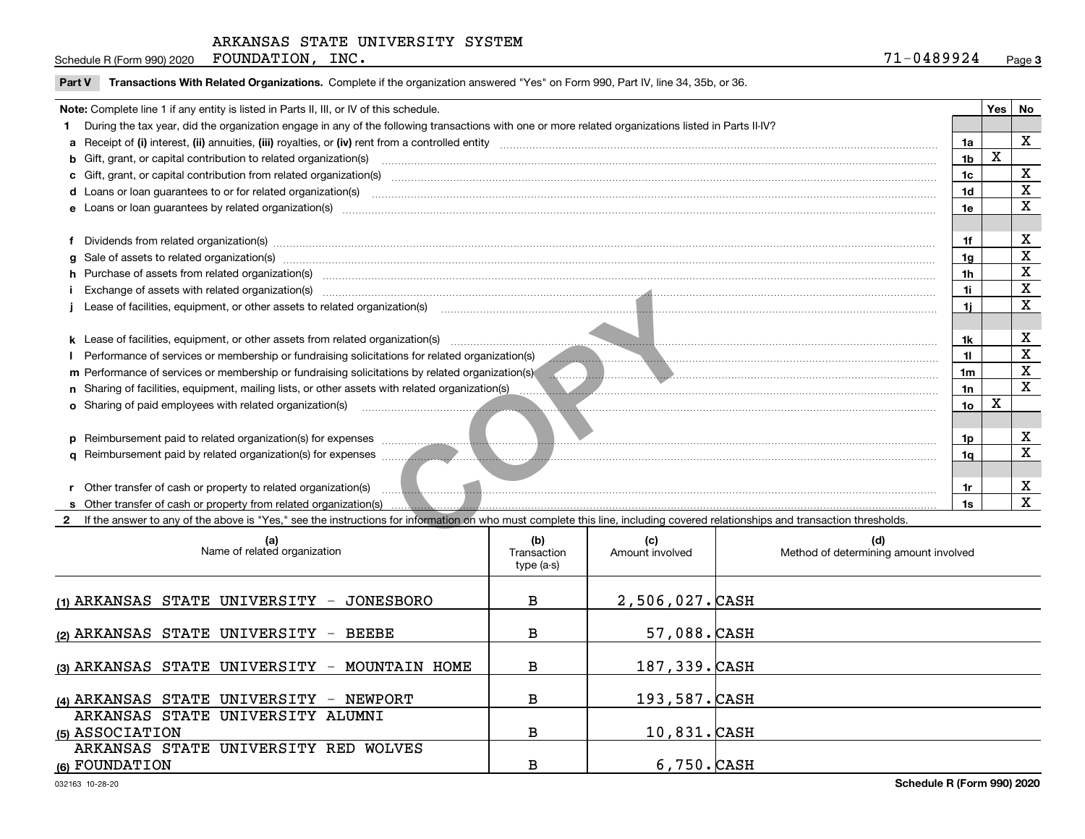Schedule R (Form 990) 2020 Page FOUNDATION, INC. 71-0489924

| Note: Complete line 1 if any entity is listed in Parts II, III, or IV of this schedule.                                                                                                                                                        |                                  |                        |                                              |                 | <b>Yes</b>  | No                      |
|------------------------------------------------------------------------------------------------------------------------------------------------------------------------------------------------------------------------------------------------|----------------------------------|------------------------|----------------------------------------------|-----------------|-------------|-------------------------|
| During the tax year, did the organization engage in any of the following transactions with one or more related organizations listed in Parts II-IV?                                                                                            |                                  |                        |                                              |                 |             |                         |
|                                                                                                                                                                                                                                                |                                  |                        |                                              | 1a              |             | $\mathbf{x}$            |
| b Gift, grant, or capital contribution to related organization(s) material contracts and contribution to related organization(s)                                                                                                               |                                  |                        |                                              | 1 <sub>b</sub>  | X           |                         |
|                                                                                                                                                                                                                                                |                                  |                        |                                              | 1 <sub>c</sub>  |             | X                       |
|                                                                                                                                                                                                                                                |                                  |                        |                                              | 1 <sub>d</sub>  |             | $\mathbf X$             |
|                                                                                                                                                                                                                                                |                                  |                        |                                              | 1e              |             | $\mathbf X$             |
| Dividends from related organization(s) Electron Committee Committee Committee Committee Committee Committee Committee Committee Committee Committee Committee Committee Committee Committee Committee Committee Committee Comm                 |                                  |                        |                                              | 1f              |             | X                       |
| g Sale of assets to related organization(s) www.assettion.com/www.assettion.com/www.assettion.com/www.assettion.com/www.assettion.com/www.assettion.com/www.assettion.com/www.assettion.com/www.assettion.com/www.assettion.co                 |                                  |                        |                                              | 1 <sub>g</sub>  |             | $\overline{\mathbf{x}}$ |
| h Purchase of assets from related organization(s) manufactured content to content the content of the content of the content of the content of the content of the content of the content of the content of the content of the c                 |                                  |                        |                                              | 1 <sub>h</sub>  |             | $\mathbf X$             |
| Exchange of assets with related organization(s) www.communicallycommunicallycommunicallycommunicallycommunicallycommunicallycommunicallycommunicallycommunicallycommunicallycommunicallycommunicallycommunicallycommunicallyco                 |                                  |                        |                                              | 11              |             | $\overline{\mathbf{x}}$ |
| Lease of facilities, equipment, or other assets to related organization(s) [11] manufaction(s) [11] manufaction(s) manufaction(s) and the subsequent of facilities, equipment, or other assets to related organization(s) manu                 |                                  |                        |                                              | 1i.             |             | $\mathbf X$             |
|                                                                                                                                                                                                                                                |                                  |                        |                                              |                 |             |                         |
|                                                                                                                                                                                                                                                |                                  |                        |                                              | 1k              |             | x                       |
| Performance of services or membership or fundraising solicitations for related organization(s)                                                                                                                                                 |                                  |                        |                                              | 11              |             | $\overline{\mathbf{X}}$ |
| m Performance of services or membership or fundraising solicitations by related organization(s)                                                                                                                                                |                                  |                        |                                              | 1m              |             | $\overline{\mathbf{x}}$ |
|                                                                                                                                                                                                                                                |                                  |                        |                                              | 1n              |             | X                       |
| <b>o</b> Sharing of paid employees with related organization(s)                                                                                                                                                                                |                                  |                        |                                              | 10 <sub>o</sub> | $\mathbf X$ |                         |
|                                                                                                                                                                                                                                                |                                  |                        |                                              |                 |             |                         |
| p Reimbursement paid to related organization(s) for expenses <b>manufactural contracts</b> and content and the related organization(s) for expenses <b>manufactural content and the related</b> organization(s) for expenses <b>manufactur</b> |                                  |                        |                                              | 1p              |             | Х                       |
|                                                                                                                                                                                                                                                |                                  |                        |                                              | 1 <sub>q</sub>  |             | $\overline{\mathbf{X}}$ |
|                                                                                                                                                                                                                                                |                                  |                        |                                              |                 |             |                         |
| r Other transfer of cash or property to related organization(s)                                                                                                                                                                                |                                  |                        |                                              | 1r              |             | x                       |
|                                                                                                                                                                                                                                                |                                  |                        |                                              | 1s              |             | $\overline{\mathbf{X}}$ |
| 2 If the answer to any of the above is "Yes," see the instructions for information on who must complete this line, including covered relationships and transaction thresholds.                                                                 |                                  |                        |                                              |                 |             |                         |
| (a)<br>Name of related organization                                                                                                                                                                                                            | (b)<br>Transaction<br>type (a-s) | (c)<br>Amount involved | (d)<br>Method of determining amount involved |                 |             |                         |
| (1) ARKANSAS STATE UNIVERSITY - JONESBORO<br>в                                                                                                                                                                                                 |                                  | 2,506,027. CASH        |                                              |                 |             |                         |

| Name of related organization                           | \™J<br>Transaction<br>type (a-s) | $\mathbf{v}$<br>Amount involved | Method of determining amount involved |
|--------------------------------------------------------|----------------------------------|---------------------------------|---------------------------------------|
| (1) ARKANSAS STATE UNIVERSITY - JONESBORO              | в                                | $2,506,027$ . CASH              |                                       |
| (2) ARKANSAS STATE UNIVERSITY - BEEBE                  | в                                | 57,088. CASH                    |                                       |
| (3) ARKANSAS STATE UNIVERSITY - MOUNTAIN HOME          | в                                | 187,339. CASH                   |                                       |
| (4) ARKANSAS STATE UNIVERSITY - NEWPORT                | в                                | 193,587. CASH                   |                                       |
| ARKANSAS STATE UNIVERSITY ALUMNI<br>(5) ASSOCIATION    | в                                | 10,831.CASH                     |                                       |
| ARKANSAS STATE UNIVERSITY RED WOLVES<br>(6) FOUNDATION | B                                | $6,750$ . CASH                  |                                       |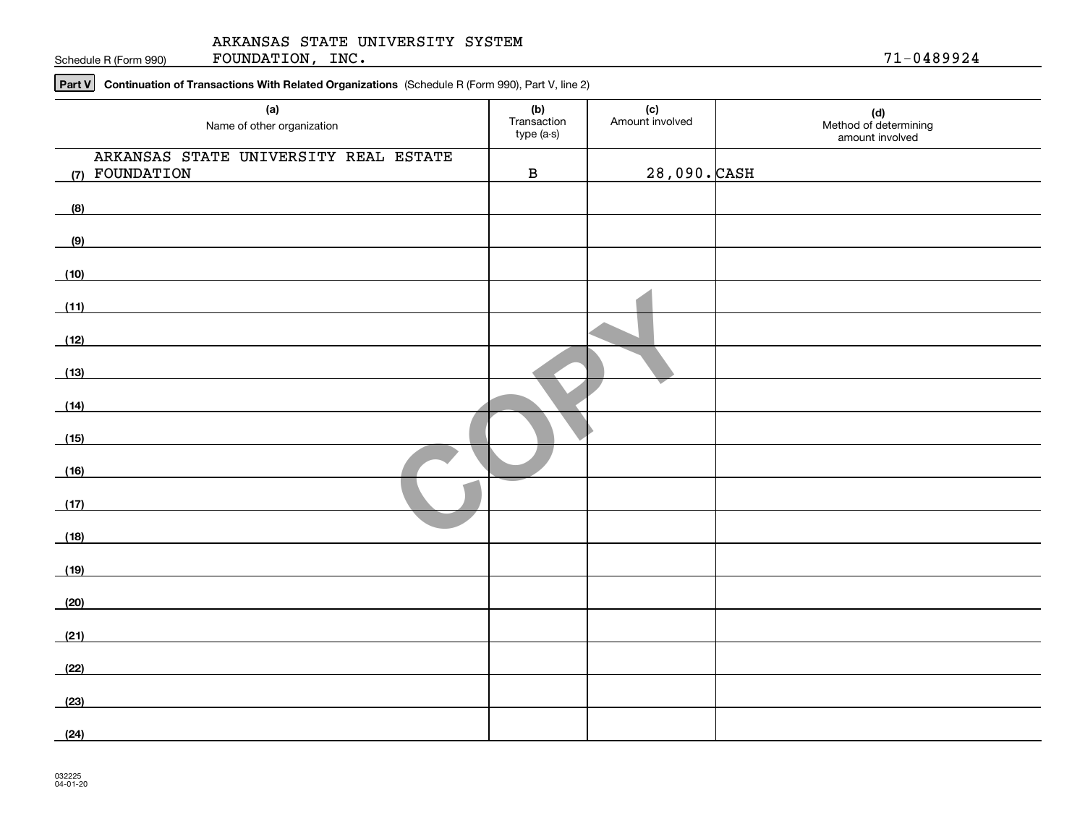Schedule R (Form 990)

FOUNDATION, INC. 71-0489924

**Part V Continuation of Transactions With Related Organizations**  (Schedule R (Form 990), Part V, line 2)

| (a)<br>Name of other organization                                                                                           | (b)<br>Transaction<br>type (a-s) | (c)<br>Amount involved | (d)<br>Method of determining<br>amount involved |
|-----------------------------------------------------------------------------------------------------------------------------|----------------------------------|------------------------|-------------------------------------------------|
| ARKANSAS STATE UNIVERSITY REAL ESTATE<br>(7) FOUNDATION                                                                     | $\, {\bf B}$                     | 28,090. CASH           |                                                 |
| (8)<br><u> 1989 - Johann Barbara, marka a shekara tsa 1989 - An tsa 1989 - An tsa 1989 - An tsa 1989 - An tsa 1989 - An</u> |                                  |                        |                                                 |
| (9)                                                                                                                         |                                  |                        |                                                 |
| (10)                                                                                                                        |                                  |                        |                                                 |
| (11)                                                                                                                        |                                  |                        |                                                 |
| (12)                                                                                                                        |                                  |                        |                                                 |
| (13)                                                                                                                        |                                  |                        |                                                 |
| (14)                                                                                                                        |                                  |                        |                                                 |
| (15)                                                                                                                        |                                  |                        |                                                 |
| (16)                                                                                                                        |                                  |                        |                                                 |
| (17)                                                                                                                        |                                  |                        |                                                 |
| (18)                                                                                                                        |                                  |                        |                                                 |
| (19)                                                                                                                        |                                  |                        |                                                 |
| (20)                                                                                                                        |                                  |                        |                                                 |
| (21)                                                                                                                        |                                  |                        |                                                 |
| (22)                                                                                                                        |                                  |                        |                                                 |
| (23)                                                                                                                        |                                  |                        |                                                 |
| (24)                                                                                                                        |                                  |                        |                                                 |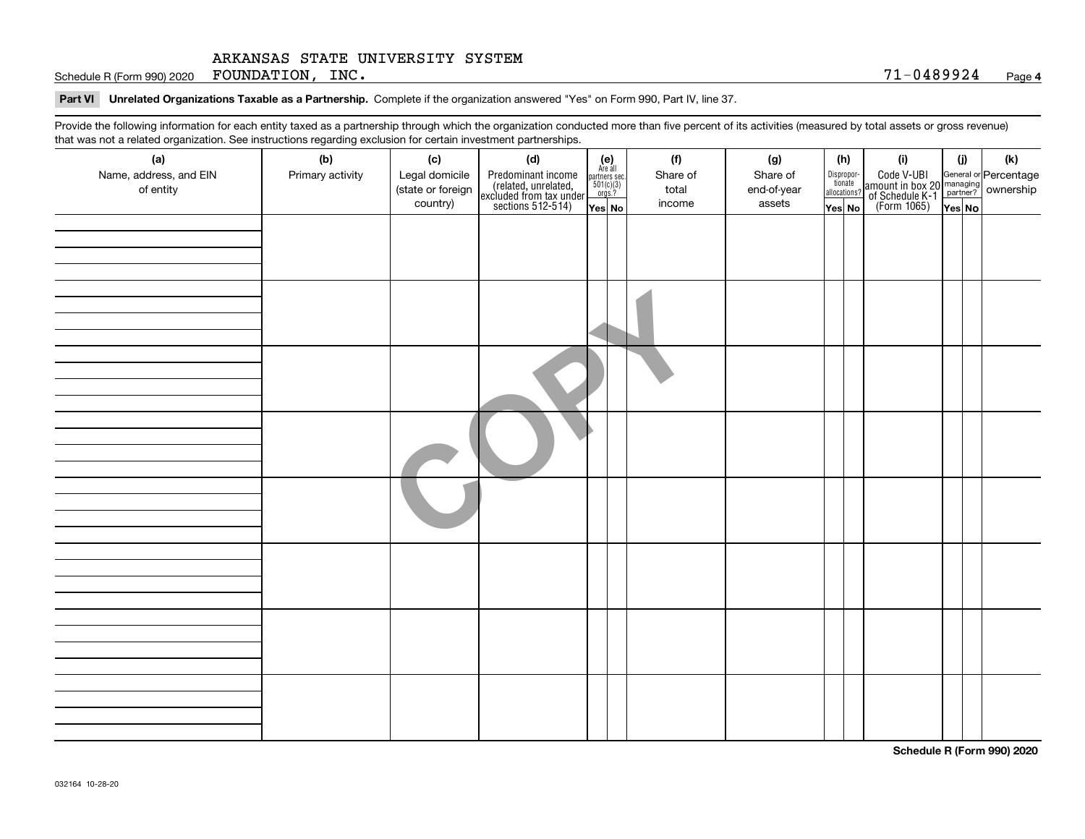Schedule R (Form 990) 2020 Page FOUNDATION, INC. 71-0489924

**Part VI Unrelated Organizations Taxable as a Partnership.**  Complete if the organization answered "Yes" on Form 990, Part IV, line 37.

Provide the following information for each entity taxed as a partnership through which the organization conducted more than five percent of its activities (measured by total assets or gross revenue) that was not a related organization. See instructions regarding exclusion for certain investment partnerships.

| - - - - -<br>(a)<br>Name, address, and EIN<br>of entity | - - -<br>. <del>.</del><br>(b)<br>Primary activity | (c)<br>Legal domicile<br>(state or foreign<br>country) | the material contract of the contract of<br>(d)<br>Predominant income<br>(related, unrelated,<br>excluded from tax under<br>sections 512-514) | (e)<br>Are all<br>partners sec.<br>$501(c)(3)$<br>orgs.?<br>Yes No | (f)<br>Share of<br>total<br>income | (g)<br>Share of<br>end-of-year<br>assets | (h)<br>Dispropor-<br>tionate<br>allocations?<br>Yes No | (i)<br>Code V-UBI<br>amount in box 20 managing<br>of Schedule K-1<br>(Form 1065)<br>$\overline{Yes}$ No | (i)<br>Yes No | (k) |
|---------------------------------------------------------|----------------------------------------------------|--------------------------------------------------------|-----------------------------------------------------------------------------------------------------------------------------------------------|--------------------------------------------------------------------|------------------------------------|------------------------------------------|--------------------------------------------------------|---------------------------------------------------------------------------------------------------------|---------------|-----|
|                                                         |                                                    |                                                        |                                                                                                                                               |                                                                    |                                    |                                          |                                                        |                                                                                                         |               |     |
|                                                         |                                                    |                                                        |                                                                                                                                               |                                                                    |                                    |                                          |                                                        |                                                                                                         |               |     |
|                                                         |                                                    |                                                        |                                                                                                                                               |                                                                    |                                    |                                          |                                                        |                                                                                                         |               |     |
|                                                         |                                                    |                                                        |                                                                                                                                               |                                                                    |                                    |                                          |                                                        |                                                                                                         |               |     |
|                                                         |                                                    |                                                        |                                                                                                                                               |                                                                    |                                    |                                          |                                                        |                                                                                                         |               |     |
|                                                         |                                                    |                                                        |                                                                                                                                               |                                                                    |                                    |                                          |                                                        |                                                                                                         |               |     |
|                                                         |                                                    |                                                        |                                                                                                                                               |                                                                    |                                    |                                          |                                                        |                                                                                                         |               |     |
|                                                         |                                                    |                                                        |                                                                                                                                               |                                                                    |                                    |                                          |                                                        |                                                                                                         |               |     |

**Schedule R (Form 990) 2020**